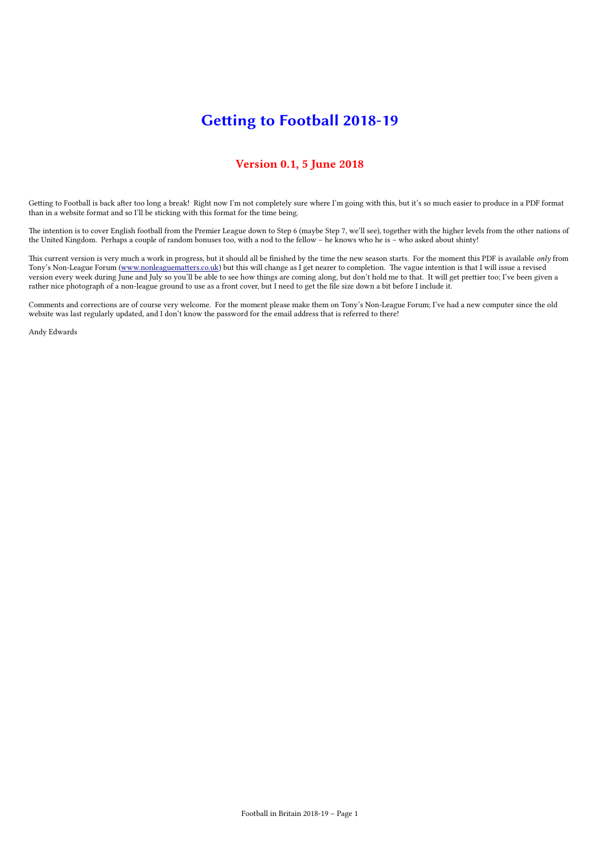# Getting to Football 2018-19

### Version 0.1, 5 June 2018

Getting to Football is back after too long a break! Right now I'm not completely sure where I'm going with this, but it's so much easier to produce in a PDF format than in a website format and so I'll be sticking with this format for the time being.

The intention is to cover English football from the Premier League down to Step 6 (maybe Step 7, we'll see), together with the higher levels from the other nations of the United Kingdom. Perhaps a couple of random bonuses too, with a nod to the fellow – he knows who he is – who asked about shinty!

This current version is very much a work in progress, but it should all be finished by the time the new season starts. For the moment this PDF is available only from Tony's Non-League Forum [\(www.nonleaguematters.co.uk\)](http://www.nonleaguematters.co.uk/) but this will change as I get nearer to completion. The vague intention is that I will issue a revised version every week during June and July so you'll be able to see how things are coming along, but don't hold me to that. It will get prettier too; I've been given a rather nice photograph of a non-league ground to use as a front cover, but I need to get the file size down a bit before I include it.

Comments and corrections are of course very welcome. For the moment please make them on Tony's Non-League Forum; I've had a new computer since the old website was last regularly updated, and I don't know the password for the email address that is referred to there!

Andy Edwards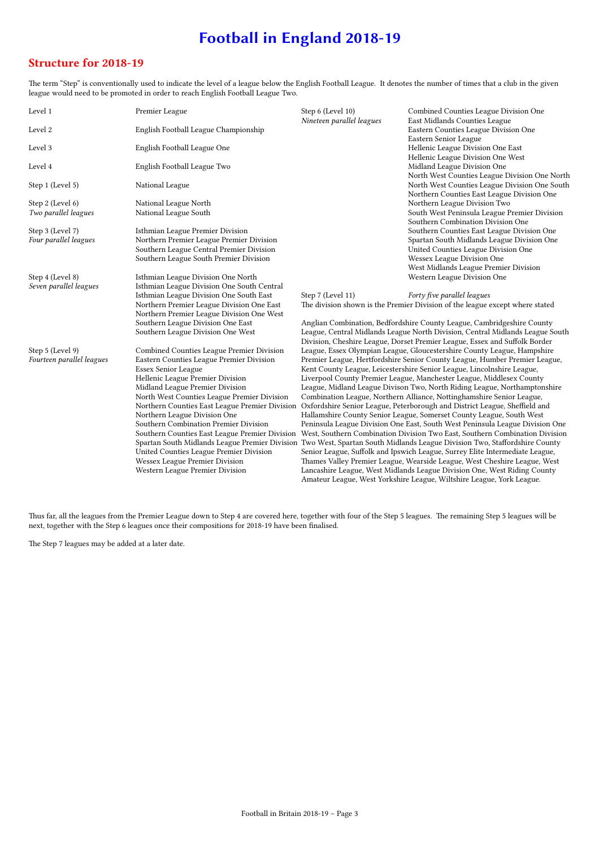# Football in England 2018-19

### Structure for 2018-19

The term "Step" is conventionally used to indicate the level of a league below the English Football League. It denotes the number of times that a club in the given league would need to be promoted in order to reach English Football League Two.

| Level 1                   | Premier League                                                                                                            | Step 6 (Level 10)<br>Nineteen parallel leagues                                                                                                              | Combined Counties League Division One<br>East Midlands Counties League                                                                            |
|---------------------------|---------------------------------------------------------------------------------------------------------------------------|-------------------------------------------------------------------------------------------------------------------------------------------------------------|---------------------------------------------------------------------------------------------------------------------------------------------------|
| Level 2                   | English Football League Championship                                                                                      |                                                                                                                                                             | Eastern Counties League Division One<br>Eastern Senior League                                                                                     |
| Level 3                   | English Football League One                                                                                               |                                                                                                                                                             | Hellenic League Division One East<br>Hellenic League Division One West                                                                            |
| Level 4                   | English Football League Two                                                                                               |                                                                                                                                                             | Midland League Division One<br>North West Counties League Division One North                                                                      |
| Step 1 (Level 5)          | National League                                                                                                           |                                                                                                                                                             | North West Counties League Division One South<br>Northern Counties East League Division One                                                       |
| Step 2 (Level 6)          | National League North                                                                                                     |                                                                                                                                                             | Northern League Division Two                                                                                                                      |
| Two parallel leagues      | National League South                                                                                                     |                                                                                                                                                             | South West Peninsula League Premier Division                                                                                                      |
|                           |                                                                                                                           |                                                                                                                                                             | Southern Combination Division One                                                                                                                 |
| Step 3 (Level 7)          | Isthmian League Premier Division                                                                                          |                                                                                                                                                             | Southern Counties East League Division One                                                                                                        |
| Four parallel leagues     | Northern Premier League Premier Division                                                                                  |                                                                                                                                                             | Spartan South Midlands League Division One                                                                                                        |
|                           | Southern League Central Premier Division                                                                                  |                                                                                                                                                             | United Counties League Division One                                                                                                               |
|                           | Southern League South Premier Division                                                                                    |                                                                                                                                                             | Wessex League Division One                                                                                                                        |
|                           |                                                                                                                           |                                                                                                                                                             | West Midlands League Premier Division                                                                                                             |
| Step 4 (Level 8)          | Isthmian League Division One North                                                                                        |                                                                                                                                                             | Western League Division One                                                                                                                       |
| Seven parallel leagues    | Isthmian League Division One South Central                                                                                |                                                                                                                                                             |                                                                                                                                                   |
|                           | Isthmian League Division One South East                                                                                   | Step 7 (Level 11)                                                                                                                                           | Forty five parallel leagues                                                                                                                       |
|                           | Northern Premier League Division One East                                                                                 |                                                                                                                                                             | The division shown is the Premier Division of the league except where stated                                                                      |
|                           | Northern Premier League Division One West                                                                                 |                                                                                                                                                             |                                                                                                                                                   |
|                           | Southern League Division One East                                                                                         |                                                                                                                                                             | Anglian Combination, Bedfordshire County League, Cambridgeshire County                                                                            |
|                           | Southern League Division One West                                                                                         | League, Central Midlands League North Division, Central Midlands League South<br>Division, Cheshire League, Dorset Premier League, Essex and Suffolk Border |                                                                                                                                                   |
| Step 5 (Level 9)          | Combined Counties League Premier Division                                                                                 |                                                                                                                                                             | League, Essex Olympian League, Gloucestershire County League, Hampshire                                                                           |
| Fourteen parallel leagues | Eastern Counties League Premier Division                                                                                  | Premier League, Hertfordshire Senior County League, Humber Premier League,                                                                                  |                                                                                                                                                   |
|                           | <b>Essex Senior League</b>                                                                                                | Kent County League, Leicestershire Senior League, Lincolnshire League,                                                                                      |                                                                                                                                                   |
|                           | Hellenic League Premier Division                                                                                          |                                                                                                                                                             | Liverpool County Premier League, Manchester League, Middlesex County                                                                              |
|                           | Midland League Premier Division                                                                                           | League, Midland League Divison Two, North Riding League, Northamptonshire                                                                                   |                                                                                                                                                   |
|                           | North West Counties League Premier Division                                                                               | Combination League, Northern Alliance, Nottinghamshire Senior League,                                                                                       |                                                                                                                                                   |
|                           | Northern Counties East League Premier Division                                                                            | Oxfordshire Senior League, Peterborough and District League, Sheffield and                                                                                  |                                                                                                                                                   |
|                           | Northern League Division One                                                                                              | Hallamshire County Senior League, Somerset County League, South West                                                                                        |                                                                                                                                                   |
|                           | Southern Combination Premier Division                                                                                     | Peninsula League Division One East, South West Peninsula League Division One                                                                                |                                                                                                                                                   |
|                           | Southern Counties East League Premier Division                                                                            | West, Southern Combination Division Two East, Southern Combination Division                                                                                 |                                                                                                                                                   |
|                           | Spartan South Midlands League Premier Division Two West, Spartan South Midlands League Division Two, Staffordshire County |                                                                                                                                                             |                                                                                                                                                   |
|                           | United Counties League Premier Division                                                                                   |                                                                                                                                                             | Senior League, Suffolk and Ipswich League, Surrey Elite Intermediate League,                                                                      |
|                           | Wessex League Premier Division                                                                                            |                                                                                                                                                             | Thames Valley Premier League, Wearside League, West Cheshire League, West                                                                         |
|                           | Western League Premier Division                                                                                           |                                                                                                                                                             | Lancashire League, West Midlands League Division One, West Riding County<br>Amateur League, West Yorkshire League, Wiltshire League, York League. |
|                           |                                                                                                                           |                                                                                                                                                             |                                                                                                                                                   |

Thus far, all the leagues from the Premier League down to Step 4 are covered here, together with four of the Step 5 leagues. The remaining Step 5 leagues will be next, together with the Step 6 leagues once their compositions for 2018-19 have been finalised.

The Step 7 leagues may be added at a later date.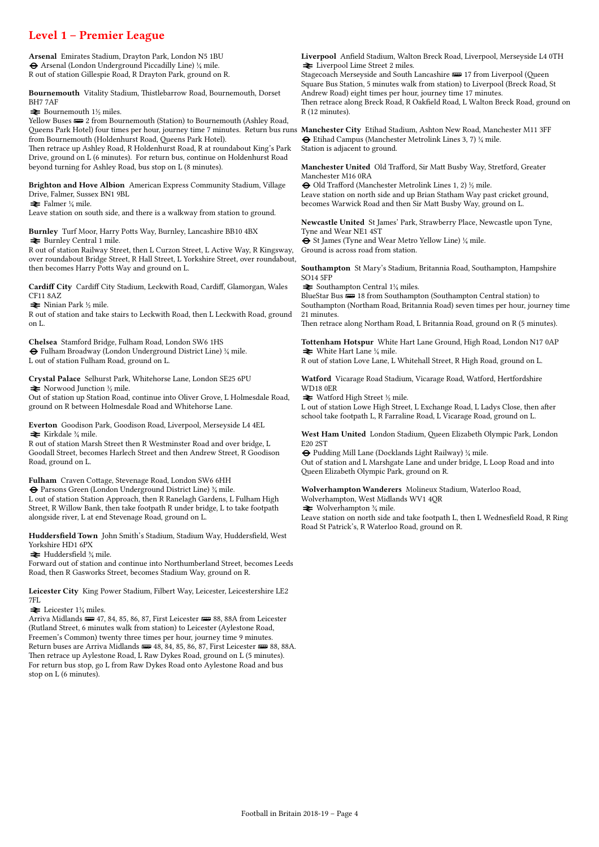### Level 1 – Premier League

Arsenal Emirates Stadium, Drayton Park, London N5 1BU ® Arsenal (London Underground Piccadilly Line) ¼ mile. R out of station Gillespie Road, R Drayton Park, ground on R.

Bournemouth Vitality Stadium, Thistlebarrow Road, Bournemouth, Dorset BH7 7AF

 $\blacktriangleright$  Bournemouth 1½ miles.

Yellow Buses  $\equiv$  2 from Bournemouth (Station) to Bournemouth (Ashley Road, Queens Park Hotel) four times per hour, journey time 7 minutes. Return bus runs **Manchester City** Etihad Stadium, Ashton New Road, Manchester M11 3FF from Bournemouth (Holdenhurst Road, Queens Park Hotel).

Then retrace up Ashley Road, R Holdenhurst Road, R at roundabout King's Park Drive, ground on L (6 minutes). For return bus, continue on Holdenhurst Road beyond turning for Ashley Road, bus stop on L (8 minutes).

Brighton and Hove Albion American Express Community Stadium, Village Drive, Falmer, Sussex BN1 9BL

 $\blacktriangleright$  Falmer ¼ mile.

Leave station on south side, and there is a walkway from station to ground.

Burnley Turf Moor, Harry Potts Way, Burnley, Lancashire BB10 4BX  $\blacktriangleright$  Burnley Central 1 mile.

R out of station Railway Street, then L Curzon Street, L Active Way, R Kingsway, over roundabout Bridge Street, R Hall Street, L Yorkshire Street, over roundabout, then becomes Harry Potts Way and ground on L.

Cardiff City Cardiff City Stadium, Leckwith Road, Cardiff, Glamorgan, Wales CF11 8AZ

 $\blacktriangleright$  Ninian Park ½ mile.

R out of station and take stairs to Leckwith Road, then L Leckwith Road, ground on L.

Chelsea Stamford Bridge, Fulham Road, London SW6 1HS ® Fulham Broadway (London Underground District Line) ¼ mile. L out of station Fulham Road, ground on L.

Crystal Palace Selhurst Park, Whitehorse Lane, London SE25 6PU  $\blacktriangleright$  Norwood Junction ½ mile.

Out of station up Station Road, continue into Oliver Grove, L Holmesdale Road, ground on R between Holmesdale Road and Whitehorse Lane.

Everton Goodison Park, Goodison Road, Liverpool, Merseyside L4 4EL  $\blacktriangleright$  Kirkdale  $\frac{3}{4}$  mile.

R out of station Marsh Street then R Westminster Road and over bridge, L Goodall Street, becomes Harlech Street and then Andrew Street, R Goodison Road, ground on L.

Fulham Craven Cottage, Stevenage Road, London SW6 6HH

 $\bigoplus$  Parsons Green (London Underground District Line)  $\mathcal{H}$  mile. L out of station Station Approach, then R Ranelagh Gardens, L Fulham High Street, R Willow Bank, then take footpath R under bridge, L to take footpath alongside river, L at end Stevenage Road, ground on L.

Huddersfield Town John Smith's Stadium, Stadium Way, Huddersfield, West Yorkshire HD1 6PX

 $\blacktriangleright$  Huddersfield  $\frac{3}{4}$  mile.

Forward out of station and continue into Northumberland Street, becomes Leeds Road, then R Gasworks Street, becomes Stadium Way, ground on R.

Leicester City King Power Stadium, Filbert Way, Leicester, Leicestershire LE2 7FL

 $\blacktriangleright$  Leicester 1¼ miles.

Arriva Midlands (#47, 84, 85, 86, 87, First Leicester (#88, 88A from Leicester (Rutland Street, 6 minutes walk from station) to Leicester (Aylestone Road, Freemen's Common) twenty three times per hour, journey time 9 minutes. Return buses are Arriva Midlands  $\equiv$  48, 84, 85, 86, 87, First Leicester  $\equiv$  88, 88A. Then retrace up Aylestone Road, L Raw Dykes Road, ground on L (5 minutes). For return bus stop, go L from Raw Dykes Road onto Aylestone Road and bus stop on L (6 minutes).

Liverpool Anfield Stadium, Walton Breck Road, Liverpool, Merseyside L4 0TH  $\triangle$  Liverpool Lime Street 2 miles.

Stagecoach Merseyside and South Lancashire  $\equiv$  17 from Liverpool (Oueen Square Bus Station, 5 minutes walk from station) to Liverpool (Breck Road, St Andrew Road) eight times per hour, journey time 17 minutes. Then retrace along Breck Road, R Oakfield Road, L Walton Breck Road, ground on R (12 minutes).

 $\Theta$  Etihad Campus (Manchester Metrolink Lines 3, 7)  $\frac{1}{4}$  mile. Station is adjacent to ground.

Manchester United Old Trafford, Sir Matt Busby Way, Stretford, Greater Manchester M16 0RA

® Old Trafford (Manchester Metrolink Lines 1, 2) ½ mile. Leave station on north side and up Brian Statham Way past cricket ground, becomes Warwick Road and then Sir Matt Busby Way, ground on L.

Newcastle United St James' Park, Strawberry Place, Newcastle upon Tyne, Tyne and Wear NE1 4ST ® St James (Tyne and Wear Metro Yellow Line) ¼ mile.

Ground is across road from station.

Southampton St Mary's Stadium, Britannia Road, Southampton, Hampshire SO14 5FP

 $\blacktriangleright$  Southampton Central 1¼ miles.

BlueStar Bus  $\equiv$  18 from Southampton (Southampton Central station) to Southampton (Northam Road, Britannia Road) seven times per hour, journey time 21 minutes.

Then retrace along Northam Road, L Britannia Road, ground on R (5 minutes).

Tottenham Hotspur White Hart Lane Ground, High Road, London N17 0AP  $\blacktriangleright$  White Hart Lane  $\frac{1}{4}$  mile.

R out of station Love Lane, L Whitehall Street, R High Road, ground on L.

Watford Vicarage Road Stadium, Vicarage Road, Watford, Hertfordshire WD18 0ER

 $\blacktriangleright$  Watford High Street ½ mile.

L out of station Lowe High Street, L Exchange Road, L Ladys Close, then after school take footpath L, R Farraline Road, L Vicarage Road, ground on L.

West Ham United London Stadium, Queen Elizabeth Olympic Park, London E20 2ST

® Pudding Mill Lane (Docklands Light Railway) ¼ mile. Out of station and L Marshgate Lane and under bridge, L Loop Road and into Queen Elizabeth Olympic Park, ground on R.

Wolverhampton Wanderers Molineux Stadium, Waterloo Road,

Wolverhampton, West Midlands WV1 4QR

 $\blacktriangleright$  Wolverhampton  $\frac{3}{4}$  mile.

Leave station on north side and take footpath L, then L Wednesfield Road, R Ring Road St Patrick's, R Waterloo Road, ground on R.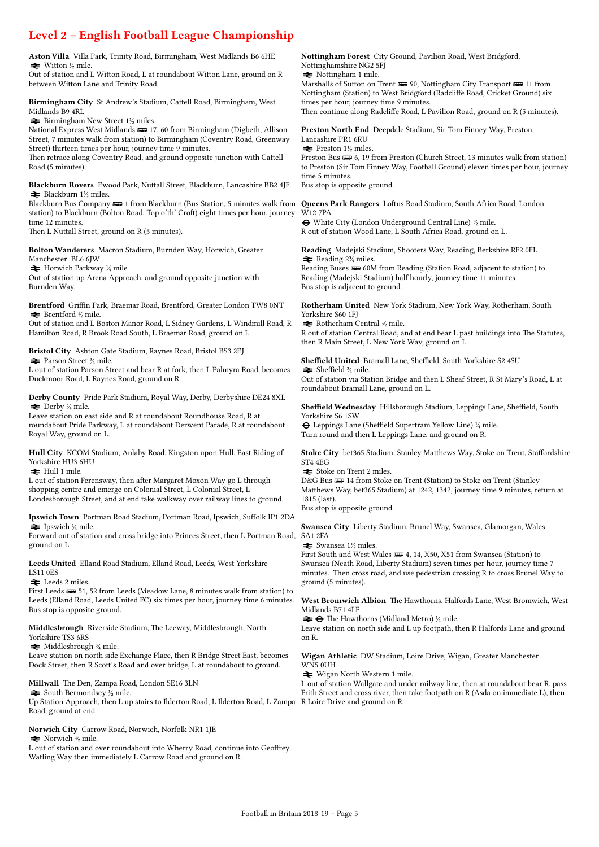# Level 2 – English Football League Championship

Aston Villa Villa Park, Trinity Road, Birmingham, West Midlands B6 6HE  $\blacktriangleright$  Witton ½ mile.

Out of station and L Witton Road, L at roundabout Witton Lane, ground on R between Witton Lane and Trinity Road.

Birmingham City St Andrew's Stadium, Cattell Road, Birmingham, West Midlands B9 4RL

 $\blacktriangleright$  Birmingham New Street 1½ miles.

National Express West Midlands  $\equiv$  17, 60 from Birmingham (Digbeth, Allison Street, 7 minutes walk from station) to Birmingham (Coventry Road, Greenway Street) thirteen times per hour, journey time 9 minutes.

Then retrace along Coventry Road, and ground opposite junction with Cattell Road (5 minutes).

Blackburn Rovers Ewood Park, Nuttall Street, Blackburn, Lancashire BB2 4JF  $\blacktriangleright$  Blackburn 1½ miles.

Blackburn Bus Company **es** 1 from Blackburn (Bus Station, 5 minutes walk from **Queens Park Rangers** Loftus Road Stadium, South Africa Road, London station) to Blackburn (Bolton Road, Top o'th' Croft) eight times per hour, journey time 12 minutes.

Then L Nuttall Street, ground on R (5 minutes).

Bolton Wanderers Macron Stadium, Burnden Way, Horwich, Greater Manchester BL6 6JW

 $\blacktriangleright$  Horwich Parkway ¼ mile.

Out of station up Arena Approach, and ground opposite junction with Burnden Way.

Brentford Griffin Park, Braemar Road, Brentford, Greater London TW8 0NT  $\blacktriangleright$  Brentford ½ mile.

Out of station and L Boston Manor Road, L Sidney Gardens, L Windmill Road, R Hamilton Road, R Brook Road South, L Braemar Road, ground on L.

Bristol City Ashton Gate Stadium, Raynes Road, Bristol BS3 2EJ  $\blacktriangleright$  Parson Street  $\frac{3}{4}$  mile.

L out of station Parson Street and bear R at fork, then L Palmyra Road, becomes Duckmoor Road, L Raynes Road, ground on R.

Derby County Pride Park Stadium, Royal Way, Derby, Derbyshire DE24 8XL  $\blacktriangleright$  Derby  $\frac{3}{4}$  mile.

Leave station on east side and R at roundabout Roundhouse Road, R at roundabout Pride Parkway, L at roundabout Derwent Parade, R at roundabout Royal Way, ground on L.

Hull City KCOM Stadium, Anlaby Road, Kingston upon Hull, East Riding of Yorkshire HU3 6HU  $\blacktriangleright$  Hull 1 mile.

L out of station Ferensway, then after Margaret Moxon Way go L through shopping centre and emerge on Colonial Street, L Colonial Street, L Londesborough Street, and at end take walkway over railway lines to ground.

Ipswich Town Portman Road Stadium, Portman Road, Ipswich, Suffolk IP1 2DA  $\blacktriangleright$  Ipswich ¼ mile.

Forward out of station and cross bridge into Princes Street, then L Portman Road, ground on L.

Leeds United Elland Road Stadium, Elland Road, Leeds, West Yorkshire

LS11 0ES  $\blacktriangleright$  Leeds 2 miles.

First Leeds  $\equiv 51, 52$  from Leeds (Meadow Lane, 8 minutes walk from station) to Leeds (Elland Road, Leeds United FC) six times per hour, journey time 6 minutes. Bus stop is opposite ground.

Middlesbrough Riverside Stadium, The Leeway, Middlesbrough, North Yorkshire TS3 6RS

 $\blacktriangleright$  Middlesbrough  $\frac{3}{4}$  mile.

Leave station on north side Exchange Place, then R Bridge Street East, becomes Dock Street, then R Scott's Road and over bridge, L at roundabout to ground.

Millwall The Den, Zampa Road, London SE16 3LN

 $\blacktriangleright$  South Bermondsey  $\frac{1}{2}$  mile.

Up Station Approach, then L up stairs to Ilderton Road, L Ilderton Road, L Zampa R Loire Drive and ground on R. Road, ground at end.

Norwich City Carrow Road, Norwich, Norfolk NR1 1JE  $\blacktriangleright$  Norwich ½ mile.

L out of station and over roundabout into Wherry Road, continue into Geoffrey Watling Way then immediately L Carrow Road and ground on R.

Nottingham Forest City Ground, Pavilion Road, West Bridgford, Nottinghamshire NG2 5FJ

 $\blacktriangleright$  Nottingham 1 mile.

Marshalls of Sutton on Trent  $\implies$  90, Nottingham City Transport  $\implies$  11 from Nottingham (Station) to West Bridgford (Radcliffe Road, Cricket Ground) six times per hour, journey time 9 minutes.

Then continue along Radcliffe Road, L Pavilion Road, ground on R (5 minutes).

Preston North End Deepdale Stadium, Sir Tom Finney Way, Preston, Lancashire PR1 6RU

 $\blacktriangleright$  Preston 1½ miles.

Preston Bus  $\equiv 6$ , 19 from Preston (Church Street, 13 minutes walk from station) to Preston (Sir Tom Finney Way, Football Ground) eleven times per hour, journey time 5 minutes.

Bus stop is opposite ground.

W12 7PA

® White City (London Underground Central Line) ½ mile. R out of station Wood Lane, L South Africa Road, ground on L.

Reading Madejski Stadium, Shooters Way, Reading, Berkshire RF2 0FL  $\blacktriangleright$  Reading 2<sup>3</sup>/<sub>4</sub> miles.

Reading Buses  $\equiv 60M$  from Reading (Station Road, adjacent to station) to Reading (Madejski Stadium) half hourly, journey time 11 minutes. Bus stop is adjacent to ground.

Rotherham United New York Stadium, New York Way, Rotherham, South Yorkshire S60 1FJ

 $\blacktriangleright$  Rotherham Central ½ mile.

R out of station Central Road, and at end bear L past buildings into The Statutes, then R Main Street, L New York Way, ground on L.

Sheffield United Bramall Lane, Sheffield, South Yorkshire S2 4SU  $\blacktriangleright$  Sheffield  $\frac{3}{4}$  mile.

Out of station via Station Bridge and then L Sheaf Street, R St Mary's Road, L at roundabout Bramall Lane, ground on L.

Sheffield Wednesday Hillsborough Stadium, Leppings Lane, Sheffield, South Yorkshire S6 1SW

® Leppings Lane (Sheffield Supertram Yellow Line) ¼ mile. Turn round and then L Leppings Lane, and ground on R.

Stoke City bet365 Stadium, Stanley Matthews Way, Stoke on Trent, Staffordshire ST4 4EG

 $\blacktriangleright$  Stoke on Trent 2 miles.

D&G Bus  $\implies$  14 from Stoke on Trent (Station) to Stoke on Trent (Stanley Matthews Way, bet365 Stadium) at 1242, 1342, journey time 9 minutes, return at 1815 (last).

Bus stop is opposite ground.

Swansea City Liberty Stadium, Brunel Way, Swansea, Glamorgan, Wales SA1 2FA

 $\blacktriangleright$  Swansea 1½ miles.

First South and West Wales  $\equiv 4, 14, X50, X51$  from Swansea (Station) to Swansea (Neath Road, Liberty Stadium) seven times per hour, journey time 7 minutes. Then cross road, and use pedestrian crossing R to cross Brunel Way to ground (5 minutes).

West Bromwich Albion The Hawthorns, Halfords Lane, West Bromwich, West Midlands B71 4LF

 $\rightleftharpoons \bigoplus$  The Hawthorns (Midland Metro) ¼ mile.

Leave station on north side and L up footpath, then R Halfords Lane and ground on R.

Wigan Athletic DW Stadium, Loire Drive, Wigan, Greater Manchester WN5 0UH

= Wigan North Western 1 mile.

L out of station Wallgate and under railway line, then at roundabout bear R, pass Frith Street and cross river, then take footpath on R (Asda on immediate L), then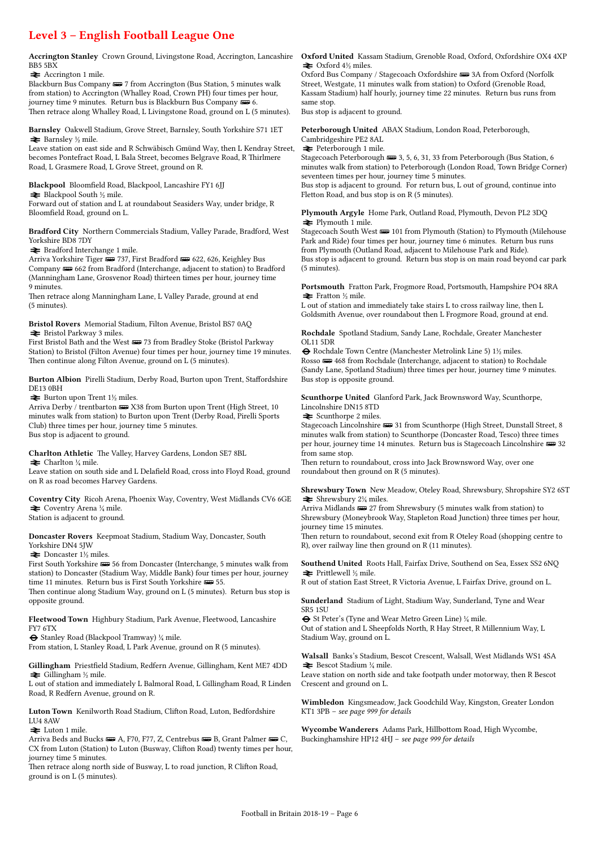### Level 3 – English Football League One

BB5 5BX

#### $\blacktriangleright$  Accrington 1 mile.

Blackburn Bus Company  $\equiv 7$  from Accrington (Bus Station, 5 minutes walk from station) to Accrington (Whalley Road, Crown PH) four times per hour, journey time 9 minutes. Return bus is Blackburn Bus Company  $\overline{\bullet}$  6. Then retrace along Whalley Road, L Livingstone Road, ground on L (5 minutes).

Barnsley Oakwell Stadium, Grove Street, Barnsley, South Yorkshire S71 1ET  $\blacktriangleright$  Barnsley ½ mile.

Leave station on east side and R Schwäbisch Gmünd Way, then L Kendray Street, becomes Pontefract Road, L Bala Street, becomes Belgrave Road, R Thirlmere Road, L Grasmere Road, L Grove Street, ground on R.

Blackpool Bloomfield Road, Blackpool, Lancashire FY1 6JJ

 $\blacktriangleright$  Blackpool South ½ mile.

Forward out of station and L at roundabout Seasiders Way, under bridge, R Bloomfield Road, ground on L.

Bradford City Northern Commercials Stadium, Valley Parade, Bradford, West Yorkshire BD8 7DY

 $\blacktriangleright$  Bradford Interchange 1 mile.

Arriva Yorkshire Tiger  $\equiv$  737, First Bradford  $\equiv$  622, 626, Keighley Bus Company  $\equiv$  662 from Bradford (Interchange, adjacent to station) to Bradford (Manningham Lane, Grosvenor Road) thirteen times per hour, journey time 9 minutes.

Then retrace along Manningham Lane, L Valley Parade, ground at end (5 minutes).

Bristol Rovers Memorial Stadium, Filton Avenue, Bristol BS7 0AQ  $\blacktriangleright$  Bristol Parkway 3 miles.

First Bristol Bath and the West  $\frac{1}{2}$  73 from Bradley Stoke (Bristol Parkway Station) to Bristol (Filton Avenue) four times per hour, journey time 19 minutes. Then continue along Filton Avenue, ground on L (5 minutes).

Burton Albion Pirelli Stadium, Derby Road, Burton upon Trent, Staffordshire DE13 0BH

 $\blacktriangleright$  Burton upon Trent 1½ miles.

Arriva Derby / trentbarton **B** X38 from Burton upon Trent (High Street, 10 minutes walk from station) to Burton upon Trent (Derby Road, Pirelli Sports Club) three times per hour, journey time 5 minutes. Bus stop is adjacent to ground.

Charlton Athletic The Valley, Harvey Gardens, London SE7 8BL

 $\blacktriangleright$  Charlton ¼ mile.

Leave station on south side and L Delafield Road, cross into Floyd Road, ground on R as road becomes Harvey Gardens.

Coventry City Ricoh Arena, Phoenix Way, Coventry, West Midlands CV6 6GE  $\triangleq$  Coventry Arena  $\frac{1}{4}$  mile.

Station is adjacent to ground.

Doncaster Rovers Keepmoat Stadium, Stadium Way, Doncaster, South Yorkshire DN4 5JW

 $\blacktriangleright$  Doncaster 1½ miles.

First South Yorkshire  $\equiv$  56 from Doncaster (Interchange, 5 minutes walk from station) to Doncaster (Stadium Way, Middle Bank) four times per hour, journey time 11 minutes. Return bus is First South Yorkshire  $\equiv$  55.

Then continue along Stadium Way, ground on L (5 minutes). Return bus stop is opposite ground.

Fleetwood Town Highbury Stadium, Park Avenue, Fleetwood, Lancashire FY7 6TX

® Stanley Road (Blackpool Tramway) ¼ mile.

From station, L Stanley Road, L Park Avenue, ground on R (5 minutes).

Gillingham Priestfield Stadium, Redfern Avenue, Gillingham, Kent ME7 4DD  $\blacktriangleright$  Gillingham ½ mile.

L out of station and immediately L Balmoral Road, L Gillingham Road, R Linden Road, R Redfern Avenue, ground on R.

Luton Town Kenilworth Road Stadium, Clifton Road, Luton, Bedfordshire LU4 8AW

 $\blacktriangleright$  Luton 1 mile.

Arriva Beds and Bucks  $\equiv A$ , F70, F77, Z, Centrebus  $\equiv B$ , Grant Palmer  $\equiv C$ , CX from Luton (Station) to Luton (Busway, Clifton Road) twenty times per hour, journey time 5 minutes.

Then retrace along north side of Busway, L to road junction, R Clifton Road, ground is on L (5 minutes).

Accrington Stanley Crown Ground, Livingstone Road, Accrington, Lancashire Oxford United Kassam Stadium, Grenoble Road, Oxford, Oxfordshire OX4 4XP  $\blacktriangleright$  Oxford  $4\frac{1}{2}$  miles.

Oxford Bus Company / Stagecoach Oxfordshire  $\equiv$  3A from Oxford (Norfolk Street, Westgate, 11 minutes walk from station) to Oxford (Grenoble Road, Kassam Stadium) half hourly, journey time 22 minutes. Return bus runs from same stop.

Bus stop is adjacent to ground.

Peterborough United ABAX Stadium, London Road, Peterborough, Cambridgeshire PE2 8AL

 $\blacktriangleright$  Peterborough 1 mile.

Stagecoach Peterborough  $\equiv$  3, 5, 6, 31, 33 from Peterborough (Bus Station, 6 minutes walk from station) to Peterborough (London Road, Town Bridge Corner) seventeen times per hour, journey time 5 minutes.

Bus stop is adjacent to ground. For return bus, L out of ground, continue into Fletton Road, and bus stop is on R (5 minutes).

Plymouth Argyle Home Park, Outland Road, Plymouth, Devon PL2 3DQ  $\blacktriangleright$  Plymouth 1 mile.

Stagecoach South West  $\equiv 101$  from Plymouth (Station) to Plymouth (Milehouse Park and Ride) four times per hour, journey time 6 minutes. Return bus runs from Plymouth (Outland Road, adjacent to Milehouse Park and Ride). Bus stop is adjacent to ground. Return bus stop is on main road beyond car park (5 minutes).

Portsmouth Fratton Park, Frogmore Road, Portsmouth, Hampshire PO4 8RA  $\blacktriangleright$  Fratton ½ mile.

L out of station and immediately take stairs L to cross railway line, then L Goldsmith Avenue, over roundabout then L Frogmore Road, ground at end.

Rochdale Spotland Stadium, Sandy Lane, Rochdale, Greater Manchester OL11 5DR

® Rochdale Town Centre (Manchester Metrolink Line 5) 1½ miles. Rosso  $\implies$  468 from Rochdale (Interchange, adjacent to station) to Rochdale (Sandy Lane, Spotland Stadium) three times per hour, journey time 9 minutes. Bus stop is opposite ground.

Scunthorpe United Glanford Park, Jack Brownsword Way, Scunthorpe, Lincolnshire DN15 8TD

 $\blacktriangleright$  Scunthorpe 2 miles.

Stagecoach Lincolnshire  $\equiv$  31 from Scunthorpe (High Street, Dunstall Street, 8 minutes walk from station) to Scunthorpe (Doncaster Road, Tesco) three times per hour, journey time 14 minutes. Return bus is Stagecoach Lincolnshire  $\equiv 32$ from same stop.

Then return to roundabout, cross into Jack Brownsword Way, over one roundabout then ground on R (5 minutes).

Shrewsbury Town New Meadow, Oteley Road, Shrewsbury, Shropshire SY2 6ST  $\blacktriangleright$  Shrewsbury 2¼ miles.

Arriva Midlands  $\equiv 27$  from Shrewsbury (5 minutes walk from station) to Shrewsbury (Moneybrook Way, Stapleton Road Junction) three times per hour, journey time 15 minutes.

Then return to roundabout, second exit from R Oteley Road (shopping centre to R), over railway line then ground on R (11 minutes).

Southend United Roots Hall, Fairfax Drive, Southend on Sea, Essex SS2 6NQ  $\blacktriangleright$  Prittlewell ½ mile.

R out of station East Street, R Victoria Avenue, L Fairfax Drive, ground on L.

Sunderland Stadium of Light, Stadium Way, Sunderland, Tyne and Wear SR5 1SU

® St Peter's (Tyne and Wear Metro Green Line) ¼ mile. Out of station and L Sheepfolds North, R Hay Street, R Millennium Way, L

Stadium Way, ground on L.

Walsall Banks's Stadium, Bescot Crescent, Walsall, West Midlands WS1 4SA  $\blacktriangleright$  Bescot Stadium ¼ mile.

Leave station on north side and take footpath under motorway, then R Bescot Crescent and ground on L.

Wimbledon Kingsmeadow, Jack Goodchild Way, Kingston, Greater London KT1 3PB – see page 999 for details

Wycombe Wanderers Adams Park, Hillbottom Road, High Wycombe, Buckinghamshire HP12 4HJ – see page 999 for details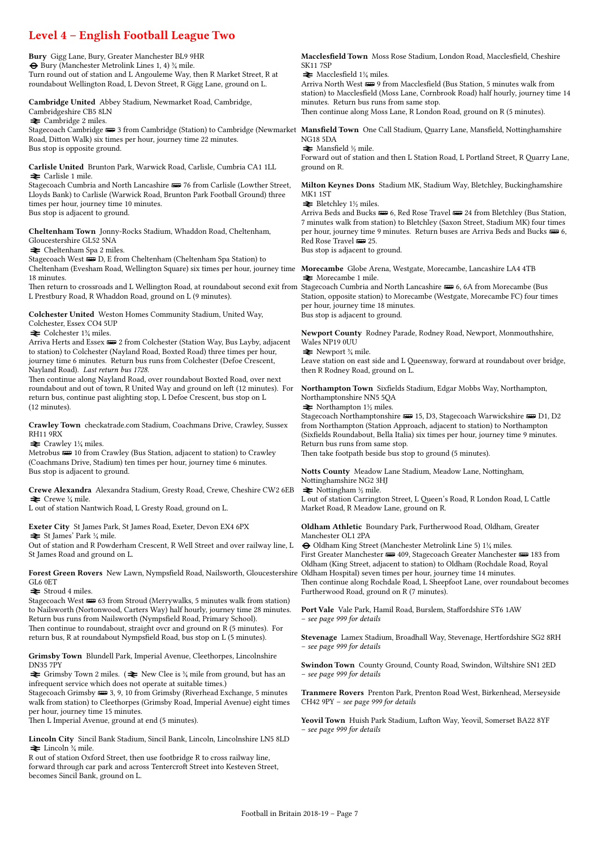# Level 4 – English Football League Two

Bury Gigg Lane, Bury, Greater Manchester BL9 9HR ® Bury (Manchester Metrolink Lines 1, 4) ¾ mile. Turn round out of station and L Angouleme Way, then R Market Street, R at roundabout Wellington Road, L Devon Street, R Gigg Lane, ground on L.

Cambridge United Abbey Stadium, Newmarket Road, Cambridge, Cambridgeshire CB5 8LN

 $\blacktriangleright$  Cambridge 2 miles.

Stagecoach Cambridge <del>⊯</del> 3 from Cambridge (Station) to Cambridge (Newmarket Mansfield Town One Call Stadium, Quarry Lane, Mansfield, Nottinghamshire Road, Ditton Walk) six times per hour, journey time 22 minutes. Bus stop is opposite ground.

Carlisle United Brunton Park, Warwick Road, Carlisle, Cumbria CA1 1LL  $\triangle$  Carlisle 1 mile.

Stagecoach Cumbria and North Lancashire  $\equiv$  76 from Carlisle (Lowther Street, Lloyds Bank) to Carlisle (Warwick Road, Brunton Park Football Ground) three times per hour, journey time 10 minutes. Bus stop is adjacent to ground.

Cheltenham Town Jonny-Rocks Stadium, Whaddon Road, Cheltenham, Gloucestershire GL52 5NA

 $\blacktriangleright$  Cheltenham Spa 2 miles.

Stagecoach West  $\blacksquare$ D, E from Cheltenham (Cheltenham Spa Station) to Cheltenham (Evesham Road, Wellington Square) six times per hour, journey time Morecambe Globe Arena, Westgate, Morecambe, Lancashire LA4 4TB 18 minutes.

Then return to crossroads and L Wellington Road, at roundabout second exit from Stagecoach Cumbria and North Lancashire ø 6, 6A from Morecambe (Bus L Prestbury Road, R Whaddon Road, ground on L (9 minutes).

Colchester United Weston Homes Community Stadium, United Way, Colchester, Essex CO4 5UP

 $\blacktriangleright$  Colchester 1¼ miles.

Arriva Herts and Essex  $\equiv$  2 from Colchester (Station Way, Bus Layby, adjacent to station) to Colchester (Nayland Road, Boxted Road) three times per hour, journey time 6 minutes. Return bus runs from Colchester (Defoe Crescent, Nayland Road). Last return bus 1728.

Then continue along Nayland Road, over roundabout Boxted Road, over next roundabout and out of town, R United Way and ground on left (12 minutes). For return bus, continue past alighting stop, L Defoe Crescent, bus stop on L (12 minutes).

Crawley Town checkatrade.com Stadium, Coachmans Drive, Crawley, Sussex RH11 9RX

 $\blacktriangleright$  Crawley 1¼ miles.

Metrobus  $\blacksquare$  10 from Crawley (Bus Station, adjacent to station) to Crawley (Coachmans Drive, Stadium) ten times per hour, journey time 6 minutes. Bus stop is adjacent to ground.

Crewe Alexandra Alexandra Stadium, Gresty Road, Crewe, Cheshire CW2 6EB  $\blacktriangleright$  Crewe  $\frac{1}{4}$  mile.

L out of station Nantwich Road, L Gresty Road, ground on L.

Exeter City St James Park, St James Road, Exeter, Devon EX4 6PX  $\blacktriangleright$  St James' Park ¼ mile.

Out of station and R Powderham Crescent, R Well Street and over railway line, L St James Road and ground on L.

Forest Green Rovers New Lawn, Nympsfield Road, Nailsworth, Gloucestershire Oldham Hospital) seven times per hour, journey time 14 minutes. GL6 0ET

 $\equiv$  Stroud 4 miles.

Stagecoach West  $\equiv$  63 from Stroud (Merrywalks, 5 minutes walk from station) to Nailsworth (Nortonwood, Carters Way) half hourly, journey time 28 minutes. Return bus runs from Nailsworth (Nympsfield Road, Primary School). Then continue to roundabout, straight ovcr and ground on R (5 minutes). For return bus, R at roundabout Nympsfield Road, bus stop on L (5 minutes).

Grimsby Town Blundell Park, Imperial Avenue, Cleethorpes, Lincolnshire DN35 7PY

 $\triangleq$  Grimsby Town 2 miles. ( $\triangleq$  New Clee is  $\frac{3}{4}$  mile from ground, but has an infrequent service which does not operate at suitable times.)

Stagecoach Grimsby  $\equiv 3, 9, 10$  from Grimsby (Riverhead Exchange, 5 minutes walk from station) to Cleethorpes (Grimsby Road, Imperial Avenue) eight times per hour, journey time 15 minutes.

Then L Imperial Avenue, ground at end (5 minutes).

Lincoln City Sincil Bank Stadium, Sincil Bank, Lincoln, Lincolnshire LN5 8LD  $\blacktriangleright$  Lincoln  $\frac{3}{4}$  mile.

R out of station Oxford Street, then use footbridge R to cross railway line, forward through car park and across Tentercroft Street into Kesteven Street, becomes Sincil Bank, ground on L.

Macclesfield Town Moss Rose Stadium, London Road, Macclesfield, Cheshire SK11 7SP

 $\blacktriangleright$  Macclesfield 1¼ miles.

Arriva North West  $\equiv 9$  from Macclesfield (Bus Station, 5 minutes walk from station) to Macclesfield (Moss Lane, Cornbrook Road) half hourly, journey time 14 minutes. Return bus runs from same stop. Then continue along Moss Lane, R London Road, ground on R (5 minutes).

NG18 5DA

 $\blacktriangleright$  Mansfield ½ mile.

Forward out of station and then L Station Road, L Portland Street, R Quarry Lane, ground on R.

Milton Keynes Dons Stadium MK, Stadium Way, Bletchley, Buckinghamshire MK1 1ST

 $\blacktriangleright$  Bletchley 1½ miles.

Arriva Beds and Bucks  $\equiv 6$ , Red Rose Travel  $\equiv 24$  from Bletchley (Bus Station, 7 minutes walk from station) to Bletchley (Saxon Street, Stadium MK) four times per hour, journey time 9 minutes. Return buses are Arriva Beds and Bucks  $\equiv 6$ , Red Rose Travel **um** 25.

Bus stop is adjacent to ground.

 $\blacktriangleright$  Morecambe 1 mile.

Station, opposite station) to Morecambe (Westgate, Morecambe FC) four times per hour, journey time 18 minutes. Bus stop is adjacent to ground.

Newport County Rodney Parade, Rodney Road, Newport, Monmouthshire, Wales NP19 0UU

 $\blacktriangleright$  Newport  $\frac{3}{4}$  mile.

Leave station on east side and L Queensway, forward at roundabout over bridge, then R Rodney Road, ground on L.

Northampton Town Sixfields Stadium, Edgar Mobbs Way, Northampton, Northamptonshire NN5 5QA

 $\blacktriangleright$  Northampton 1½ miles.

Stagecoach Northamptonshire  $\equiv$  15, D3, Stagecoach Warwickshire  $\equiv$  D1, D2 from Northampton (Station Approach, adjacent to station) to Northampton (Sixfields Roundabout, Bella Italia) six times per hour, journey time 9 minutes. Return bus runs from same stop.

Then take footpath beside bus stop to ground (5 minutes).

Notts County Meadow Lane Stadium, Meadow Lane, Nottingham, Nottinghamshire NG2 3HJ  $\blacktriangleright$  Nottingham ½ mile.

L out of station Carrington Street, L Queen's Road, R London Road, L Cattle Market Road, R Meadow Lane, ground on R.

Oldham Athletic Boundary Park, Furtherwood Road, Oldham, Greater Manchester OL1 2PA

® Oldham King Street (Manchester Metrolink Line 5) 1¼ miles. First Greater Manchester  $\equiv$  409, Stagecoach Greater Manchester  $\equiv$  183 from Oldham (King Street, adjacent to station) to Oldham (Rochdale Road, Royal Then continue along Rochdale Road, L Sheepfoot Lane, over roundabout becomes Furtherwood Road, ground on R (7 minutes).

Port Vale Vale Park, Hamil Road, Burslem, Staffordshire ST6 1AW – see page 999 for details

Stevenage Lamex Stadium, Broadhall Way, Stevenage, Hertfordshire SG2 8RH – see page 999 for details

Swindon Town County Ground, County Road, Swindon, Wiltshire SN1 2ED – see page 999 for details

Tranmere Rovers Prenton Park, Prenton Road West, Birkenhead, Merseyside CH42 9PY – see page 999 for details

Yeovil Town Huish Park Stadium, Lufton Way, Yeovil, Somerset BA22 8YF – see page 999 for details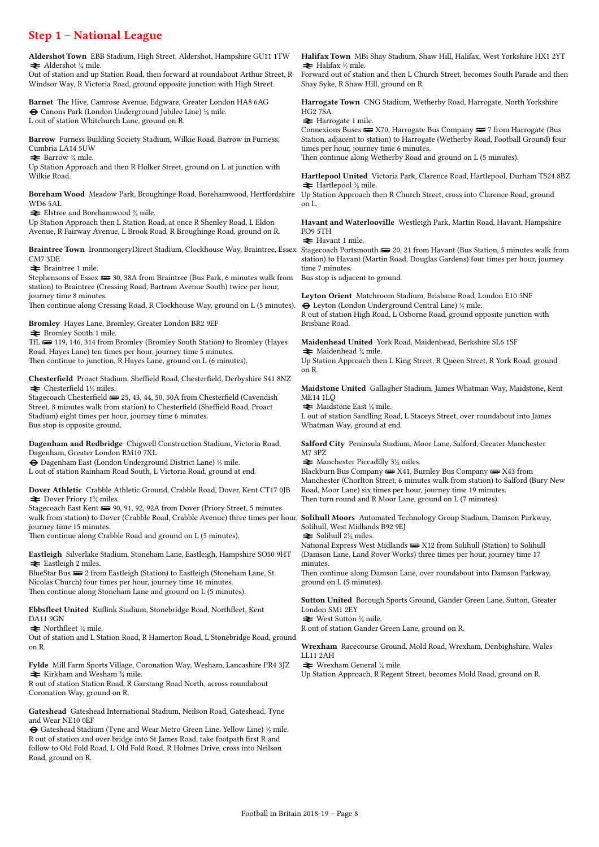### Step 1 – National League

Aldershot Town EBB Stadium, High Street, Aldershot, Hampshire GU11 1TW  $\blacktriangleright$  Aldershot ¼ mile.

Out of station and up Station Road, then forward at roundabout Arthur Street, R Windsor Way, R Victoria Road, ground opposite junction with High Street.

Barnet The Hive, Camrose Avenue, Edgware, Greater London HA8 6AG ® Canons Park (London Underground Jubilee Line) ¼ mile. L out of station Whitchurch Lane, ground on R.

Barrow Furness Building Society Stadium, Wilkie Road, Barrow in Furness, Cumbria LA14 5UW

 $\blacktriangleright$  Barrow  $\frac{3}{4}$  mile.

Up Station Approach and then R Holker Street, ground on L at junction with Wilkie Road.

Boreham Wood Meadow Park, Broughinge Road, Borehamwood, Hertfordshire Up Station Approach then R Church Street, cross into Clarence Road, ground WD6 5AL

 $\blacktriangleright$  Elstree and Borehamwood  $\mathcal{H}$  mile.

Up Station Approach then L Station Road, at once R Shenley Road, L Eldon Avenue, R Fairway Avenue, L Brook Road, R Broughinge Road, ground on R.

Braintree Town IronmongeryDirect Stadium, Clockhouse Way, Braintree, Essex Stagecoach Portsmouth  $\equiv$  20, 21 from Havant (Bus Station, 5 minutes walk from CM7 3DE

 $\blacktriangleright$  Braintree 1 mile.

Stephensons of Essex  $\equiv$  30, 38A from Braintree (Bus Park, 6 minutes walk from station) to Braintree (Cressing Road, Bartram Avenue South) twice per hour, journey time 8 minutes.

Then continue along Cressing Road, R Clockhouse Way, ground on L (5 minutes).

Bromley Hayes Lane, Bromley, Greater London BR2 9EF  $\blacktriangleright$  Bromley South 1 mile.

TfL **B** 119, 146, 314 from Bromley (Bromley South Station) to Bromley (Hayes Road, Hayes Lane) ten times per hour, journey time 5 minutes. Then continue to junction, R Hayes Lane, ground on L (6 minutes).

Chesterfield Proact Stadium, Sheffield Road, Chesterfield, Derbyshire S41 8NZ  $\blacktriangleright$  Chesterfield 1½ miles.

Stagecoach Chesterfield  $\equiv$  25, 43, 44, 50, 50A from Chesterfield (Cavendish Street, 8 minutes walk from station) to Chesterfield (Sheffield Road, Proact Stadium) eight times per hour, journey time 6 minutes. Bus stop is opposite ground.

Dagenham and Redbridge Chigwell Construction Stadium, Victoria Road, Dagenham, Greater London RM10 7XL

® Dagenham East (London Underground District Lane) ½ mile. L out of station Rainham Road South, L Victoria Road, ground at end.

Dover Athletic Crabble Athletic Ground, Crabble Road, Dover, Kent CT17 0JB  $\blacktriangleright$  Dover Priory 1<sup>3</sup>/<sub>4</sub> miles.

Stagecoach East Kent  $\equiv$  90, 91, 92, 92A from Dover (Priory Street, 5 minutes walk from station) to Dover (Crabble Road, Crabble Avenue) three times per hour, Solihull Moors Automated Technology Group Stadium, Damson Parkway, journey time 15 minutes.

Then continue along Crabble Road and ground on L (5 minutes).

Eastleigh Silverlake Stadium, Stoneham Lane, Eastleigh, Hampshire SO50 9HT  $\blacktriangleright$  Eastleigh 2 miles.

BlueStar Bus  $\equiv$  2 from Eastleigh (Station) to Eastleigh (Stoneham Lane, St Nicolas Church) four times per hour, journey time 16 minutes. Then continue along Stoneham Lane and ground on L (5 minutes).

Ebbsfleet United Kuflink Stadium, Stonebridge Road, Northfleet, Kent DA11 9GN

 $\blacktriangleright$  Northfleet  $\frac{1}{4}$  mile.

Out of station and L Station Road, R Hamerton Road, L Stonebridge Road, ground on R.

Fylde Mill Farm Sports Village, Coronation Way, Wesham, Lancashire PR4 3JZ  $\blacktriangleright$  Kirkham and Wesham  $\frac{3}{4}$  mile.

R out of station Station Road, R Garstang Road North, across roundabout Coronation Way, ground on R.

Gateshead Gateshead International Stadium, Neilson Road, Gateshead, Tyne and Wear NE10 0EF

 $\Theta$  Gateshead Stadium (Tyne and Wear Metro Green Line, Yellow Line)  $\frac{1}{2}$  mile. R out of station and over bridge into St James Road, take footpath first R and follow to Old Fold Road, L Old Fold Road, R Holmes Drive, cross into Neilson Road, ground on R.

Halifax Town MBi Shay Stadium, Shaw Hill, Halifax, West Yorkshire HX1 2YT  $\blacktriangleright$  Halifax ½ mile.

Forward out of station and then L Church Street, becomes South Parade and then Shay Syke, R Shaw Hill, ground on R.

Harrogate Town CNG Stadium, Wetherby Road, Harrogate, North Yorkshire HG2 7SA

 $\rightleftarrows$  Harrogate 1 mile.

Connexions Buses  $\equiv$  X70, Harrogate Bus Company  $\equiv$  7 from Harrogate (Bus Station, adjacent to station) to Harrogate (Wetherby Road, Football Ground) four times per hour, journey time 6 minutes. Then continue along Wetherby Road and ground on L (5 minutes).

Hartlepool United Victoria Park, Clarence Road, Hartlepool, Durham TS24 8BZ  $\blacktriangleright$  Hartlepool ½ mile.

on L.

Havant and Waterlooville Westleigh Park, Martin Road, Havant, Hampshire PO9 5TH

 $\blacktriangleright$  Havant 1 mile.

station) to Havant (Martin Road, Douglas Gardens) four times per hour, journey time 7 minutes.

Bus stop is adjacent to ground.

Leyton Orient Matchroom Stadium, Brisbane Road, London E10 5NF  $\Theta$  Leyton (London Underground Central Line)  $\frac{1}{2}$  mile.

R out of station High Road, L Osborne Road, ground opposite junction with Brisbane Road.

Maidenhead United York Road, Maidenhead, Berkshire SL6 1SF  $\blacktriangleright$  Maidenhead  $\frac{1}{2}$  mile.

Up Station Approach then L King Street, R Queen Street, R York Road, ground on R.

Maidstone United Gallagher Stadium, James Whatman Way, Maidstone, Kent ME14 1LQ

 $\blacktriangleright$  Maidstone East  $\frac{1}{4}$  mile. L out of station Sandling Road, L Staceys Street, over roundabout into James Whatman Way, ground at end.

Salford City Peninsula Stadium, Moor Lane, Salford, Greater Manchester M7 3PZ

 $\blacktriangleright$  Manchester Piccadilly 3½ miles.

Blackburn Bus Company **W** X41, Burnley Bus Company **W** X43 from Manchester (Chorlton Street, 6 minutes walk from station) to Salford (Bury New Road, Moor Lane) six times per hour, journey time 19 minutes. Then turn round and R Moor Lane, ground on L (7 minutes).

Solihull, West Midlands B92 9EJ

 $\geq$  Solihull 2½ miles.

National Express West Midlands **BED** X12 from Solihull (Station) to Solihull (Damson Lane, Land Rover Works) three times per hour, journey time 17 minutes.

Then continue along Damson Lane, over roundabout into Damson Parkway, ground on L (5 minutes).

Sutton United Borough Sports Ground, Gander Green Lane, Sutton, Greater London SM1 2EY

 $\blacktriangleright$  West Sutton ¼ mile.

R out of station Gander Green Lane, ground on R.

Wrexham Racecourse Ground, Mold Road, Wrexham, Denbighshire, Wales LL11 2AH

 $\blacktriangleright$  Wrexham General ¼ mile.

Up Station Approach, R Regent Street, becomes Mold Road, ground on R.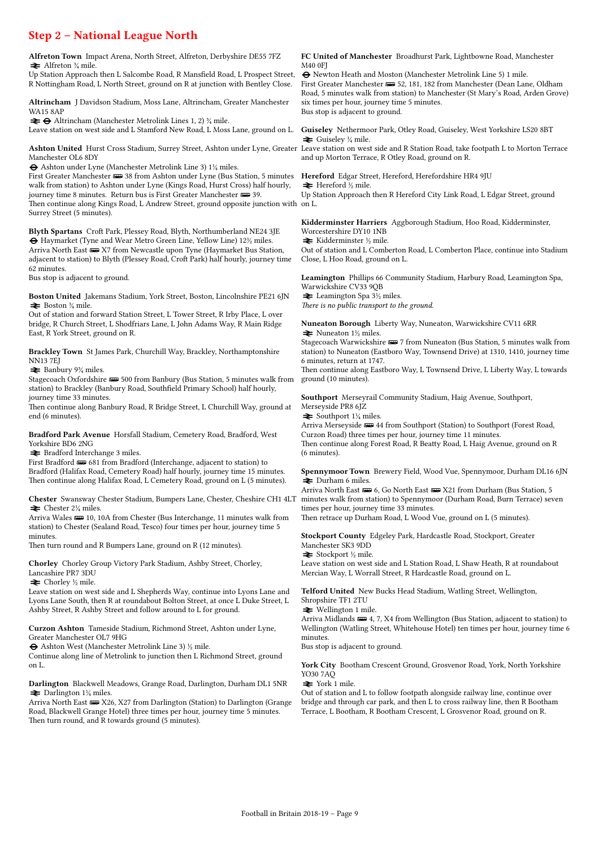### Step 2 – National League North

Alfreton Town Impact Arena, North Street, Alfreton, Derbyshire DE55 7FZ  $\triangleq$  Alfreton  $\frac{3}{4}$  mile.

Up Station Approach then L Salcombe Road, R Mansfield Road, L Prospect Street, R Nottingham Road, L North Street, ground on R at junction with Bentley Close.

Altrincham J Davidson Stadium, Moss Lane, Altrincham, Greater Manchester WA15 8AP

 $\bigstar \Theta$  Altrincham (Manchester Metrolink Lines 1, 2)  $\frac{3}{4}$  mile.

Leave station on west side and L Stamford New Road, L Moss Lane, ground on L.

Ashton United Hurst Cross Stadium, Surrey Street, Ashton under Lyne, Greater Leave station on west side and R Station Road, take footpath L to Morton Terrace Manchester OL6 8DY

® Ashton under Lyne (Manchester Metrolink Line 3) 1¼ miles.

First Greater Manchester  $\equiv$  38 from Ashton under Lyne (Bus Station, 5 minutes walk from station) to Ashton under Lyne (Kings Road, Hurst Cross) half hourly, journey time 8 minutes. Return bus is First Greater Manchester  $\equiv$  39. Then continue along Kings Road, L Andrew Street, ground opposite junction with on L. Surrey Street (5 minutes).

Blyth Spartans Croft Park, Plessey Road, Blyth, Northumberland NE24 3JE ® Haymarket (Tyne and Wear Metro Green Line, Yellow Line) 12½ miles. Arriva North East  $\equiv$  X7 from Newcastle upon Tyne (Haymarket Bus Station, adjacent to station) to Blyth (Plessey Road, Croft Park) half hourly, journey time 62 minutes.

Bus stop is adjacent to ground.

Boston United Jakemans Stadium, York Street, Boston, Lincolnshire PE21 6JN  $\blacktriangleright$  Boston  $\frac{3}{4}$  mile.

Out of station and forward Station Street, L Tower Street, R Irby Place, L over bridge, R Church Street, L Shodfriars Lane, L John Adams Way, R Main Ridge East, R York Street, ground on R.

Brackley Town St James Park, Churchill Way, Brackley, Northamptonshire NN13 7EJ

 $\blacktriangleright$  Banbury 9¼ miles.

Stagecoach Oxfordshire (500 from Banbury (Bus Station, 5 minutes walk from station) to Brackley (Banbury Road, Southfield Primary School) half hourly, journey time 33 minutes.

Then continue along Banbury Road, R Bridge Street, L Churchill Way, ground at end (6 minutes).

Bradford Park Avenue Horsfall Stadium, Cemetery Road, Bradford, West Yorkshire BD6 2NG

 $\blacktriangleright$  Bradford Interchange 3 miles.

First Bradford  $\overline{\bullet}$  681 from Bradford (Interchange, adjacent to station) to Bradford (Halifax Road, Cemetery Road) half hourly, journey time 15 minutes. Then continue along Halifax Road, L Cemetery Road, ground on L (5 minutes).

Chester Swansway Chester Stadium, Bumpers Lane, Chester, Cheshire CH1 4LT  $\blacktriangleright$  Chester 2¼ miles.

Arriva Wales  $\implies$  10, 10A from Chester (Bus Interchange, 11 minutes walk from station) to Chester (Sealand Road, Tesco) four times per hour, journey time 5 minutes.

Then turn round and R Bumpers Lane, ground on R (12 minutes).

Chorley Chorley Group Victory Park Stadium, Ashby Street, Chorley, Lancashire PR7 3DU

 $\triangleq$  Chorley ½ mile.

Leave station on west side and L Shepherds Way, continue into Lyons Lane and Lyons Lane South, then R at roundabout Bolton Street, at once L Duke Street, L Ashby Street, R Ashby Street and follow around to L for ground.

Curzon Ashton Tameside Stadium, Richmond Street, Ashton under Lyne, Greater Manchester OL7 9HG

® Ashton West (Manchester Metrolink Line 3) ½ mile.

Continue along line of Metrolink to junction then L Richmond Street, ground on L.

Darlington Blackwell Meadows, Grange Road, Darlington, Durham DL1 5NR  $\blacktriangleright$  Darlington 1¼ miles.

Arriva North East  $\equiv$  X26, X27 from Darlington (Station) to Darlington (Grange Road, Blackwell Grange Hotel) three times per hour, journey time 5 minutes. Then turn round, and R towards ground (5 minutes).

#### FC United of Manchester Broadhurst Park, Lightbowne Road, Manchester M40 0FJ

® Newton Heath and Moston (Manchester Metrolink Line 5) 1 mile. First Greater Manchester  $\equiv 52, 181, 182$  from Manchester (Dean Lane, Oldham Road, 5 minutes walk from station) to Manchester (St Mary's Road, Arden Grove) six times per hour, journey time 5 minutes. Bus stop is adjacent to ground.

Guiseley Nethermoor Park, Otley Road, Guiseley, West Yorkshire LS20 8BT  $\blacktriangleright$  Guiseley ¼ mile.

and up Morton Terrace, R Otley Road, ground on R.

Hereford Edgar Street, Hereford, Herefordshire HR4 9JU  $\blacktriangleright$  Hereford ½ mile.

Up Station Approach then R Hereford City Link Road, L Edgar Street, ground

Kidderminster Harriers Aggborough Stadium, Hoo Road, Kidderminster, Worcestershire DY10 1NB  $\blacktriangleright$  Kidderminster ½ mile.

Out of station and L Comberton Road, L Comberton Place, continue into Stadium Close, L Hoo Road, ground on L.

Leamington Phillips 66 Community Stadium, Harbury Road, Leamington Spa, Warwickshire CV33 9QB  $\blacktriangleright$  Leamington Spa 3½ miles There is no public transport to the ground.

Nuneaton Borough Liberty Way, Nuneaton, Warwickshire CV11 6RR  $\blacktriangleright$  Nuneaton 1½ miles.

Stagecoach Warwickshire  $\equiv$  7 from Nuneaton (Bus Station, 5 minutes walk from station) to Nuneaton (Eastboro Way, Townsend Drive) at 1310, 1410, journey time 6 minutes, return at 1747.

Then continue along Eastboro Way, L Townsend Drive, L Liberty Way, L towards ground (10 minutes).

Southport Merseyrail Community Stadium, Haig Avenue, Southport, Merseyside PR8 6JZ  $\blacktriangleright$  Southport 1¼ miles.

Arriva Merseyside  $\equiv$  44 from Southport (Station) to Southport (Forest Road, Curzon Road) three times per hour, journey time 11 minutes. Then continue along Forest Road, R Beatty Road, L Haig Avenue, ground on R (6 minutes).

Spennymoor Town Brewery Field, Wood Vue, Spennymoor, Durham DL16 6JN  $\Rightarrow$  Durham 6 miles.

Arriva North East  $\equiv 6$ , Go North East  $\equiv$  X21 from Durham (Bus Station, 5 minutes walk from station) to Spennymoor (Durham Road, Burn Terrace) seven times per hour, journey time 33 minutes.

Then retrace up Durham Road, L Wood Vue, ground on L (5 minutes).

Stockport County Edgeley Park, Hardcastle Road, Stockport, Greater Manchester SK3 9DD

 $\blacktriangleright$  Stockport ½ mile.

Leave station on west side and L Station Road, L Shaw Heath, R at roundabout Mercian Way, L Worrall Street, R Hardcastle Road, ground on L.

Telford United New Bucks Head Stadium, Watling Street, Wellington, Shropshire TF1 2TU

 $\bigstar$  Wellington 1 mile.

Arriva Midlands  $\equiv 4, 7, X4$  from Wellington (Bus Station, adjacent to station) to Wellington (Watling Street, Whitehouse Hotel) ten times per hour, journey time 6 minutes.

Bus stop is adjacent to ground.

York City Bootham Crescent Ground, Grosvenor Road, York, North Yorkshire YO30 7AQ

 $\blacktriangleright$  York 1 mile.

Out of station and L to follow footpath alongside railway line, continue over bridge and through car park, and then L to cross railway line, then R Bootham Terrace, L Bootham, R Bootham Crescent, L Grosvenor Road, ground on R.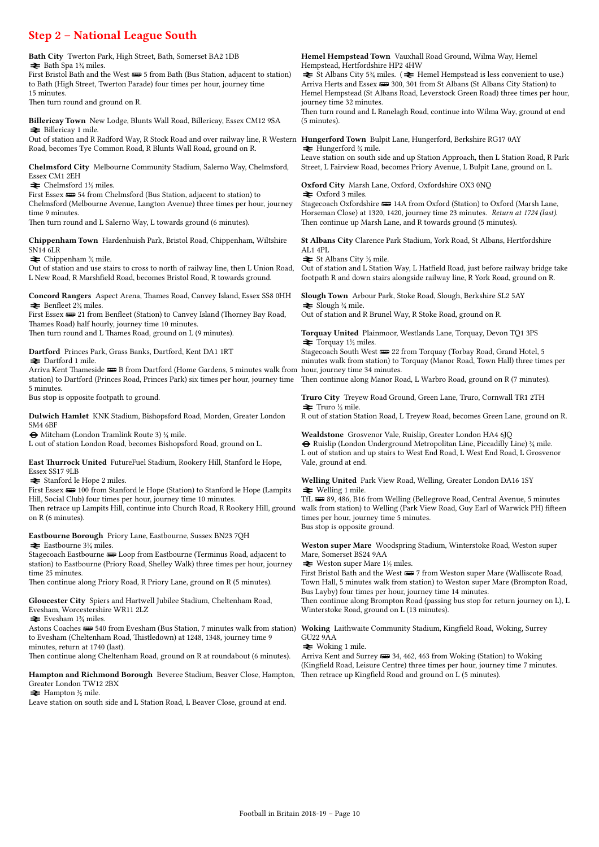### Step 2 – National League South

Bath City Twerton Park, High Street, Bath, Somerset BA2 1DB  $\blacktriangleright$  Bath Spa 1¼ miles.

First Bristol Bath and the West  $\equiv 5$  from Bath (Bus Station, adjacent to station) to Bath (High Street, Twerton Parade) four times per hour, journey time 15 minutes.

Then turn round and ground on R.

Billericay Town New Lodge, Blunts Wall Road, Billericay, Essex CM12 9SA  $\blacktriangleright$  Billericay 1 mile.

Out of station and R Radford Way, R Stock Road and over railway line, R Western **Hungerford Town** Bulpit Lane, Hungerford, Berkshire RG17 0AY Road, becomes Tye Common Road, R Blunts Wall Road, ground on R.

Chelmsford City Melbourne Community Stadium, Salerno Way, Chelmsford, Essex CM1 2EH

 $\blacktriangleright$  Chelmsford 1½ miles.

First Essex  $\equiv 54$  from Chelmsford (Bus Station, adjacent to station) to Chelmsford (Melbourne Avenue, Langton Avenue) three times per hour, journey time 9 minutes. Then turn round and L Salerno Way, L towards ground (6 minutes).

Chippenham Town Hardenhuish Park, Bristol Road, Chippenham, Wiltshire SN14 6LR

 $\blacktriangleright$  Chippenham  $\frac{3}{4}$  mile.

Out of station and use stairs to cross to north of railway line, then L Union Road, L New Road, R Marshfield Road, becomes Bristol Road, R towards ground.

Concord Rangers Aspect Arena, Thames Road, Canvey Island, Essex SS8 0HH  $\blacktriangleright$  Benfleet 2<sup>3</sup>/<sub>4</sub> miles.

First Essex  $\equiv$  21 from Benfleet (Station) to Canvey Island (Thorney Bay Road, Thames Road) half hourly, journey time 10 minutes. Then turn round and L Thames Road, ground on L (9 minutes).

Dartford Princes Park, Grass Banks, Dartford, Kent DA1 1RT

**≥** Dartford 1 mile. Arriva Kent Thameside — B from Dartford (Home Gardens, 5 minutes walk from hour, journey time 34 minutes. station) to Dartford (Princes Road, Princes Park) six times per hour, journey time 5 minutes.

Bus stop is opposite footpath to ground.

Dulwich Hamlet KNK Stadium, Bishopsford Road, Morden, Greater London SM4 6BF

® Mitcham (London Tramlink Route 3) ¼ mile.

L out of station London Road, becomes Bishopsford Road, ground on L.

East Thurrock United FutureFuel Stadium, Rookery Hill, Stanford le Hope, Essex SS17 9LB

 $\blacktriangleright$  Stanford le Hope 2 miles.

First Essex  $\implies$  100 from Stanford le Hope (Station) to Stanford le Hope (Lampits Hill, Social Club) four times per hour, journey time 10 minutes.

Then retrace up Lampits Hill, continue into Church Road, R Rookery Hill, ground on R (6 minutes).

Eastbourne Borough Priory Lane, Eastbourne, Sussex BN23 7QH  $\blacktriangleright$  Eastbourne 3¼ miles.

Stagecoach Eastbourne  $\equiv$  Loop from Eastbourne (Terminus Road, adjacent to station) to Eastbourne (Priory Road, Shelley Walk) three times per hour, journey time 25 minutes.

Then continue along Priory Road, R Priory Lane, ground on R (5 minutes).

Gloucester City Spiers and Hartwell Jubilee Stadium, Cheltenham Road, Evesham, Worcestershire WR11 2LZ

 $\equiv$  Evesham 1% miles.

Astons Coaches  $\equiv$  540 from Evesham (Bus Station, 7 minutes walk from station) to Evesham (Cheltenham Road, Thistledown) at 1248, 1348, journey time 9 minutes, return at 1740 (last).

Then continue along Cheltenham Road, ground on R at roundabout (6 minutes).

Hampton and Richmond Borough Beveree Stadium, Beaver Close, Hampton, Greater London TW12 2BX

 $\rightleftharpoons$  Hampton ½ mile.

Leave station on south side and L Station Road, L Beaver Close, ground at end.

Hemel Hempstead Town Vauxhall Road Ground, Wilma Way, Hemel Hempstead, Hertfordshire HP2 4HW

 $\triangleq$  St Albans City 5<sup>3</sup>/<sub>4</sub> miles. ( $\triangleq$  Hemel Hempstead is less convenient to use.) Arriva Herts and Essex  $\equiv$  300, 301 from St Albans (St Albans City Station) to Hemel Hempstead (St Albans Road, Leverstock Green Road) three times per hour, journey time 32 minutes.

Then turn round and L Ranelagh Road, continue into Wilma Way, ground at end (5 minutes).

 $\rightleftharpoons$  Hungerford  $\frac{3}{4}$  mile.

Leave station on south side and up Station Approach, then L Station Road, R Park Street, L Fairview Road, becomes Priory Avenue, L Bulpit Lane, ground on L.

Oxford City Marsh Lane, Oxford, Oxfordshire OX3 0NQ  $\geq$  Oxford 3 miles.

Stagecoach Oxfordshire  $\equiv 14A$  from Oxford (Station) to Oxford (Marsh Lane, Horseman Close) at 1320, 1420, journey time 23 minutes. Return at 1724 (last). Then continue up Marsh Lane, and R towards ground (5 minutes).

St Albans City Clarence Park Stadium, York Road, St Albans, Hertfordshire AL1 4PL

 $\blacktriangleright$  St Albans City ½ mile.

Out of station and L Station Way, L Hatfield Road, just before railway bridge take footpath R and down stairs alongside railway line, R York Road, ground on R.

Slough Town Arbour Park, Stoke Road, Slough, Berkshire SL2 5AY  $\triangleq$  Slough  $\frac{3}{4}$  mile.

Out of station and R Brunel Way, R Stoke Road, ground on R.

Torquay United Plainmoor, Westlands Lane, Torquay, Devon TQ1 3PS  $\blacktriangleright$  Torquay 1½ miles.

Stagecoach South West  $\equiv$  22 from Torquay (Torbay Road, Grand Hotel, 5 minutes walk from station) to Torquay (Manor Road, Town Hall) three times per

Then continue along Manor Road, L Warbro Road, ground on R (7 minutes).

Truro City Treyew Road Ground, Green Lane, Truro, Cornwall TR1 2TH  $\blacktriangleright$  Truro ½ mile.

R out of station Station Road, L Treyew Road, becomes Green Lane, ground on R.

Wealdstone Grosvenor Vale, Ruislip, Greater London HA4 6JQ ® Ruislip (London Underground Metropolitan Line, Piccadilly Line) ¾ mile. L out of station and up stairs to West End Road, L West End Road, L Grosvenor Vale, ground at end.

Welling United Park View Road, Welling, Greater London DA16 1SY  $\blacktriangleright$  Welling 1 mile.

TfL  $\equiv$  89, 486, B16 from Welling (Bellegrove Road, Central Avenue, 5 minutes walk from station) to Welling (Park View Road, Guy Earl of Warwick PH) fifteen times per hour, journey time 5 minutes. Bus stop is opposite ground.

Weston super Mare Woodspring Stadium, Winterstoke Road, Weston super Mare, Somerset BS24 9AA

 $\blacktriangleright$  Weston super Mare 1½ miles.

First Bristol Bath and the West  $\equiv$  7 from Weston super Mare (Walliscote Road, Town Hall, 5 minutes walk from station) to Weston super Mare (Brompton Road, Bus Layby) four times per hour, journey time 14 minutes. Then continue along Brompton Road (passing bus stop for return journey on L), L Winterstoke Road, ground on L (13 minutes).

Woking Laithwaite Community Stadium, Kingfield Road, Woking, Surrey GU22 9AA

 $\blacktriangleright$  Woking 1 mile.

Arriva Kent and Surrey  $\equiv$  34, 462, 463 from Woking (Station) to Woking (Kingfield Road, Leisure Centre) three times per hour, journey time 7 minutes. Then retrace up Kingfield Road and ground on L (5 minutes).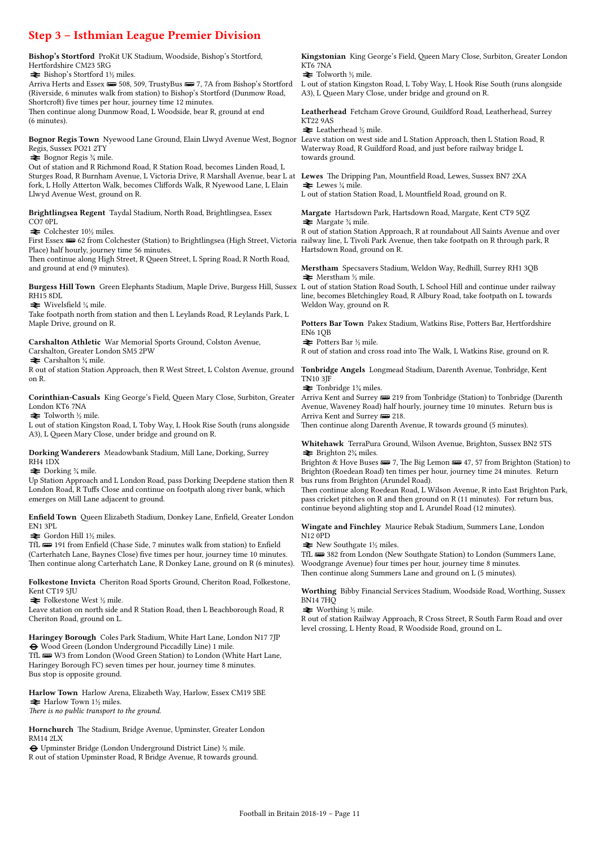Step 3 – Isthmian League Premier Division Bishop's Stortford ProKit UK Stadium, Woodside, Bishop's Stortford, Hertfordshire CM23 5RG  $\blacktriangleright$  Bishop's Stortford 1½ miles. Arriva Herts and Essex  $\equiv$  508, 509, TrustyBus  $\equiv$  7, 7A from Bishop's Stortford (Riverside, 6 minutes walk from station) to Bishop's Stortford (Dunmow Road, Shortcroft) five times per hour, journey time 12 minutes. Then continue along Dunmow Road, L Woodside, bear R, ground at end (6 minutes). Bognor Regis Town Nyewood Lane Ground, Elain Llwyd Avenue West, Bognor Leave station on west side and L Station Approach, then L Station Road, R Regis, Sussex PO21 2TY  $\blacktriangleright$  Bognor Regis  $\frac{3}{4}$  mile. Out of station and R Richmond Road, R Station Road, becomes Linden Road, L Sturges Road, R Burnham Avenue, L Victoria Drive, R Marshall Avenue, bear L at **Lewes** The Dripping Pan, Mountfield Road, Lewes, Sussex BN7 2XA fork, L Holly Atterton Walk, becomes Cliffords Walk, R Nyewood Lane, L Elain Llwyd Avenue West, ground on R. Brightlingsea Regent Taydal Stadium, North Road, Brightlingsea, Essex CO7 0PL  $\blacktriangleright$  Colchester 10½ miles. First Essex  $\equiv 62$  from Colchester (Station) to Brightlingsea (High Street, Victoria Place) half hourly, journey time 56 minutes. Then continue along High Street, R Queen Street, L Spring Road, R North Road, and ground at end (9 minutes). Burgess Hill Town Green Elephants Stadium, Maple Drive, Burgess Hill, Sussex RH15 8DL  $\blacktriangleright$  Wivelsfield ¼ mile. Take footpath north from station and then L Leylands Road, R Leylands Park, L Maple Drive, ground on R. Carshalton Athletic War Memorial Sports Ground, Colston Avenue, Carshalton, Greater London SM5 2PW  $\triangleq$  Carshalton ¼ mile. R out of station Station Approach, then R West Street, L Colston Avenue, ground on R. Corinthian-Casuals King George's Field, Queen Mary Close, Surbiton, Greater London KT6 7NA  $\blacktriangleright$  Tolworth ½ mile. L out of station Kingston Road, L Toby Way, L Hook Rise South (runs alongside A3), L Queen Mary Close, under bridge and ground on R. Dorking Wanderers Meadowbank Stadium, Mill Lane, Dorking, Surrey RH4 1DX  $\blacktriangleright$  Dorking  $\frac{3}{4}$  mile. Up Station Approach and L London Road, pass Dorking Deepdene station then R London Road, R Tuffs Close and continue on footpath along river bank, which emerges on Mill Lane adjacent to ground. Enfield Town Queen Elizabeth Stadium, Donkey Lane, Enfield, Greater London EN1 3PL  $\blacktriangleright$  Gordon Hill 1½ miles. TfL  $\equiv$  191 from Enfield (Chase Side, 7 minutes walk from station) to Enfield (Carterhatch Lane, Baynes Close) five times per hour, journey time 10 minutes. Kingstonian King George's Field, Queen Mary Close, Surbiton, Greater London KT6 7NA  $\blacktriangleright$  Tolworth  $\frac{1}{2}$  mile. L out of station Kingston Road, L Toby Way, L Hook Rise South (runs alongside A3), L Queen Mary Close, under bridge and ground on R. Leatherhead Fetcham Grove Ground, Guildford Road, Leatherhead, Surrey KT22 9AS  $\blacktriangleright$  Leatherhead ½ mile. Waterway Road, R Guildford Road, and just before railway bridge L towards ground.  $\blacktriangleright$  Lewes  $\frac{1}{4}$  mile. L out of station Station Road, L Mountfield Road, ground on R. Margate Hartsdown Park, Hartsdown Road, Margate, Kent CT9 5QZ  $\rightleftharpoons$  Margate  $\frac{3}{4}$  mile. R out of station Station Approach, R at roundabout All Saints Avenue and over railway line, L Tivoli Park Avenue, then take footpath on R through park, R Hartsdown Road, ground on R. Merstham Specsavers Stadium, Weldon Way, Redhill, Surrey RH1 3QB  $\blacktriangleright$  Merstham ½ mile. L out of station Station Road South, L School Hill and continue under railway line, becomes Bletchingley Road, R Albury Road, take footpath on L towards Weldon Way, ground on R. Potters Bar Town Pakex Stadium, Watkins Rise, Potters Bar, Hertfordshire EN6 1QB  $\blacktriangleright$  Potters Bar ½ mile. R out of station and cross road into The Walk, L Watkins Rise, ground on R. Tonbridge Angels Longmead Stadium, Darenth Avenue, Tonbridge, Kent TN10 3JF  $\blacktriangleright$  Tonbridge 1¼ miles. Arriva Kent and Surrey  $\implies$  219 from Tonbridge (Station) to Tonbridge (Darenth Avenue, Waveney Road) half hourly, journey time 10 minutes. Return bus is Arriva Kent and Surrey  $\Box$  218 Then continue along Darenth Avenue, R towards ground (5 minutes). Whitehawk TerraPura Ground, Wilson Avenue, Brighton, Sussex BN2 5TS  $\triangleq$  Brighton 2<sup>3</sup>/<sub>4</sub> miles. Brighton & Hove Buses  $\equiv 7$ , The Big Lemon  $\equiv 47, 57$  from Brighton (Station) to Brighton (Roedean Road) ten times per hour, journey time 24 minutes. Return bus runs from Brighton (Arundel Road). Then continue along Roedean Road, L Wilson Avenue, R into East Brighton Park, pass cricket pitches on R and then ground on R (11 minutes). For return bus, continue beyond alighting stop and L Arundel Road (12 minutes). Wingate and Finchley Maurice Rebak Stadium, Summers Lane, London N12 0PD  $\blacktriangleright$  New Southgate 1½ miles. TfL **w** 382 from London (New Southgate Station) to London (Summers Lane,

Then continue along Carterhatch Lane, R Donkey Lane, ground on R (6 minutes). Woodgrange Avenue) four times per hour, journey time 8 minutes. Then continue along Summers Lane and ground on L (5 minutes).

Folkestone Invicta Cheriton Road Sports Ground, Cheriton Road, Folkestone, Kent CT19 5IU

 $\blacktriangleright$  Folkestone West ½ mile.

Bus stop is opposite ground.

Leave station on north side and R Station Road, then L Beachborough Road, R Cheriton Road, ground on L.

Haringey Borough Coles Park Stadium, White Hart Lane, London N17 7JP ® Wood Green (London Underground Piccadilly Line) 1 mile. TfL **W**3 from London (Wood Green Station) to London (White Hart Lane, Haringey Borough FC) seven times per hour, journey time 8 minutes.

Harlow Town Harlow Arena, Elizabeth Way, Harlow, Essex CM19 5BE  $\blacktriangleright$  Harlow Town 1½ miles. There is no public transport to the ground.

Hornchurch The Stadium, Bridge Avenue, Upminster, Greater London RM14 2LX

® Upminster Bridge (London Underground District Line) ½ mile. R out of station Upminster Road, R Bridge Avenue, R towards ground. Worthing Bibby Financial Services Stadium, Woodside Road, Worthing, Sussex BN14 7HQ

 $\blacktriangleright$  Worthing ½ mile.

R out of station Railway Approach, R Cross Street, R South Farm Road and over level crossing, L Henty Road, R Woodside Road, ground on L.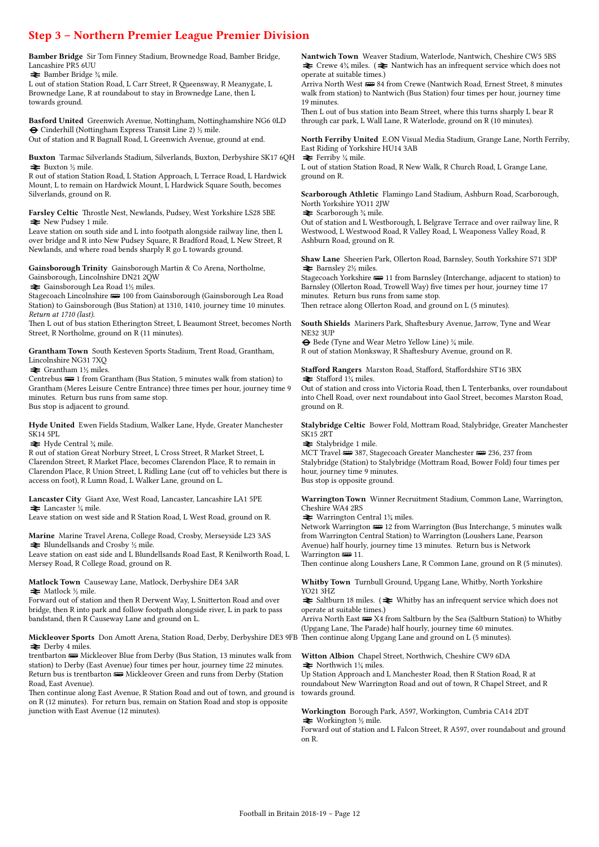### Step 3 – Northern Premier League Premier Division

Bamber Bridge Sir Tom Finney Stadium, Brownedge Road, Bamber Bridge, Lancashire PR5 6UU

 $\blacktriangleright$  Bamber Bridge  $\frac{3}{4}$  mile.

L out of station Station Road, L Carr Street, R Queensway, R Meanygate, L Brownedge Lane, R at roundabout to stay in Brownedge Lane, then L towards ground.

Basford United Greenwich Avenue, Nottingham, Nottinghamshire NG6 0LD  $\Theta$  Cinderhill (Nottingham Express Transit Line 2)  $\frac{1}{2}$  mile. Out of station and R Bagnall Road, L Greenwich Avenue, ground at end.

Buxton Tarmac Silverlands Stadium, Silverlands, Buxton, Derbyshire SK17 6QH  $\blacktriangleright$  Buxton ½ mile.

R out of station Station Road, L Station Approach, L Terrace Road, L Hardwick Mount, L to remain on Hardwick Mount, L Hardwick Square South, becomes Silverlands, ground on R.

Farsley Celtic Throstle Nest, Newlands, Pudsey, West Yorkshire LS28 5BE  $\blacktriangleright$  New Pudsey 1 mile.

Leave station on south side and L into footpath alongside railway line, then L over bridge and R into New Pudsey Square, R Bradford Road, L New Street, R Newlands, and where road bends sharply R go L towards ground.

Gainsborough Trinity Gainsborough Martin & Co Arena, Northolme,

Gainsborough, Lincolnshire DN21 2QW

 $\blacktriangleright$  Gainsborough Lea Road 1½ miles.

Stagecoach Lincolnshire  $\equiv$  100 from Gainsborough (Gainsborough Lea Road Station) to Gainsborough (Bus Station) at 1310, 1410, journey time 10 minutes. Return at 1710 (last).

Then L out of bus station Etherington Street, L Beaumont Street, becomes North Street, R Northolme, ground on R (11 minutes).

Grantham Town South Kesteven Sports Stadium, Trent Road, Grantham, Lincolnshire NG31 7XQ

 $\blacktriangleright$  Grantham 1½ miles.

Centrebus  $\equiv 1$  from Grantham (Bus Station, 5 minutes walk from station) to Grantham (Meres Leisure Centre Entrance) three times per hour, journey time 9 minutes. Return bus runs from same stop. Bus stop is adjacent to ground.

Hyde United Ewen Fields Stadium, Walker Lane, Hyde, Greater Manchester SK14 5PL

 $\blacktriangleright$  Hyde Central  $\frac{3}{4}$  mile.

R out of station Great Norbury Street, L Cross Street, R Market Street, L Clarendon Street, R Market Place, becomes Clarendon Place, R to remain in Clarendon Place, R Union Street, L Ridling Lane (cut off to vehicles but there is access on foot), R Lumn Road, L Walker Lane, ground on L.

#### Lancaster City Giant Axe, West Road, Lancaster, Lancashire LA1 5PE  $\blacktriangleright$  Lancaster  $\frac{1}{4}$  mile.

Leave station on west side and R Station Road, L West Road, ground on R.

Marine Marine Travel Arena, College Road, Crosby, Merseyside L23 3AS  $\blacktriangleright$  Blundellsands and Crosby  $\frac{1}{2}$  mile.

Leave station on east side and L Blundellsands Road East, R Kenilworth Road, L Mersey Road, R College Road, ground on R.

#### Matlock Town Causeway Lane, Matlock, Derbyshire DE4 3AR  $\blacktriangleright$  Matlock ½ mile.

Forward out of station and then R Derwent Way, L Snitterton Road and over bridge, then R into park and follow footpath alongside river, L in park to pass bandstand, then R Causeway Lane and ground on L.

#### Mickleover Sports Don Amott Arena, Station Road, Derby, Derbyshire DE3 9FB Then continue along Upgang Lane and ground on L (5 minutes).  $\blacktriangleright$  Derby 4 miles.

trentbarton  $\blacksquare$  Mickleover Blue from Derby (Bus Station, 13 minutes walk from station) to Derby (East Avenue) four times per hour, journey time 22 minutes. Return bus is trentbarton  $\equiv$  Mickleover Green and runs from Derby (Station Road, East Avenue).

Then continue along East Avenue, R Station Road and out of town, and ground is on R (12 minutes). For return bus, remain on Station Road and stop is opposite junction with East Avenue (12 minutes).

Nantwich Town Weaver Stadium, Waterlode, Nantwich, Cheshire CW5 5BS  $\triangleq$  Crewe 4¼ miles. ( $\triangleq$  Nantwich has an infrequent service which does not operate at suitable times.)

Arriva North West  $\equiv$  84 from Crewe (Nantwich Road, Ernest Street, 8 minutes walk from station) to Nantwich (Bus Station) four times per hour, journey time 19 minutes.

Then L out of bus station into Beam Street, where this turns sharply L bear R through car park, L Wall Lane, R Waterlode, ground on R (10 minutes).

North Ferriby United E.ON Visual Media Stadium, Grange Lane, North Ferriby, East Riding of Yorkshire HU14 3AB

 $\blacktriangleright$  Ferriby ¼ mile. L out of station Station Road, R New Walk, R Church Road, L Grange Lane, ground on R.

Scarborough Athletic Flamingo Land Stadium, Ashburn Road, Scarborough, North Yorkshire YO11 2JW

 $\blacktriangleright$  Scarborough  $\frac{3}{4}$  mile.

Out of station and L Westborough, L Belgrave Terrace and over railway line, R Westwood, L Westwood Road, R Valley Road, L Weaponess Valley Road, R Ashburn Road, ground on R.

Shaw Lane Sheerien Park, Ollerton Road, Barnsley, South Yorkshire S71 3DP  $\blacktriangleright$  Barnsley 2½ miles.

Stagecoach Yorkshire  $\equiv$  11 from Barnsley (Interchange, adjacent to station) to Barnsley (Ollerton Road, Trowell Way) five times per hour, journey time 17 minutes. Return bus runs from same stop. Then retrace along Ollerton Road, and ground on L (5 minutes).

South Shields Mariners Park, Shaftesbury Avenue, Jarrow, Tyne and Wear NE32 3UP

® Bede (Tyne and Wear Metro Yellow Line) ¼ mile. R out of station Monksway, R Shaftesbury Avenue, ground on R.

Stafford Rangers Marston Road, Stafford, Staffordshire ST16 3BX  $\triangleq$  Stafford 1¼ miles.

Out of station and cross into Victoria Road, then L Tenterbanks, over roundabout into Chell Road, over next roundabout into Gaol Street, becomes Marston Road, ground on R.

Stalybridge Celtic Bower Fold, Mottram Road, Stalybridge, Greater Manchester SK15 2RT

 $\blacktriangleright$  Stalybridge 1 mile.

MCT Travel  $\equiv$  387, Stagecoach Greater Manchester  $\equiv$  236, 237 from Stalybridge (Station) to Stalybridge (Mottram Road, Bower Fold) four times per hour, journey time 9 minutes. Bus stop is opposite ground.

Warrington Town Winner Recruitment Stadium, Common Lane, Warrington, Cheshire WA4 2RS

 $\blacktriangleright$  Warrington Central 1¼ miles.

Network Warrington  $\equiv 12$  from Warrington (Bus Interchange, 5 minutes walk from Warrington Central Station) to Warrington (Loushers Lane, Pearson Avenue) half hourly, journey time 13 minutes. Return bus is Network Warrington  $\equiv$  11.

Then continue along Loushers Lane, R Common Lane, ground on R (5 minutes).

Whitby Town Turnbull Ground, Upgang Lane, Whitby, North Yorkshire YO21 3HZ

 $\blacktriangleright$  Saltburn 18 miles. ( $\blacktriangleright$  Whitby has an infrequent service which does not operate at suitable times.)

Arriva North East  $\equiv$  X4 from Saltburn by the Sea (Saltburn Station) to Whitby (Upgang Lane, The Parade) half hourly, journey time 60 minutes.

#### Witton Albion Chapel Street, Northwich, Cheshire CW9 6DA  $\blacktriangleright$  Northwich 1¼ miles.

Up Station Approach and L Manchester Road, then R Station Road, R at roundabout New Warrington Road and out of town, R Chapel Street, and R towards ground.

Workington Borough Park, A597, Workington, Cumbria CA14 2DT  $\blacktriangleright$  Workington ½ mile.

Forward out of station and L Falcon Street, R A597, over roundabout and ground on R.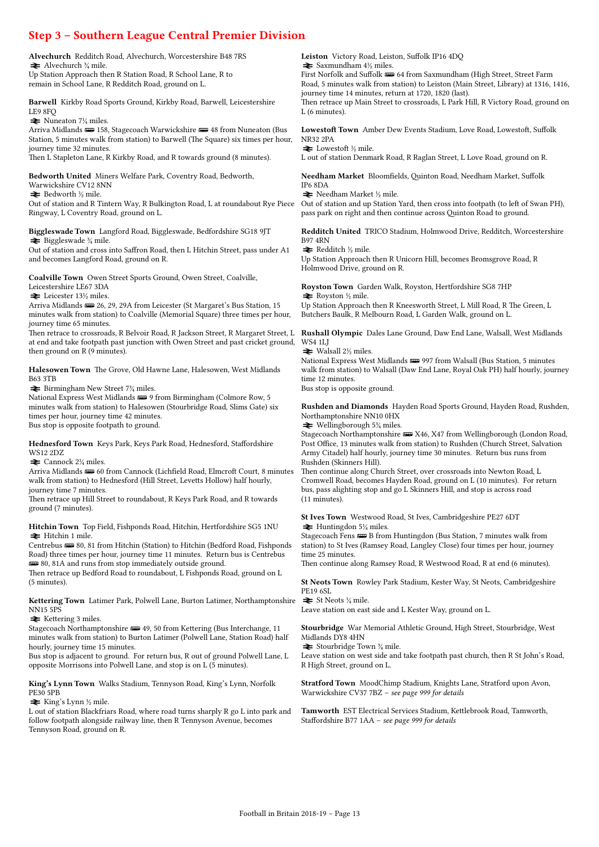## Step 3 – Southern League Central Premier Division

Alvechurch Redditch Road, Alvechurch, Worcestershire B48 7RS  $\blacktriangleright$  Alvechurch ¼ mile. Up Station Approach then R Station Road, R School Lane, R to remain in School Lane, R Redditch Road, ground on L.

Barwell Kirkby Road Sports Ground, Kirkby Road, Barwell, Leicestershire LE9 8FQ

 $\blacktriangleright$  Nuneaton 7¼ miles.

Arriva Midlands  $\equiv$  158, Stagecoach Warwickshire  $\equiv$  48 from Nuneaton (Bus Station, 5 minutes walk from station) to Barwell (The Square) six times per hour, journey time 32 minutes.

Then L Stapleton Lane, R Kirkby Road, and R towards ground (8 minutes).

Bedworth United Miners Welfare Park, Coventry Road, Bedworth,

Warwickshire CV12 8NN  $\blacktriangleright$  Bedworth ½ mile.

Out of station and R Tintern Way, R Bulkington Road, L at roundabout Rye Piece Ringway, L Coventry Road, ground on L.

Biggleswade Town Langford Road, Biggleswade, Bedfordshire SG18 9JT  $\blacktriangleright$  Biggleswade ¼ mile.

Out of station and cross into Saffron Road, then L Hitchin Street, pass under A1 and becomes Langford Road, ground on R.

Coalville Town Owen Street Sports Ground, Owen Street, Coalville, Leicestershire LE67 3DA

 $\blacktriangleright$  Leicester 13½ miles.

Arriva Midlands (29, 29, 29A from Leicester (St Margaret's Bus Station, 15 minutes walk from station) to Coalville (Memorial Square) three times per hour, journey time 65 minutes.

Then retrace to crossroads, R Belvoir Road, R Jackson Street, R Margaret Street, L at end and take footpath past junction with Owen Street and past cricket ground, then ground on R (9 minutes).

Halesowen Town The Grove, Old Hawne Lane, Halesowen, West Midlands B63 3TB

 $\blacktriangleright$  Birmingham New Street 7¼ miles.

National Express West Midlands  $\implies$  9 from Birmingham (Colmore Row, 5 minutes walk from station) to Halesowen (Stourbridge Road, Slims Gate) six times per hour, journey time 42 minutes. Bus stop is opposite footpath to ground.

Hednesford Town Keys Park, Keys Park Road, Hednesford, Staffordshire

WS12 2DZ  $\blacktriangleright$  Cannock 2¼ miles.

Arriva Midlands **(1)** 60 from Cannock (Lichfield Road, Elmcroft Court, 8 minutes walk from station) to Hednesford (Hill Street, Levetts Hollow) half hourly, journey time 7 minutes.

Then retrace up Hill Street to roundabout, R Keys Park Road, and R towards ground (7 minutes).

Hitchin Town Top Field, Fishponds Road, Hitchin, Hertfordshire SG5 1NU  $\equiv$  Hitchin 1 mile.

Centrebus  $\equiv$  80, 81 from Hitchin (Station) to Hitchin (Bedford Road, Fishponds Road) three times per hour, journey time 11 minutes. Return bus is Centrebus **ED** 80, 81A and runs from stop immediately outside ground.

Then retrace up Bedford Road to roundabout, L Fishponds Road, ground on L (5 minutes).

Kettering Town Latimer Park, Polwell Lane, Burton Latimer, Northamptonshire NN15 5PS

 $\blacktriangleright$  Kettering 3 miles.

Stagecoach Northamptonshire  $\equiv$  49, 50 from Kettering (Bus Interchange, 11 minutes walk from station) to Burton Latimer (Polwell Lane, Station Road) half hourly, journey time 15 minutes.

Bus stop is adjacent to ground. For return bus, R out of ground Polwell Lane, L opposite Morrisons into Polwell Lane, and stop is on L (5 minutes).

King's Lynn Town Walks Stadium, Tennyson Road, King's Lynn, Norfolk PE30 5PB

 $\blacktriangleright$  King's Lynn ½ mile.

L out of station Blackfriars Road, where road turns sharply R go L into park and follow footpath alongside railway line, then R Tennyson Avenue, becomes Tennyson Road, ground on R.

Leiston Victory Road, Leiston, Suffolk IP16 4DQ  $\blacktriangleright$  Saxmundham  $4\frac{1}{2}$  miles.

First Norfolk and Suffolk  $\equiv$  64 from Saxmundham (High Street, Street Farm Road, 5 minutes walk from station) to Leiston (Main Street, Library) at 1316, 1416, journey time 14 minutes, return at 1720, 1820 (last).

Then retrace up Main Street to crossroads, L Park Hill, R Victory Road, ground on L (6 minutes).

Lowestoft Town Amber Dew Events Stadium, Love Road, Lowestoft, Suffolk NR32 2PA

#### $\blacktriangleright$  Lowestoft ½ mile.

L out of station Denmark Road, R Raglan Street, L Love Road, ground on R.

Needham Market Bloomfields, Quinton Road, Needham Market, Suffolk IP6 8DA

 $\blacktriangleright$  Needham Market ½ mile.

Out of station and up Station Yard, then cross into footpath (to left of Swan PH), pass park on right and then continue across Quinton Road to ground.

Redditch United TRICO Stadium, Holmwood Drive, Redditch, Worcestershire B97 4RN

 $\blacktriangleright$  Redditch ½ mile.

Up Station Approach then R Unicorn Hill, becomes Bromsgrove Road, R Holmwood Drive, ground on R.

Royston Town Garden Walk, Royston, Hertfordshire SG8 7HP  $\blacktriangleright$  Royston ½ mile.

Up Station Approach then R Kneesworth Street, L Mill Road, R The Green, L Butchers Baulk, R Melbourn Road, L Garden Walk, ground on L.

Rushall Olympic Dales Lane Ground, Daw End Lane, Walsall, West Midlands WS4 1LJ

 $\blacktriangleright$  Walsall 2½ miles.

National Express West Midlands (1997 from Walsall (Bus Station, 5 minutes) walk from station) to Walsall (Daw End Lane, Royal Oak PH) half hourly, journey time 12 minutes.

Bus stop is opposite ground.

Rushden and Diamonds Hayden Road Sports Ground, Hayden Road, Rushden, Northamptonshire NN10 0HX

 $\blacktriangleright$  Wellingborough 5<sup>3</sup>/<sub>4</sub> miles.

Stagecoach Northamptonshire  $\equiv$  X46, X47 from Wellingborough (London Road, Post Office, 13 minutes walk from station) to Rushden (Church Street, Salvation Army Citadel) half hourly, journey time 30 minutes. Return bus runs from Rushden (Skinners Hill).

Then continue along Church Street, over crossroads into Newton Road, L Cromwell Road, becomes Hayden Road, ground on L (10 minutes). For return bus, pass alighting stop and go L Skinners Hill, and stop is across road (11 minutes).

St Ives Town Westwood Road, St Ives, Cambridgeshire PE27 6DT  $\blacktriangleright$  Huntingdon 5¼ miles.

Stagecoach Fens **WB** B from Huntingdon (Bus Station, 7 minutes walk from station) to St Ives (Ramsey Road, Langley Close) four times per hour, journey time 25 minutes.

Then continue along Ramsey Road, R Westwood Road, R at end (6 minutes).

St Neots Town Rowley Park Stadium, Kester Way, St Neots, Cambridgeshire PE19 6SL

 $\blacktriangleright$  St Neots ¼ mile.

Leave station on east side and L Kester Way, ground on L.

Stourbridge War Memorial Athletic Ground, High Street, Stourbridge, West Midlands DY8 4HN

 $\blacktriangleright$  Stourbridge Town  $\frac{3}{4}$  mile.

Leave station on west side and take footpath past church, then R St John's Road, R High Street, ground on L.

Stratford Town MoodChimp Stadium, Knights Lane, Stratford upon Avon, Warwickshire CV37 7BZ – see page 999 for details

Tamworth EST Electrical Services Stadium, Kettlebrook Road, Tamworth, Staffordshire B77 1AA – see page 999 for details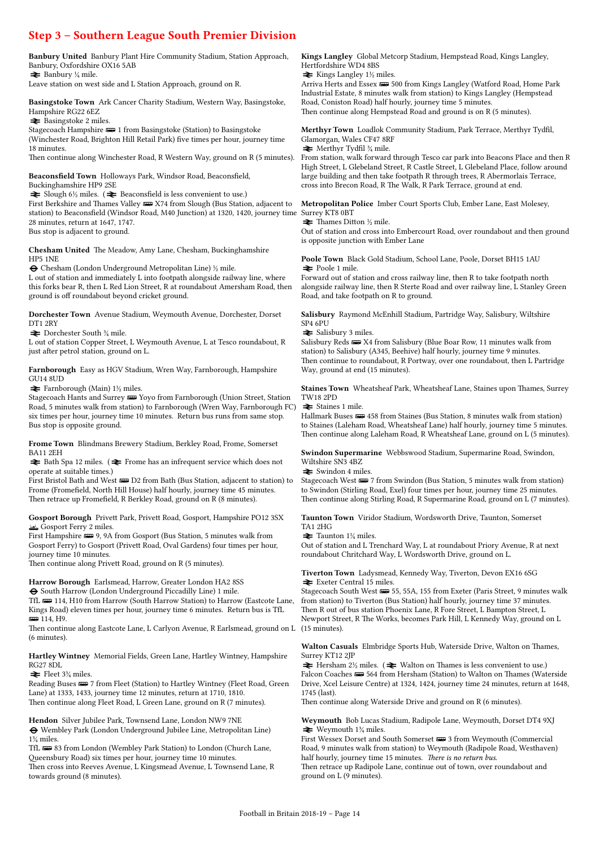### Step 3 – Southern League South Premier Division

Banbury United Banbury Plant Hire Community Stadium, Station Approach, Banbury, Oxfordshire OX16 5AB  $\blacktriangleright$  Banbury ¼ mile.

Leave station on west side and L Station Approach, ground on R.

Basingstoke Town Ark Cancer Charity Stadium, Western Way, Basingstoke, Hampshire RG22 6EZ

 $\blacktriangleright$  Basingstoke 2 miles.

Stagecoach Hampshire  $\equiv 1$  from Basingstoke (Station) to Basingstoke (Winchester Road, Brighton Hill Retail Park) five times per hour, journey time 18 minutes.

Then continue along Winchester Road, R Western Way, ground on R (5 minutes).

Beaconsfield Town Holloways Park, Windsor Road, Beaconsfield, Buckinghamshire HP9 2SE

 $\triangleq$  Slough 6½ miles. ( $\triangleq$  Beaconsfield is less convenient to use.)

First Berkshire and Thames Valley  $\equiv$  X74 from Slough (Bus Station, adjacent to station) to Beaconsfield (Windsor Road, M40 Junction) at 1320, 1420, journey time Surrey KT8 0BT 28 minutes, return at 1647, 1747. Bus stop is adjacent to ground.

Chesham United The Meadow, Amy Lane, Chesham, Buckinghamshire HP5 1NE

® Chesham (London Underground Metropolitan Line) ½ mile.

L out of station and immediately L into footpath alongside railway line, where this forks bear R, then L Red Lion Street, R at roundabout Amersham Road, then ground is off roundabout beyond cricket ground.

Dorchester Town Avenue Stadium, Weymouth Avenue, Dorchester, Dorset DT1 2RY

 $\blacktriangleright$  Dorchester South  $\frac{3}{4}$  mile.

L out of station Copper Street, L Weymouth Avenue, L at Tesco roundabout, R just after petrol station, ground on L.

Farnborough Easy as HGV Stadium, Wren Way, Farnborough, Hampshire GU14 8UD

 $\blacktriangleright$  Farnborough (Main) 1½ miles.

Stagecoach Hants and Surrey **B** Yoyo from Farnborough (Union Street, Station Road, 5 minutes walk from station) to Farnborough (Wren Way, Farnborough FC) six times per hour, journey time 10 minutes. Return bus runs from same stop. Bus stop is opposite ground.

Frome Town Blindmans Brewery Stadium, Berkley Road, Frome, Somerset BA11 2EH

 $\blacktriangleright$  Bath Spa 12 miles. (  $\blacktriangleright$  Frome has an infrequent service which does not operate at suitable times.)

First Bristol Bath and West  $\blacksquare$  D2 from Bath (Bus Station, adjacent to station) to Frome (Fromefield, North Hill House) half hourly, journey time 45 minutes. Then retrace up Fromefield, R Berkley Road, ground on R (8 minutes).

#### Gosport Borough Privett Park, Privett Road, Gosport, Hampshire PO12 3SX π Gosport Ferry 2 miles.

First Hampshire  $\equiv 9, 9A$  from Gosport (Bus Station, 5 minutes walk from Gosport Ferry) to Gosport (Privett Road, Oval Gardens) four times per hour, journey time 10 minutes.

Then continue along Privett Road, ground on R (5 minutes).

Harrow Borough Earlsmead, Harrow, Greater London HA2 8SS ® South Harrow (London Underground Piccadilly Line) 1 mile.

TfL **w** 114, H10 from Harrow (South Harrow Station) to Harrow (Eastcote Lane, Kings Road) eleven times per hour, journey time 6 minutes. Return bus is TfL **ggg 114**, H9.

Then continue along Eastcote Lane, L Carlyon Avenue, R Earlsmead, ground on L (15 minutes). (6 minutes).

#### Hartley Wintney Memorial Fields, Green Lane, Hartley Wintney, Hampshire RG27 8DL

 $\blacktriangleright$  Fleet 3¼ miles.

Reading Buses  $\equiv 7$  from Fleet (Station) to Hartley Wintney (Fleet Road, Green Lane) at 1333, 1433, journey time 12 minutes, return at 1710, 1810. Then continue along Fleet Road, L Green Lane, ground on R (7 minutes).

#### Hendon Silver Jubilee Park, Townsend Lane, London NW9 7NE

 $\pmb{\Theta}$  Wembley Park (London Underground Jubilee Line, Metropolitan Line) 1¾ miles.

TfL  $\equiv$  83 from London (Wembley Park Station) to London (Church Lane, Queensbury Road) six times per hour, journey time 10 minutes. Then cross into Reeves Avenue, L Kingsmead Avenue, L Townsend Lane, R towards ground (8 minutes).

Kings Langley Global Metcorp Stadium, Hempstead Road, Kings Langley, Hertfordshire WD4 8BS

 $\blacktriangleright$  Kings Langley 1½ miles.

Arriva Herts and Essex  $\equiv 500$  from Kings Langley (Watford Road, Home Park Industrial Estate, 8 minutes walk from station) to Kings Langley (Hempstead Road, Coniston Road) half hourly, journey time 5 minutes. Then continue along Hempstead Road and ground is on R (5 minutes).

Merthyr Town Loadlok Community Stadium, Park Terrace, Merthyr Tydfil, Glamorgan, Wales CF47 8RF

 $\blacktriangleright$  Merthyr Tydfil  $\frac{3}{4}$  mile.

From station, walk forward through Tesco car park into Beacons Place and then R High Street, L Glebeland Street, R Castle Street, L Glebeland Place, follow around large building and then take footpath R through trees, R Abermorlais Terrace, cross into Brecon Road, R The Walk, R Park Terrace, ground at end.

Metropolitan Police Imber Court Sports Club, Ember Lane, East Molesey,

 $\blacktriangleright$  Thames Ditton ½ mile.

Out of station and cross into Embercourt Road, over roundabout and then ground is opposite junction with Ember Lane

Poole Town Black Gold Stadium, School Lane, Poole, Dorset BH15 1AU  $\blacktriangleright$  Poole 1 mile.

Forward out of station and cross railway line, then R to take footpath north alongside railway line, then R Sterte Road and over railway line, L Stanley Green Road, and take footpath on R to ground.

Salisbury Raymond McEnhill Stadium, Partridge Way, Salisbury, Wiltshire SP4 6PU

 $\blacktriangleright$  Salisbury 3 miles.

Salisbury Reds  $\equiv$  X4 from Salisbury (Blue Boar Row, 11 minutes walk from station) to Salisbury (A345, Beehive) half hourly, journey time 9 minutes. Then continue to roundabout, R Portway, over one roundabout, then L Partridge Way, ground at end (15 minutes).

Staines Town Wheatsheaf Park, Wheatsheaf Lane, Staines upon Thames, Surrey TW18 2PD

 $\blacktriangleright$  Staines 1 mile.

Hallmark Buses **322** 458 from Staines (Bus Station, 8 minutes walk from station) to Staines (Laleham Road, Wheatsheaf Lane) half hourly, journey time 5 minutes. Then continue along Laleham Road, R Wheatsheaf Lane, ground on L (5 minutes).

Swindon Supermarine Webbswood Stadium, Supermarine Road, Swindon, Wiltshire SN3 4BZ

 $\blacktriangleright$  Swindon 4 miles.

Stagecoach West $\overline{\bullet\bullet}$  7 from Swindon (Bus Station, 5 minutes walk from station) to Swindon (Stirling Road, Exel) four times per hour, journey time 25 minutes. Then continue along Stirling Road, R Supermarine Road, ground on L (7 minutes).

Taunton Town Viridor Stadium, Wordsworth Drive, Taunton, Somerset TA1 2HG

 $\equiv$  Taunton 1¼ miles.

Out of station and L Trenchard Way, L at roundabout Priory Avenue, R at next roundabout Chritchard Way, L Wordsworth Drive, ground on L.

Tiverton Town Ladysmead, Kennedy Way, Tiverton, Devon EX16 6SG  $\blacktriangleright$  Exeter Central 15 miles.

Stagecoach South West  $\equiv$  55, 55A, 155 from Exeter (Paris Street, 9 minutes walk from station) to Tiverton (Bus Station) half hourly, journey time 37 minutes. Then R out of bus station Phoenix Lane, R Fore Street, L Bampton Street, L Newport Street, R The Works, becomes Park Hill, L Kennedy Way, ground on L

Walton Casuals Elmbridge Sports Hub, Waterside Drive, Walton on Thames, Surrey KT12 2JP

 $\blacktriangleright$  Hersham 2½ miles. ( $\blacktriangleright$  Walton on Thames is less convenient to use.) Falcon Coaches  $\equiv 564$  from Hersham (Station) to Walton on Thames (Waterside Drive, Xcel Leisure Centre) at 1324, 1424, journey time 24 minutes, return at 1648, 1745 (last).

Then continue along Waterside Drive and ground on R (6 minutes).

Weymouth Bob Lucas Stadium, Radipole Lane, Weymouth, Dorset DT4 9XJ  $\blacktriangleright$  Weymouth 1\% miles.

First Wessex Dorset and South Somerset  $\equiv$  3 from Weymouth (Commercial Road, 9 minutes walk from station) to Weymouth (Radipole Road, Westhaven) half hourly, journey time 15 minutes. There is no return bus. Then retrace up Radipole Lane, continue out of town, over roundabout and

ground on L (9 minutes).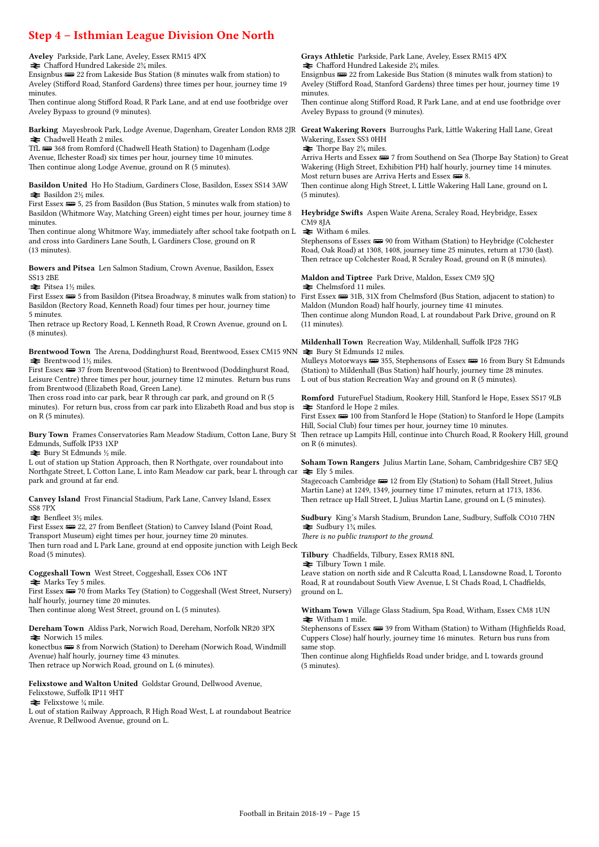### Step 4 – Isthmian League Division One North

| Step 4 – Isthmian League Division One North                                                                                                                                                                                                                                                                                                                                                                                                                                                                                         |                                                                                                                                                                                                                                                                                                                                                                                                                                                                    |
|-------------------------------------------------------------------------------------------------------------------------------------------------------------------------------------------------------------------------------------------------------------------------------------------------------------------------------------------------------------------------------------------------------------------------------------------------------------------------------------------------------------------------------------|--------------------------------------------------------------------------------------------------------------------------------------------------------------------------------------------------------------------------------------------------------------------------------------------------------------------------------------------------------------------------------------------------------------------------------------------------------------------|
| Aveley Parkside, Park Lane, Aveley, Essex RM15 4PX<br>$\blacktriangleright$ Chafford Hundred Lakeside 2 <sup>3</sup> / <sub>4</sub> miles.<br>Ensignbus $\equiv$ 22 from Lakeside Bus Station (8 minutes walk from station) to<br>Aveley (Stifford Road, Stanford Gardens) three times per hour, journey time 19<br>minutes.<br>Then continue along Stifford Road, R Park Lane, and at end use footbridge over<br>Aveley Bypass to ground (9 minutes).                                                                              | <b>Grays Athletic</b> Parkside, Park Lane, Aveley, Essex RM15 4PX<br>$\rightleftarrows$ Chafford Hundred Lakeside 2 <sup>3</sup> / <sub>4</sub> miles.<br>Ensignbus $\equiv$ 22 from Lakeside Bus Station (8 minutes walk from station) to<br>Aveley (Stifford Road, Stanford Gardens) three times per hour, journey time 19<br>minutes.<br>Then continue along Stifford Road, R Park Lane, and at end use footbridge over<br>Aveley Bypass to ground (9 minutes). |
| Barking Mayesbrook Park, Lodge Avenue, Dagenham, Greater London RM8 2JR Great Wakering Rovers Burroughs Park, Little Wakering Hall Lane, Great<br>$\blacktriangleright$ Chadwell Heath 2 miles.<br>TfL = 368 from Romford (Chadwell Heath Station) to Dagenham (Lodge<br>Avenue, Ilchester Road) six times per hour, journey time 10 minutes.<br>Then continue along Lodge Avenue, ground on R (5 minutes).<br>Basildon United Ho Ho Stadium, Gardiners Close, Basildon, Essex SS14 3AW<br>$\blacktriangleright$ Basildon 2½ miles. | Wakering, Essex SS3 0HH<br>$\rightleftharpoons$ Thorpe Bay 2 <sup>3</sup> / <sub>4</sub> miles.<br>Arriva Herts and Essex $\equiv 7$ from Southend on Sea (Thorpe Bay Station) to Great<br>Wakering (High Street, Exhibition PH) half hourly, journey time 14 minutes.<br>Most return buses are Arriva Herts and Essex $\equiv 8$ .<br>Then continue along High Street, L Little Wakering Hall Lane, ground on L<br>$(5 \text{ minutes})$ .                        |
| First Essex (Fig. 25 from Basildon (Bus Station, 5 minutes walk from station) to<br>Basildon (Whitmore Way, Matching Green) eight times per hour, journey time 8<br>minutes.<br>Then continue along Whitmore Way, immediately after school take footpath on L<br>and cross into Gardiners Lane South, L Gardiners Close, ground on R<br>$(13 \text{ minutes})$ .                                                                                                                                                                    | <b>Heybridge Swifts</b> Aspen Waite Arena, Scraley Road, Heybridge, Essex<br>CM9 8JA<br>$\blacktriangleright$ Witham 6 miles.<br>Stephensons of Essex (1990) from Witham (Station) to Heybridge (Colchester<br>Road, Oak Road) at 1308, 1408, journey time 25 minutes, return at 1730 (last).<br>Then retrace up Colchester Road, R Scraley Road, ground on R (8 minutes).                                                                                         |
| <b>Bowers and Pitsea</b> Len Salmon Stadium, Crown Avenue, Basildon, Essex<br><b>SS13 2BE</b><br>$\blacktriangleright$ Pitsea 1½ miles.<br>First Essex (HD 5 from Basildon (Pitsea Broadway, 8 minutes walk from station) to First Essex (HD 31R, 31X from Chelmsford (Bus Station, adjacent to station) to<br>Basildon (Rectory Road, Kenneth Road) four times per hour, journey time<br>5 minutes.<br>Then retrace up Rectory Road, L Kenneth Road, R Crown Avenue, ground on L<br>$(8 \text{ minutes})$ .                        | Maldon and Tiptree Park Drive, Maldon, Essex CM9 5JQ<br>$\rightleftharpoons$ Chelmsford 11 miles.<br>Maldon (Mundon Road) half hourly, journey time 41 minutes.<br>Then continue along Mundon Road, L at roundabout Park Drive, ground on R<br>(11 minutes).                                                                                                                                                                                                       |
| Brentwood Town The Arena, Doddinghurst Road, Brentwood, Essex CM15 9NN $\blacktriangleright$ Bury St Edmunds 12 miles.<br>$\blacktriangleright$ Brentwood 1½ miles.<br>First Essex $\equiv$ 37 from Brentwood (Station) to Brentwood (Doddinghurst Road,<br>Leisure Centre) three times per hour, journey time 12 minutes. Return bus runs<br>from Brentwood (Elizabeth Road, Green Lane).                                                                                                                                          | Mildenhall Town Recreation Way, Mildenhall, Suffolk IP28 7HG<br>Mulleys Motorways (1995), Stephensons of Essex (1996) from Bury St Edmunds<br>(Station) to Mildenhall (Bus Station) half hourly, journey time 28 minutes.<br>L out of bus station Recreation Way and ground on R (5 minutes).                                                                                                                                                                      |
| Then cross road into car park, bear R through car park, and ground on R (5<br>minutes). For return bus, cross from car park into Elizabeth Road and bus stop is<br>on $R$ (5 minutes).<br>Bury Town Frames Conservatories Ram Meadow Stadium, Cotton Lane, Bury St Then retrace up Lampits Hill, continue into Church Road, R Rookery Hill, ground                                                                                                                                                                                  | <b>Romford</b> FutureFuel Stadium, Rookery Hill, Stanford le Hope, Essex SS17 9LB<br><b><math>\geq</math></b> Stanford le Hope 2 miles.<br>First Essex $\equiv 100$ from Stanford le Hope (Station) to Stanford le Hope (Lampits<br>Hill, Social Club) four times per hour, journey time 10 minutes.                                                                                                                                                               |
| Edmunds, Suffolk IP33 1XP<br>$\blacktriangleright$ Bury St Edmunds ½ mile.<br>L out of station up Station Approach, then R Northgate, over roundabout into<br>Northgate Street, L Cotton Lane, L into Ram Meadow car park, bear L through car $\approx$ Ely 5 miles.<br>park and ground at far end.                                                                                                                                                                                                                                 | on R (6 minutes).<br><b>Soham Town Rangers</b> Julius Martin Lane, Soham, Cambridgeshire CB7 5EQ<br>Stagecoach Cambridge $\equiv 12$ from Ely (Station) to Soham (Hall Street, Julius<br>Martin Lane) at 1249, 1349, journey time 17 minutes, return at 1713, 1836.                                                                                                                                                                                                |
| Canvey Island Frost Financial Stadium, Park Lane, Canvey Island, Essex<br>SS8 7PX<br>$\blacktriangleright$ Benfleet 3½ miles.<br>First Essex $\equiv$ 22, 27 from Benfleet (Station) to Canvey Island (Point Road,<br>Transport Museum) eight times per hour, journey time 20 minutes.<br>Then turn road and L Park Lane, ground at end opposite junction with Leigh Beck<br>Road (5 minutes).                                                                                                                                      | Then retrace up Hall Street, L Julius Martin Lane, ground on L (5 minutes).<br><b>Sudbury</b> King's Marsh Stadium, Brundon Lane, Sudbury, Suffolk CO10 7HN<br>$\geq$ Sudbury 1 <sup>3</sup> / <sub>4</sub> miles.<br>There is no public transport to the ground.<br>Tilbury Chadfields, Tilbury, Essex RM18 8NL                                                                                                                                                   |
| Coggeshall Town West Street, Coggeshall, Essex CO6 1NT<br>$\blacktriangleright$ Marks Tey 5 miles.<br>First Essex (Fig. 70 from Marks Tey (Station) to Coggeshall (West Street, Nursery)<br>half hourly, journey time 20 minutes.<br>Then continue along West Street, ground on L (5 minutes).                                                                                                                                                                                                                                      | <b>≥</b> Tilbury Town 1 mile.<br>Leave station on north side and R Calcutta Road, L Lansdowne Road, L Toronto<br>Road, R at roundabout South View Avenue, L St Chads Road, L Chadfields,<br>ground on L.<br>Witham Town Village Glass Stadium, Spa Road, Witham, Essex CM8 1UN                                                                                                                                                                                     |
| Dereham Town Aldiss Park, Norwich Road, Dereham, Norfolk NR20 3PX<br>$\blacktriangleright$ Norwich 15 miles.                                                                                                                                                                                                                                                                                                                                                                                                                        | $\blacktriangleright$ Witham 1 mile.<br>Stephensons of Essex (1995) 39 from Witham (Station) to Witham (Highfields Road,<br>Cuppers Close) half hourly, journey time 16 minutes. Return bus runs from                                                                                                                                                                                                                                                              |

konectbus  $\equiv 8$  from Norwich (Station) to Dereham (Norwich Road, Windmill Avenue) half hourly, journey time 43 minutes. Then retrace up Norwich Road, ground on L (6 minutes).

Felixstowe and Walton United Goldstar Ground, Dellwood Avenue, Felixstowe, Suffolk IP11 9HT

 $\blacktriangleright$  Felixstowe  $\frac{1}{4}$  mile.

L out of station Railway Approach, R High Road West, L at roundabout Beatrice Avenue, R Dellwood Avenue, ground on L.

Cuppers Close) half hourly, journey time 16 minutes. Return bus runs from same stop.

Then continue along Highfields Road under bridge, and L towards ground (5 minutes).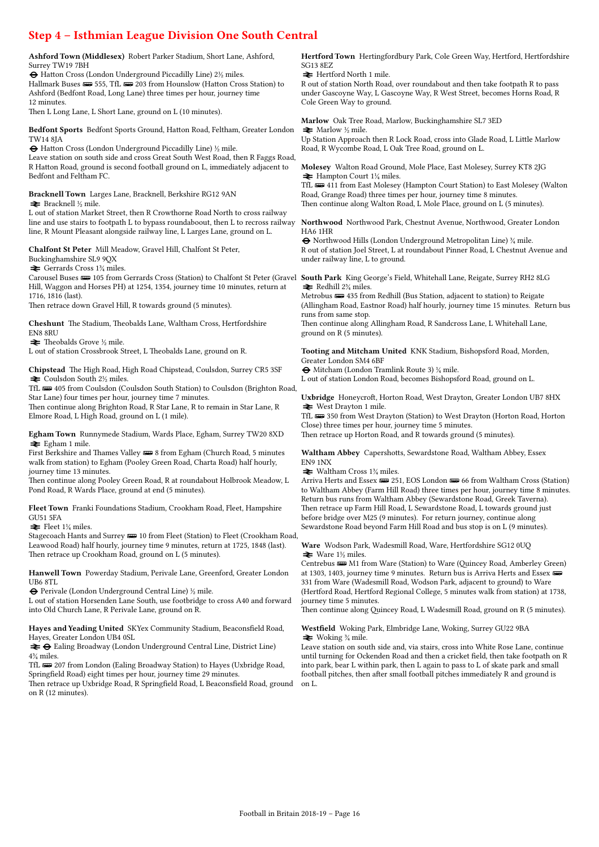## Step 4 – Isthmian League Division One South Central

Ashford Town (Middlesex) Robert Parker Stadium, Short Lane, Ashford, Surrey TW19 7BH

® Hatton Cross (London Underground Piccadilly Line) 2½ miles. Hallmark Buses  $\equiv$  555, TfL  $\equiv$  203 from Hounslow (Hatton Cross Station) to Ashford (Bedfont Road, Long Lane) three times per hour, journey time 12 minutes.

Then L Long Lane, L Short Lane, ground on L (10 minutes).

Bedfont Sports Bedfont Sports Ground, Hatton Road, Feltham, Greater London TW14 8JA

 $\Theta$  Hatton Cross (London Underground Piccadilly Line)  $\frac{1}{2}$  mile. Leave station on south side and cross Great South West Road, then R Faggs Road, R Hatton Road, ground is second football ground on L, immediately adjacent to Bedfont and Feltham FC.

Bracknell Town Larges Lane, Bracknell, Berkshire RG12 9AN  $\blacktriangleright$  Bracknell ½ mile.

L out of station Market Street, then R Crowthorne Road North to cross railway line and use stairs to footpath L to bypass roundaboout, then L to recross railway line, R Mount Pleasant alongside railway line, L Larges Lane, ground on L.

Chalfont St Peter Mill Meadow, Gravel Hill, Chalfont St Peter,

Buckinghamshire SL9 9QX

 $\blacktriangleright$  Gerrards Cross 1¼ miles.

Hill, Waggon and Horses PH) at 1254, 1354, journey time 10 minutes, return at 1716, 1816 (last).

Then retrace down Gravel Hill, R towards ground (5 minutes).

Cheshunt The Stadium, Theobalds Lane, Waltham Cross, Hertfordshire EN8 8RU

 $\blacktriangleright$  Theobalds Grove ½ mile.

L out of station Crossbrook Street, L Theobalds Lane, ground on R.

Chipstead The High Road, High Road Chipstead, Coulsdon, Surrey CR5 3SF  $\blacktriangleright$  Coulsdon South 2½ miles.

TfL  $\equiv$  405 from Coulsdon (Coulsdon South Station) to Coulsdon (Brighton Road, Star Lane) four times per hour, journey time 7 minutes.

Then continue along Brighton Road, R Star Lane, R to remain in Star Lane, R Elmore Road, L High Road, ground on L (1 mile).

Egham Town Runnymede Stadium, Wards Place, Egham, Surrey TW20 8XD  $\stackrel{\sim}{\blacktriangleright}$  Egham 1 mile.

First Berkshire and Thames Valley  $\equiv$  8 from Egham (Church Road, 5 minutes walk from station) to Egham (Pooley Green Road, Charta Road) half hourly, journey time 13 minutes.

Then continue along Pooley Green Road, R at roundabout Holbrook Meadow, L Pond Road, R Wards Place, ground at end (5 minutes).

Fleet Town Franki Foundations Stadium, Crookham Road, Fleet, Hampshire GU51 5FA

 $\blacktriangleright$  Fleet 1¼ miles.

Stagecoach Hants and Surrey  $\equiv$  10 from Fleet (Station) to Fleet (Crookham Road, Leawood Road) half hourly, journey time 9 minutes, return at 1725, 1848 (last). Then retrace up Crookham Road, ground on L (5 minutes).

Hanwell Town Powerday Stadium, Perivale Lane, Greenford, Greater London UB6 8TL

® Perivale (London Underground Central Line) ½ mile.

L out of station Horsenden Lane South, use footbridge to cross A40 and forward into Old Church Lane, R Perivale Lane, ground on R.

Hayes and Yeading United SKYex Community Stadium, Beaconsfield Road, Hayes, Greater London UB4 0SL

 $\rightleftharpoons \bigoplus$  Ealing Broadway (London Underground Central Line, District Line) 4¾ miles.

TfL **w** 207 from London (Ealing Broadway Station) to Hayes (Uxbridge Road, Springfield Road) eight times per hour, journey time 29 minutes.

Then retrace up Uxbridge Road, R Springfield Road, L Beaconsfield Road, ground on R (12 minutes).

Hertford Town Hertingfordbury Park, Cole Green Way, Hertford, Hertfordshire SG13 8EZ

 $\blacktriangleright$  Hertford North 1 mile.

R out of station North Road, over roundabout and then take footpath R to pass under Gascoyne Way, L Gascoyne Way, R West Street, becomes Horns Road, R Cole Green Way to ground.

Marlow Oak Tree Road, Marlow, Buckinghamshire SL7 3ED  $\blacktriangleright$  Marlow ½ mile. Up Station Approach then R Lock Road, cross into Glade Road, L Little Marlow Road, R Wycombe Road, L Oak Tree Road, ground on L.

Molesey Walton Road Ground, Mole Place, East Molesey, Surrey KT8 2JG  $\blacktriangleright$  Hampton Court 1¼ miles.

TfL **w** 411 from East Molesey (Hampton Court Station) to East Molesey (Walton Road, Grange Road) three times per hour, journey time 8 minutes. Then continue along Walton Road, L Mole Place, ground on L (5 minutes).

Northwood Northwood Park, Chestnut Avenue, Northwood, Greater London HA6 1HR

® Northwood Hills (London Underground Metropolitan Line) ¾ mile. R out of station Joel Street, L at roundabout Pinner Road, L Chestnut Avenue and under railway line, L to ground.

Carousel Buses **000** 105 from Gerrards Cross (Station) to Chalfont St Peter (Gravel **South Park** King George's Field, Whitehall Lane, Reigate, Surrey RH2 8LG  $\rightleftharpoons$  Redhill 2<sup>3</sup>/<sub>4</sub> miles.

Metrobus  $\implies$  435 from Redhill (Bus Station, adjacent to station) to Reigate (Allingham Road, Eastnor Road) half hourly, journey time 15 minutes. Return bus runs from same stop. Then continue along Allingham Road, R Sandcross Lane, L Whitehall Lane,

ground on R (5 minutes).

Tooting and Mitcham United KNK Stadium, Bishopsford Road, Morden, Greater London SM4 6BF

® Mitcham (London Tramlink Route 3) ¼ mile. L out of station London Road, becomes Bishopsford Road, ground on L.

Uxbridge Honeycroft, Horton Road, West Drayton, Greater London UB7 8HX  $\blacktriangleright$  West Drayton 1 mile.

TfL **B** 350 from West Drayton (Station) to West Drayton (Horton Road, Horton Close) three times per hour, journey time 5 minutes.

Then retrace up Horton Road, and R towards ground (5 minutes).

Waltham Abbey Capershotts, Sewardstone Road, Waltham Abbey, Essex EN9 1NX

 $\blacktriangleright$  Waltham Cross 1<sup>3</sup>/<sub>4</sub> miles.

Arriva Herts and Essex  $\equiv$  251, EOS London  $\equiv$  66 from Waltham Cross (Station) to Waltham Abbey (Farm Hill Road) three times per hour, journey time 8 minutes. Return bus runs from Waltham Abbey (Sewardstone Road, Greek Taverna). Then retrace up Farm Hill Road, L Sewardstone Road, L towards ground just before bridge over M25 (9 minutes). For return journey, continue along Sewardstone Road beyond Farm Hill Road and bus stop is on L (9 minutes).

Ware Wodson Park, Wadesmill Road, Ware, Hertfordshire SG12 0UQ  $\blacktriangleright$  Ware 1½ miles.

Centrebus  $\equiv$  M1 from Ware (Station) to Ware (Quincey Road, Amberley Green) at 1303, 1403, journey time 9 minutes. Return bus is Arriva Herts and Essex ø 331 from Ware (Wadesmill Road, Wodson Park, adjacent to ground) to Ware (Hertford Road, Hertford Regional College, 5 minutes walk from station) at 1738, journey time 5 minutes.

Then continue along Quincey Road, L Wadesmill Road, ground on R (5 minutes).

Westfield Woking Park, Elmbridge Lane, Woking, Surrey GU22 9BA  $*$  Woking  $\frac{3}{4}$  mile.

Leave station on south side and, via stairs, cross into White Rose Lane, continue until turning for Ockenden Road and then a cricket field, then take footpath on R into park, bear L within park, then L again to pass to L of skate park and small football pitches, then after small football pitches immediately R and ground is on L.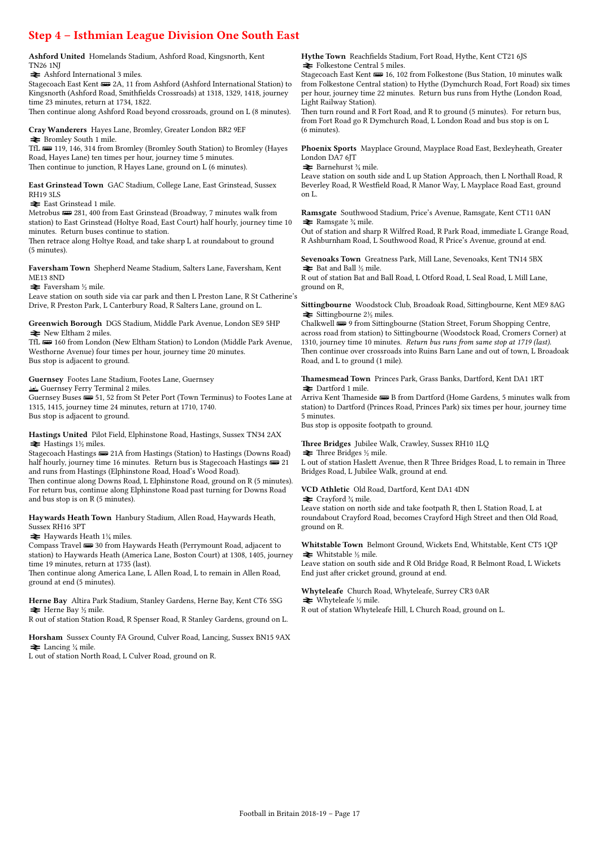### Step 4 – Isthmian League Division One South East

Ashford United Homelands Stadium, Ashford Road, Kingsnorth, Kent TN26 1NJ

 $\blacktriangleright$  Ashford International 3 miles.

Stagecoach East Kent  $\equiv$  2A, 11 from Ashford (Ashford International Station) to Kingsnorth (Ashford Road, Smithfields Crossroads) at 1318, 1329, 1418, journey time 23 minutes, return at 1734, 1822.

Then continue along Ashford Road beyond crossroads, ground on L (8 minutes).

Cray Wanderers Hayes Lane, Bromley, Greater London BR2 9EF  $\blacktriangleright$  Bromley South 1 mile.

TfL **w** 119, 146, 314 from Bromley (Bromley South Station) to Bromley (Hayes Road, Hayes Lane) ten times per hour, journey time 5 minutes. Then continue to junction, R Hayes Lane, ground on L (6 minutes).

East Grinstead Town GAC Stadium, College Lane, East Grinstead, Sussex RH19 3LS

 $\blacktriangleright$  East Grinstead 1 mile.

Metrobus  $\implies$  281, 400 from East Grinstead (Broadway, 7 minutes walk from station) to East Grinstead (Holtye Road, East Court) half hourly, journey time 10 minutes. Return buses continue to station.

Then retrace along Holtye Road, and take sharp L at roundabout to ground (5 minutes).

Faversham Town Shepherd Neame Stadium, Salters Lane, Faversham, Kent ME13 8ND

 $\blacktriangleright$  Faversham ½ mile.

Leave station on south side via car park and then L Preston Lane, R St Catherine's Drive, R Preston Park, L Canterbury Road, R Salters Lane, ground on L.

Greenwich Borough DGS Stadium, Middle Park Avenue, London SE9 5HP  $\blacktriangleright$  New Eltham 2 miles.

TfL **WE** 160 from London (New Eltham Station) to London (Middle Park Avenue, Westhorne Avenue) four times per hour, journey time 20 minutes. Bus stop is adjacent to ground.

#### Guernsey Footes Lane Stadium, Footes Lane, Guernsey

π Guernsey Ferry Terminal 2 miles.

Guernsey Buses  $\implies$  51, 52 from St Peter Port (Town Terminus) to Footes Lane at 1315, 1415, journey time 24 minutes, return at 1710, 1740. Bus stop is adjacent to ground.

Hastings United Pilot Field, Elphinstone Road, Hastings, Sussex TN34 2AX  $\blacktriangleright$  Hastings 1½ miles.

Stagecoach Hastings  $\equiv$  21A from Hastings (Station) to Hastings (Downs Road) half hourly, journey time 16 minutes. Return bus is Stagecoach Hastings  $\implies$  21 and runs from Hastings (Elphinstone Road, Hoad's Wood Road). Then continue along Downs Road, L Elphinstone Road, ground on R (5 minutes).

For return bus, continue along Elphinstone Road past turning for Downs Road and bus stop is on R (5 minutes).

Haywards Heath Town Hanbury Stadium, Allen Road, Haywards Heath, Sussex RH16 3PT

 $\blacktriangleright$  Haywards Heath 1¼ miles.

Compass Travel  $\blacksquare$  30 from Haywards Heath (Perrymount Road, adjacent to station) to Haywards Heath (America Lane, Boston Court) at 1308, 1405, journey time 19 minutes, return at 1735 (last).

Then continue along America Lane, L Allen Road, L to remain in Allen Road, ground at end (5 minutes).

Herne Bay Altira Park Stadium, Stanley Gardens, Herne Bay, Kent CT6 5SG  $\blacktriangleright$  Herne Bay ½ mile.

R out of station Station Road, R Spenser Road, R Stanley Gardens, ground on L.

Horsham Sussex County FA Ground, Culver Road, Lancing, Sussex BN15 9AX  $\blacktriangleright$  Lancing ¼ mile.

L out of station North Road, L Culver Road, ground on R.

Hythe Town Reachfields Stadium, Fort Road, Hythe, Kent CT21 6JS  $\blacktriangleright$  Folkestone Central 5 miles.

Stagecoach East Kent  $\equiv 16, 102$  from Folkestone (Bus Station, 10 minutes walk from Folkestone Central station) to Hythe (Dymchurch Road, Fort Road) six times per hour, journey time 22 minutes. Return bus runs from Hythe (London Road, Light Railway Station).

Then turn round and R Fort Road, and R to ground (5 minutes). For return bus, from Fort Road go R Dymchurch Road, L London Road and bus stop is on L (6 minutes).

Phoenix Sports Mayplace Ground, Mayplace Road East, Bexleyheath, Greater London DA7 6JT

 $\blacktriangleright$  Barnehurst  $\frac{3}{4}$  mile.

Leave station on south side and L up Station Approach, then L Northall Road, R Beverley Road, R Westfield Road, R Manor Way, L Mayplace Road East, ground on L.

Ramsgate Southwood Stadium, Price's Avenue, Ramsgate, Kent CT11 0AN  $\blacktriangleright$  Ramsgate  $\frac{3}{4}$  mile.

Out of station and sharp R Wilfred Road, R Park Road, immediate L Grange Road, R Ashburnham Road, L Southwood Road, R Price's Avenue, ground at end.

Sevenoaks Town Greatness Park, Mill Lane, Sevenoaks, Kent TN14 5BX  $\blacktriangleright$  Bat and Ball  $\frac{1}{2}$  mile.

R out of station Bat and Ball Road, L Otford Road, L Seal Road, L Mill Lane, ground on R,

Sittingbourne Woodstock Club, Broadoak Road, Sittingbourne, Kent ME9 8AG  $\triangleq$  Sittingbourne 2½ miles.

Chalkwell  $\overline{\bullet}$  9 from Sittingbourne (Station Street, Forum Shopping Centre, across road from station) to Sittingbourne (Woodstock Road, Cromers Corner) at 1310, journey time 10 minutes. Return bus runs from same stop at 1719 (last). Then continue over crossroads into Ruins Barn Lane and out of town, L Broadoak Road, and L to ground (1 mile).

Thamesmead Town Princes Park, Grass Banks, Dartford, Kent DA1 1RT  $\blacktriangleright$  Dartford 1 mile.

Arriva Kent Thameside  $\implies$  B from Dartford (Home Gardens, 5 minutes walk from station) to Dartford (Princes Road, Princes Park) six times per hour, journey time 5 minutes.

Bus stop is opposite footpath to ground.

Three Bridges Jubilee Walk, Crawley, Sussex RH10 1LQ

 $\triangleq$  Three Bridges  $\frac{1}{2}$  mile. L out of station Haslett Avenue, then R Three Bridges Road, L to remain in Three Bridges Road, L Jubilee Walk, ground at end.

#### VCD Athletic Old Road, Dartford, Kent DA1 4DN

 $\blacktriangleright$  Crayford  $\frac{3}{4}$  mile.

Leave station on north side and take footpath R, then L Station Road, L at roundabout Crayford Road, becomes Crayford High Street and then Old Road, ground on R.

Whitstable Town Belmont Ground, Wickets End, Whitstable, Kent CT5 1QP  $\blacktriangleright$  Whitstable ½ mile.

Leave station on south side and R Old Bridge Road, R Belmont Road, L Wickets End just after cricket ground, ground at end.

Whyteleafe Church Road, Whyteleafe, Surrey CR3 0AR

 $\blacktriangleright$  Whyteleafe ½ mile.

R out of station Whyteleafe Hill, L Church Road, ground on L.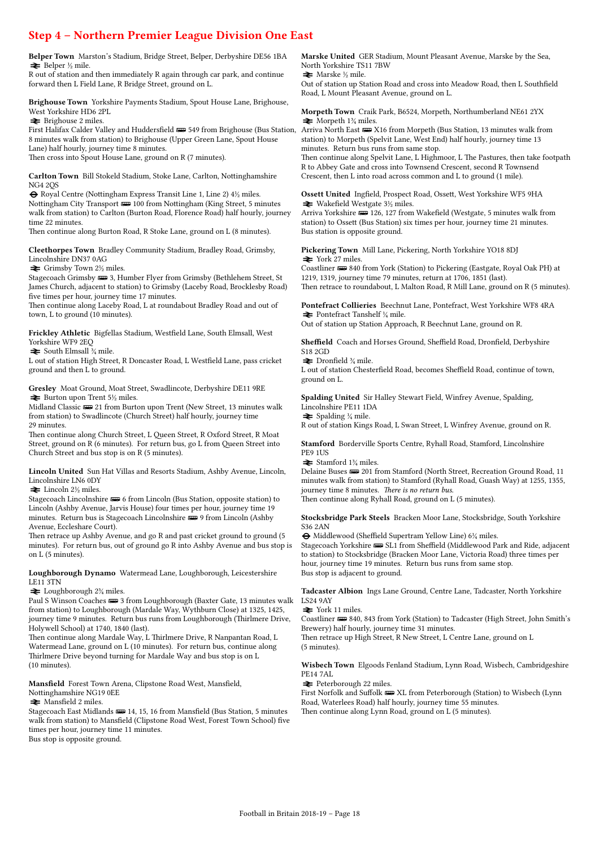## Step 4 – Northern Premier League Division One East

Belper Town Marston's Stadium, Bridge Street, Belper, Derbyshire DE56 1BA  $\bigstar$  Belper  $\frac{1}{2}$  mile.

R out of station and then immediately R again through car park, and continue forward then L Field Lane, R Bridge Street, ground on L.

Brighouse Town Yorkshire Payments Stadium, Spout House Lane, Brighouse, West Yorkshire HD6 2PL

 $\blacktriangleright$  Brighouse 2 miles.

First Halifax Calder Valley and Huddersfield **(Bus** 549 from Brighouse (Bus Station, 8 minutes walk from station) to Brighouse (Upper Green Lane, Spout House Lane) half hourly, journey time 8 minutes.

Then cross into Spout House Lane, ground on R (7 minutes).

Carlton Town Bill Stokeld Stadium, Stoke Lane, Carlton, Nottinghamshire NG4 2QS

 $\Theta$  Royal Centre (Nottingham Express Transit Line 1, Line 2)  $4\frac{1}{2}$  miles. Nottingham City Transport **B** 100 from Nottingham (King Street, 5 minutes walk from station) to Carlton (Burton Road, Florence Road) half hourly, journey time 22 minutes.

Then continue along Burton Road, R Stoke Lane, ground on L (8 minutes).

Cleethorpes Town Bradley Community Stadium, Bradley Road, Grimsby, Lincolnshire DN37 0AG

 $\blacktriangleright$  Grimsby Town 2½ miles.

Stagecoach Grimsby $\overline{\bullet\bullet\bullet}$ 3, Humber Flyer from Grimsby (Bethlehem Street, St James Church, adjacent to station) to Grimsby (Laceby Road, Brocklesby Road) five times per hour, journey time 17 minutes.

Then continue along Laceby Road, L at roundabout Bradley Road and out of town, L to ground (10 minutes).

Frickley Athletic Bigfellas Stadium, Westfield Lane, South Elmsall, West Yorkshire WF9 2EQ

 $\blacktriangleright$  South Elmsall  $\frac{3}{4}$  mile.

L out of station High Street, R Doncaster Road, L Westfield Lane, pass cricket ground and then L to ground.

Gresley Moat Ground, Moat Street, Swadlincote, Derbyshire DE11 9RE  $\blacktriangleright$  Burton upon Trent 5½ miles.

Midland Classic  $\equiv$  21 from Burton upon Trent (New Street, 13 minutes walk from station) to Swadlincote (Church Street) half hourly, journey time 29 minutes.

Then continue along Church Street, L Queen Street, R Oxford Street, R Moat Street, ground on R (6 minutes). For return bus, go L from Queen Street into Church Street and bus stop is on R (5 minutes).

Lincoln United Sun Hat Villas and Resorts Stadium, Ashby Avenue, Lincoln, Lincolnshire LN6 0DY

 $\blacktriangleright$  Lincoln 2½ miles.

Stagecoach Lincolnshire  $\blacksquare$  6 from Lincoln (Bus Station, opposite station) to Lincoln (Ashby Avenue, Jarvis House) four times per hour, journey time 19 minutes. Return bus is Stagecoach Lincolnshire  $\blacksquare$  9 from Lincoln (Ashby Avenue, Eccleshare Court).

Then retrace up Ashby Avenue, and go R and past cricket ground to ground (5 minutes). For return bus, out of ground go R into Ashby Avenue and bus stop is on L (5 minutes).

#### Loughborough Dynamo Watermead Lane, Loughborough, Leicestershire LE11 3TN

 $\blacktriangleright$  Loughborough 2<sup>3</sup>/<sub>4</sub> miles.

Paul S Winson Coaches  $\equiv 3$  from Loughborough (Baxter Gate, 13 minutes walk from station) to Loughborough (Mardale Way, Wythburn Close) at 1325, 1425, journey time 9 minutes. Return bus runs from Loughborough (Thirlmere Drive, Holywell School) at 1740, 1840 (last).

Then continue along Mardale Way, L Thirlmere Drive, R Nanpantan Road, L Watermead Lane, ground on L (10 minutes). For return bus, continue along Thirlmere Drive beyond turning for Mardale Way and bus stop is on L (10 minutes).

Mansfield Forest Town Arena, Clipstone Road West, Mansfield, Nottinghamshire NG19 0EE

 $\blacktriangleright$  Mansfield 2 miles.

Stagecoach East Midlands **(20)** 14, 15, 16 from Mansfield (Bus Station, 5 minutes walk from station) to Mansfield (Clipstone Road West, Forest Town School) five times per hour, journey time 11 minutes.

Bus stop is opposite ground.

Marske United GER Stadium, Mount Pleasant Avenue, Marske by the Sea, North Yorkshire TS11 7BW

 $\blacktriangleright$  Marske ½ mile.

Out of station up Station Road and cross into Meadow Road, then L Southfield Road, L Mount Pleasant Avenue, ground on L.

Morpeth Town Craik Park, B6524, Morpeth, Northumberland NE61 2YX  $\blacktriangleright$  Morpeth 1<sup>3</sup>/<sub>4</sub> miles.

Arriva North East **WE** X16 from Morpeth (Bus Station, 13 minutes walk from station) to Morpeth (Spelvit Lane, West End) half hourly, journey time 13 minutes. Return bus runs from same stop.

Then continue along Spelvit Lane, L Highmoor, L The Pastures, then take footpath R to Abbey Gate and cross into Townsend Crescent, second R Townsend Crescent, then L into road across common and L to ground (1 mile).

Ossett United Ingfield, Prospect Road, Ossett, West Yorkshire WF5 9HA  $\blacktriangleright$  Wakefield Westgate 3½ miles.

Arriva Yorkshire **326**, 127 from Wakefield (Westgate, 5 minutes walk from station) to Ossett (Bus Station) six times per hour, journey time 21 minutes. Bus station is opposite ground.

Pickering Town Mill Lane, Pickering, North Yorkshire YO18 8DJ  $\blacktriangleright$  York 27 miles.

Coastliner  $\equiv$  840 from York (Station) to Pickering (Eastgate, Royal Oak PH) at 1219, 1319, journey time 79 minutes, return at 1706, 1851 (last). Then retrace to roundabout, L Malton Road, R Mill Lane, ground on R (5 minutes).

Pontefract Collieries Beechnut Lane, Pontefract, West Yorkshire WF8 4RA  $\blacktriangleright$  Pontefract Tanshelf  $\frac{1}{4}$  mile.

Out of station up Station Approach, R Beechnut Lane, ground on R.

Sheffield Coach and Horses Ground, Sheffield Road, Dronfield, Derbyshire S18 2GD

 $\blacktriangleright$  Dronfield  $\frac{3}{4}$  mile.

L out of station Chesterfield Road, becomes Sheffield Road, continue of town, ground on L.

Spalding United Sir Halley Stewart Field, Winfrey Avenue, Spalding, Lincolnshire PE11 1DA  $\blacktriangleright$  Spalding  $\frac{1}{4}$  mile.

R out of station Kings Road, L Swan Street, L Winfrey Avenue, ground on R.

Stamford Borderville Sports Centre, Ryhall Road, Stamford, Lincolnshire PE9 1US

 $\blacktriangleright$  Stamford 1¼ miles.

Delaine Buses  $\implies$  201 from Stamford (North Street, Recreation Ground Road, 11 minutes walk from station) to Stamford (Ryhall Road, Guash Way) at 1255, 1355, journey time 8 minutes. There is no return bus.

Then continue along Ryhall Road, ground on L (5 minutes).

#### Stocksbridge Park Steels Bracken Moor Lane, Stocksbridge, South Yorkshire S36 2AN

® Middlewood (Sheffield Supertram Yellow Line) 6¼ miles.

Stagecoach Yorkshire  $\equiv$  SL1 from Sheffield (Middlewood Park and Ride, adjacent to station) to Stocksbridge (Bracken Moor Lane, Victoria Road) three times per hour, journey time 19 minutes. Return bus runs from same stop. Bus stop is adjacent to ground.

Tadcaster Albion Ings Lane Ground, Centre Lane, Tadcaster, North Yorkshire LS24 9AY

 $\blacktriangleright$  York 11 miles.

Coastliner  $\equiv$  840, 843 from York (Station) to Tadcaster (High Street, John Smith's Brewery) half hourly, journey time 31 minutes.

Then retrace up High Street, R New Street, L Centre Lane, ground on L (5 minutes).

Wisbech Town Elgoods Fenland Stadium, Lynn Road, Wisbech, Cambridgeshire PE14 7AL

 $\blacktriangleright$  Peterborough 22 miles.

First Norfolk and Suffolk  $\overline{u}$  XL from Peterborough (Station) to Wisbech (Lynn Road, Waterlees Road) half hourly, journey time 55 minutes. Then continue along Lynn Road, ground on L (5 minutes).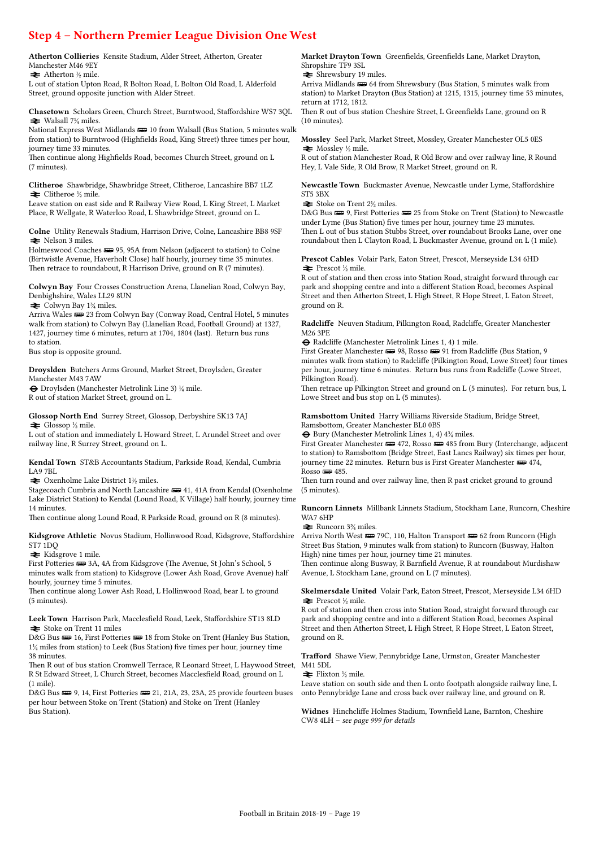## Step 4 – Northern Premier League Division One West

Atherton Collieries Kensite Stadium, Alder Street, Atherton, Greater Manchester M46 9EY

 $\blacktriangleright$  Atherton  $\frac{1}{2}$  mile.

L out of station Upton Road, R Bolton Road, L Bolton Old Road, L Alderfold Street, ground opposite junction with Alder Street.

Chasetown Scholars Green, Church Street, Burntwood, Staffordshire WS7 3QL  $\blacktriangleright$  Walsall 7¼ miles.

National Express West Midlands  $\equiv$  10 from Walsall (Bus Station, 5 minutes walk from station) to Burntwood (Highfields Road, King Street) three times per hour, journey time 33 minutes.

Then continue along Highfields Road, becomes Church Street, ground on L (7 minutes).

Clitheroe Shawbridge, Shawbridge Street, Clitheroe, Lancashire BB7 1LZ  $\triangleq$  Clitheroe ½ mile.

Leave station on east side and R Railway View Road, L King Street, L Market Place, R Wellgate, R Waterloo Road, L Shawbridge Street, ground on L.

Colne Utility Renewals Stadium, Harrison Drive, Colne, Lancashire BB8 9SF  $\blacktriangleright$  Nelson 3 miles.

Holmeswood Coaches  $\equiv$  95, 95A from Nelson (adjacent to station) to Colne (Birtwistle Avenue, Haverholt Close) half hourly, journey time 35 minutes. Then retrace to roundabout, R Harrison Drive, ground on R (7 minutes).

Colwyn Bay Four Crosses Construction Arena, Llanelian Road, Colwyn Bay, Denbighshire, Wales LL29 8UN  $\blacktriangleright$  Colwyn Bay 1<sup>3</sup>/<sub>4</sub> miles.

Arriva Wales  $\equiv$  23 from Colwyn Bay (Conway Road, Central Hotel, 5 minutes walk from station) to Colwyn Bay (Llanelian Road, Football Ground) at 1327, 1427, journey time 6 minutes, return at 1704, 1804 (last). Return bus runs to station.

Bus stop is opposite ground.

Droyslden Butchers Arms Ground, Market Street, Droylsden, Greater Manchester M43 7AW

® Droylsden (Manchester Metrolink Line 3) ¼ mile.

R out of station Market Street, ground on L.

#### Glossop North End Surrey Street, Glossop, Derbyshire SK13 7AJ  $\blacktriangleright$  Glossop ½ mile.

L out of station and immediately L Howard Street, L Arundel Street and over railway line, R Surrey Street, ground on L.

Kendal Town ST&B Accountants Stadium, Parkside Road, Kendal, Cumbria LA9 7BL

 $\blacktriangleright$  Oxenholme Lake District 1½ miles.

Stagecoach Cumbria and North Lancashire  $\equiv$  41, 41A from Kendal (Oxenholme Lake District Station) to Kendal (Lound Road, K Village) half hourly, journey time 14 minutes.

Then continue along Lound Road, R Parkside Road, ground on R (8 minutes).

Kidsgrove Athletic Novus Stadium, Hollinwood Road, Kidsgrove, Staffordshire ST7 1DQ

 $\blacktriangleright$  Kidsgrove 1 mile.

First Potteries  $\equiv$  3A, 4A from Kidsgrove (The Avenue, St John's School, 5 minutes walk from station) to Kidsgrove (Lower Ash Road, Grove Avenue) half hourly, journey time 5 minutes.

Then continue along Lower Ash Road, L Hollinwood Road, bear L to ground (5 minutes).

Leek Town Harrison Park, Macclesfield Road, Leek, Staffordshire ST13 8LD  $\triangleq$  Stoke on Trent 11 miles

D&G Bus  $\implies$  16, First Potteries  $\implies$  18 from Stoke on Trent (Hanley Bus Station, 1¼ miles from station) to Leek (Bus Station) five times per hour, journey time 38 minutes.

Then R out of bus station Cromwell Terrace, R Leonard Street, L Haywood Street, M41 5DL R St Edward Street, L Church Street, becomes Macclesfield Road, ground on L (1 mile).

D&G Bus  $\equiv 9, 14$ , First Potteries  $\equiv 21, 21A, 23, 23A, 25$  provide fourteen buses per hour between Stoke on Trent (Station) and Stoke on Trent (Hanley Bus Station).

Market Drayton Town Greenfields, Greenfields Lane, Market Drayton, Shropshire TF9 3SL

 $\triangleq$  Shrewsbury 19 miles.

Arriva Midlands  $\equiv$  64 from Shrewsbury (Bus Station, 5 minutes walk from station) to Market Drayton (Bus Station) at 1215, 1315, journey time 53 minutes, return at 1712, 1812.

Then R out of bus station Cheshire Street, L Greenfields Lane, ground on R (10 minutes).

Mossley Seel Park, Market Street, Mossley, Greater Manchester OL5 0ES  $\blacktriangleright$  Mossley ½ mile.

R out of station Manchester Road, R Old Brow and over railway line, R Round Hey, L Vale Side, R Old Brow, R Market Street, ground on R.

Newcastle Town Buckmaster Avenue, Newcastle under Lyme, Staffordshire ST5 3BX

 $\blacktriangleright$  Stoke on Trent 2½ miles.

D&G Bus  $\equiv 9$ , First Potteries  $\equiv 25$  from Stoke on Trent (Station) to Newcastle under Lyme (Bus Station) five times per hour, journey time 23 minutes. Then L out of bus station Stubbs Street, over roundabout Brooks Lane, over one roundabout then L Clayton Road, L Buckmaster Avenue, ground on L (1 mile).

Prescot Cables Volair Park, Eaton Street, Prescot, Merseyside L34 6HD  $\blacktriangleright$  Prescot ½ mile.

R out of station and then cross into Station Road, straight forward through car park and shopping centre and into a different Station Road, becomes Aspinal Street and then Atherton Street, L High Street, R Hope Street, L Eaton Street, ground on R.

Radcliffe Neuven Stadium, Pilkington Road, Radcliffe, Greater Manchester M26 3PE

® Radcliffe (Manchester Metrolink Lines 1, 4) 1 mile.

First Greater Manchester  $\equiv 98$ , Rosso  $\equiv 91$  from Radcliffe (Bus Station, 9) minutes walk from station) to Radcliffe (Pilkington Road, Lowe Street) four times per hour, journey time 6 minutes. Return bus runs from Radcliffe (Lowe Street, Pilkington Road).

Then retrace up Pilkington Street and ground on L (5 minutes). For return bus, L Lowe Street and bus stop on L (5 minutes).

Ramsbottom United Harry Williams Riverside Stadium, Bridge Street,

Ramsbottom, Greater Manchester BL0 0BS ® Bury (Manchester Metrolink Lines 1, 4) 4¾ miles.

First Greater Manchester  $\equiv$  472, Rosso  $\equiv$  485 from Bury (Interchange, adjacent to station) to Ramsbottom (Bridge Street, East Lancs Railway) six times per hour, journey time 22 minutes. Return bus is First Greater Manchester  $\equiv$  474,  $Rosso$   $\equiv$  485.

Then turn round and over railway line, then R past cricket ground to ground (5 minutes).

Runcorn Linnets Millbank Linnets Stadium, Stockham Lane, Runcorn, Cheshire WA7 6HP

 $\blacktriangleright$  Runcorn 3<sup>3</sup>/<sub>4</sub> miles.

Arriva North West  $\equiv$  79C, 110, Halton Transport  $\equiv$  62 from Runcorn (High Street Bus Station, 9 minutes walk from station) to Runcorn (Busway, Halton High) nine times per hour, journey time 21 minutes.

Then continue along Busway, R Barnfield Avenue, R at roundabout Murdishaw Avenue, L Stockham Lane, ground on L (7 minutes).

#### Skelmersdale United Volair Park, Eaton Street, Prescot, Merseyside L34 6HD  $\blacktriangleright$  Prescot ½ mile.

R out of station and then cross into Station Road, straight forward through car park and shopping centre and into a different Station Road, becomes Aspinal Street and then Atherton Street, L High Street, R Hope Street, L Eaton Street, ground on R.

# Trafford Shawe View, Pennybridge Lane, Urmston, Greater Manchester

 $\blacktriangleright$  Flixton ½ mile.

Leave station on south side and then L onto footpath alongside railway line, L onto Pennybridge Lane and cross back over railway line, and ground on R.

Widnes Hinchcliffe Holmes Stadium, Townfield Lane, Barnton, Cheshire CW8 4LH – see page 999 for details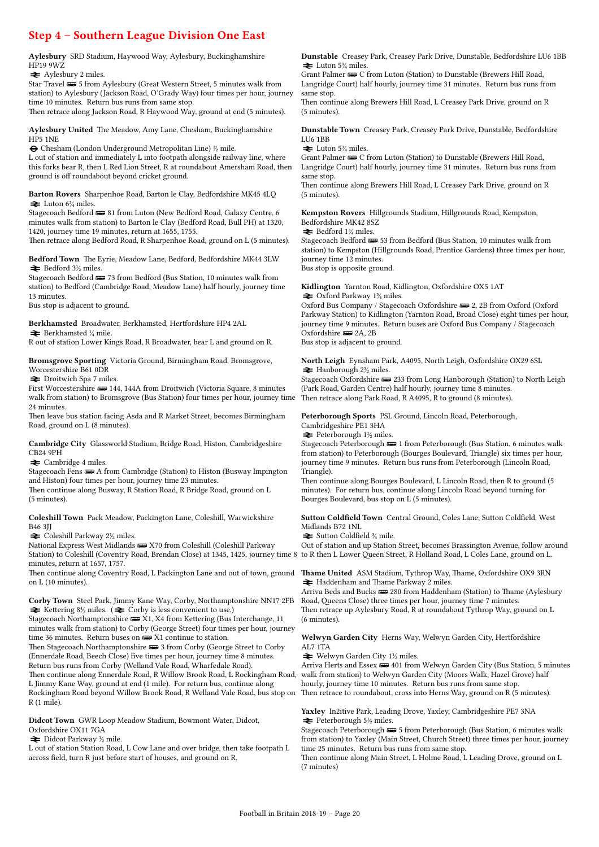### Step 4 – Southern League Division One East

Aylesbury SRD Stadium, Haywood Way, Aylesbury, Buckinghamshire HP19 9WZ

 $\blacktriangleright$  Aylesbury 2 miles.

Star Travel  $\implies$  5 from Aylesbury (Great Western Street, 5 minutes walk from station) to Aylesbury (Jackson Road, O'Grady Way) four times per hour, journey time 10 minutes. Return bus runs from same stop. Then retrace along Jackson Road, R Haywood Way, ground at end (5 minutes).

Aylesbury United The Meadow, Amy Lane, Chesham, Buckinghamshire HP5 1NE

® Chesham (London Underground Metropolitan Line) ½ mile.

L out of station and immediately L into footpath alongside railway line, where this forks bear R, then L Red Lion Street, R at roundabout Amersham Road, then ground is off roundabout beyond cricket ground.

Barton Rovers Sharpenhoe Road, Barton le Clay, Bedfordshire MK45 4LQ  $\blacktriangleright$  Luton 6<sup>3</sup>/<sub>4</sub> miles.

Stagecoach Bedford  $\equiv$  81 from Luton (New Bedford Road, Galaxy Centre, 6 minutes walk from station) to Barton le Clay (Bedford Road, Bull PH) at 1320, 1420, journey time 19 minutes, return at 1655, 1755.

Then retrace along Bedford Road, R Sharpenhoe Road, ground on L (5 minutes).

Bedford Town The Eyrie, Meadow Lane, Bedford, Bedfordshire MK44 3LW  $\blacktriangleright$  Bedford 3½ miles.

Stagecoach Bedford  $\equiv$  73 from Bedford (Bus Station, 10 minutes walk from station) to Bedford (Cambridge Road, Meadow Lane) half hourly, journey time 13 minutes.

Bus stop is adjacent to ground.

Berkhamsted Broadwater, Berkhamsted, Hertfordshire HP4 2AL  $\blacktriangleright$  Berkhamsted  $\frac{1}{4}$  mile.

R out of station Lower Kings Road, R Broadwater, bear L and ground on R.

Bromsgrove Sporting Victoria Ground, Birmingham Road, Bromsgrove, Worcestershire B61 0DR

 $\blacktriangleright$  Droitwich Spa 7 miles.

First Worcestershire  $\equiv$  144, 144A from Droitwich (Victoria Square, 8 minutes walk from station) to Bromsgrove (Bus Station) four times per hour, journey time 24 minutes.

Then leave bus station facing Asda and R Market Street, becomes Birmingham Road, ground on L (8 minutes).

Cambridge City Glassworld Stadium, Bridge Road, Histon, Cambridgeshire CB24 9PH

 $\triangle$  Cambridge 4 miles.

Stagecoach Fens **B** A from Cambridge (Station) to Histon (Busway Impington and Histon) four times per hour, journey time 23 minutes.

Then continue along Busway, R Station Road, R Bridge Road, ground on L (5 minutes).

#### Coleshill Town Pack Meadow, Packington Lane, Coleshill, Warwickshire B46 3JJ

 $\blacktriangleright$  Coleshill Parkway 2½ miles.

National Express West Midlands **B** X70 from Coleshill (Coleshill Parkway Station) to Coleshill (Coventry Road, Brendan Close) at 1345, 1425, journey time 8 to R then L Lower Queen Street, R Holland Road, L Coles Lane, ground on L. minutes, return at 1657, 1757.

Then continue along Coventry Road, L Packington Lane and out of town, ground **Thame United** ASM Stadium, Tythrop Way, Thame, Oxfordshire OX9 3RN on L (10 minutes).

Corby Town Steel Park, Jimmy Kane Way, Corby, Northamptonshire NN17 2FB  $\blacktriangleright$  Kettering 8½ miles. ( $\blacktriangleright$  Corby is less convenient to use.)

Stagecoach Northamptonshire  $\equiv$  X1, X4 from Kettering (Bus Interchange, 11 minutes walk from station) to Corby (George Street) four times per hour, journey time 36 minutes. Return buses on  $\overline{\mathbf{w}}$  X1 continue to station.

Then Stagecoach Northamptonshire  $\equiv 3$  from Corby (George Street to Corby (Ennerdale Road, Beech Close) five times per hour, journey time 8 minutes. Return bus runs from Corby (Welland Vale Road, Wharfedale Road). Then continue along Ennerdale Road, R Willow Brook Road, L Rockingham Road,

L Jimmy Kane Way, ground at end (1 mile). For return bus, continue along Rockingham Road beyond Willow Brook Road, R Welland Vale Road, bus stop on R (1 mile).

Didcot Town GWR Loop Meadow Stadium, Bowmont Water, Didcot, Oxfordshire OX11 7GA

 $\blacktriangleright$  Didcot Parkway ½ mile.

L out of station Station Road, L Cow Lane and over bridge, then take footpath L across field, turn R just before start of houses, and ground on R.

Dunstable Creasey Park, Creasey Park Drive, Dunstable, Bedfordshire LU6 1BB  $\triangleq$  Luton 5<sup>3</sup>/<sub>4</sub> miles.

Grant Palmer  $\equiv C$  from Luton (Station) to Dunstable (Brewers Hill Road, Langridge Court) half hourly, journey time 31 minutes. Return bus runs from same stop.

Then continue along Brewers Hill Road, L Creasey Park Drive, ground on R (5 minutes).

Dunstable Town Creasey Park, Creasey Park Drive, Dunstable, Bedfordshire LU6 1BB

 $\geq$  Luton 5<sup>3</sup>/<sub>2</sub> miles.

Grant Palmer  $\equiv C$  from Luton (Station) to Dunstable (Brewers Hill Road, Langridge Court) half hourly, journey time 31 minutes. Return bus runs from same stop.

Then continue along Brewers Hill Road, L Creasey Park Drive, ground on R (5 minutes).

Kempston Rovers Hillgrounds Stadium, Hillgrounds Road, Kempston, Bedfordshire MK42 8SZ

 $\blacktriangleright$  Bedford 1\% miles.

Stagecoach Bedford  $\mathbb{R}$  53 from Bedford (Bus Station, 10 minutes walk from station) to Kempston (Hillgrounds Road, Prentice Gardens) three times per hour, journey time 12 minutes. Bus stop is opposite ground.

Kidlington Yarnton Road, Kidlington, Oxfordshire OX5 1AT  $\blacktriangleright$  Oxford Parkway 1¼ miles.

Oxford Bus Company / Stagecoach Oxfordshire  $\equiv$  2, 2B from Oxford (Oxford Parkway Station) to Kidlington (Yarnton Road, Broad Close) eight times per hour, journey time 9 minutes. Return buses are Oxford Bus Company / Stagecoach Oxfordshire  $\equiv$  2A, 2B

Bus stop is adjacent to ground.

North Leigh Eynsham Park, A4095, North Leigh, Oxfordshire OX29 6SL  $\blacktriangleright$  Hanborough 2½ miles.

Stagecoach Oxfordshire  $\equiv$  233 from Long Hanborough (Station) to North Leigh (Park Road, Garden Centre) half hourly, journey time 8 minutes. Then retrace along Park Road, R A4095, R to ground (8 minutes).

Peterborough Sports PSL Ground, Lincoln Road, Peterborough,

Cambridgeshire PE1 3HA  $\blacktriangleright$  Peterborough 1½ miles.

Stagecoach Peterborough  $\equiv 1$  from Peterborough (Bus Station, 6 minutes walk from station) to Peterborough (Bourges Boulevard, Triangle) six times per hour, journey time 9 minutes. Return bus runs from Peterborough (Lincoln Road, Triangle).

Then continue along Bourges Boulevard, L Lincoln Road, then R to ground (5 minutes). For return bus, continue along Lincoln Road beyond turning for Bourges Boulevard, bus stop on L (5 minutes).

Sutton Coldfield Town Central Ground, Coles Lane, Sutton Coldfield, West Midlands B72 1NL

 $\blacktriangleright$  Sutton Coldfield  $\frac{3}{4}$  mile.

Out of station and up Station Street, becomes Brassington Avenue, follow around

 $\blacktriangleright$  Haddenham and Thame Parkway 2 miles.

Arriva Beds and Bucks  $\implies$  280 from Haddenham (Station) to Thame (Aylesbury Road, Queens Close) three times per hour, journey time 7 minutes. Then retrace up Aylesbury Road, R at roundabout Tythrop Way, ground on L (6 minutes).

Welwyn Garden City Herns Way, Welwyn Garden City, Hertfordshire AL7 1TA

 $\blacktriangleright$  Welwyn Garden City 1½ miles.

Arriva Herts and Essex  $\equiv 401$  from Welwyn Garden City (Bus Station, 5 minutes walk from station) to Welwyn Garden City (Moors Walk, Hazel Grove) half hourly, journey time 10 minutes. Return bus runs from same stop. Then retrace to roundabout, cross into Herns Way, ground on R (5 minutes).

Yaxley In2itive Park, Leading Drove, Yaxley, Cambridgeshire PE7 3NA  $\blacktriangleright$  Peterborough 5½ miles.

Stagecoach Peterborough  $\implies$  5 from Peterborough (Bus Station, 6 minutes walk from station) to Yaxley (Main Street, Church Street) three times per hour, journey time 25 minutes. Return bus runs from same stop.

Then continue along Main Street, L Holme Road, L Leading Drove, ground on L (7 minutes)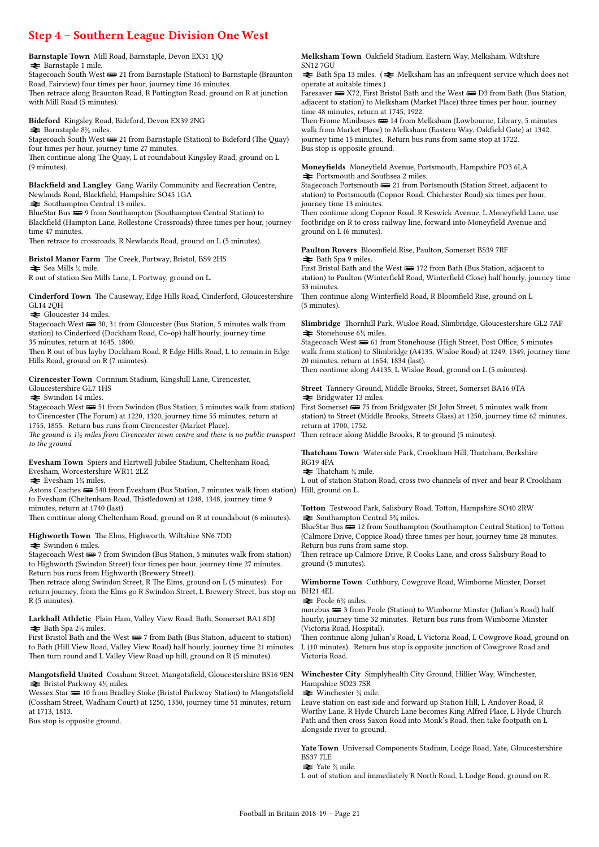### Step 4 – Southern League Division One West

#### Barnstaple Town Mill Road, Barnstaple, Devon EX31 1JQ  $\blacktriangleright$  Barnstaple 1 mile.

Stagecoach South West  $\equiv$  21 from Barnstaple (Station) to Barnstaple (Braunton Road, Fairview) four times per hour, journey time 16 minutes. Then retrace along Braunton Road, R Pottington Road, ground on R at junction with Mill Road (5 minutes).

Bideford Kingsley Road, Bideford, Devon EX39 2NG

 $\blacktriangleright$  Barnstaple 8½ miles.

Stagecoach South West **we** 21 from Barnstaple (Station) to Bideford (The Quay) four times per hour, journey time 27 minutes.

Then continue along The Quay, L at roundabout Kingsley Road, ground on L (9 minutes).

Blackfield and Langley Gang Warily Community and Recreation Centre, Newlands Road, Blackfield, Hampshire SO45 1GA

 $\blacktriangleright$  Southampton Central 13 miles.

BlueStar Bus  $\overline{\bullet\bullet}$  9 from Southampton (Southampton Central Station) to Blackfield (Hampton Lane, Rollestone Crossroads) three times per hour, journey time 47 minutes.

Then retrace to crossroads, R Newlands Road, ground on L (5 minutes).

Bristol Manor Farm The Creek, Portway, Bristol, BS9 2HS  $\blacktriangleright$  Sea Mills ¼ mile.

R out of station Sea Mills Lane, L Portway, ground on L.

Cinderford Town The Causeway, Edge Hills Road, Cinderford, Gloucestershire GL14 2QH

 $\blacktriangleright$  Gloucester 14 miles.

Stagecoach West  $\equiv$  30, 31 from Gloucester (Bus Station, 5 minutes walk from station) to Cinderford (Dockham Road, Co-op) half hourly, journey time 35 minutes, return at 1645, 1800.

Then R out of bus layby Dockham Road, R Edge Hills Road, L to remain in Edge Hills Road, ground on R (7 minutes).

#### Cirencester Town Corinium Stadium, Kingshill Lane, Cirencester, Gloucestershire GL7 1HS

 $\blacktriangleright$  Swindon 14 miles.

Stagecoach West  $\equiv 51$  from Swindon (Bus Station, 5 minutes walk from station) to Cirencester (The Forum) at 1220, 1320, journey time 55 minutes, return at 1755, 1855. Return bus runs from Cirencester (Market Place).

The ground is  $1\frac{1}{2}$  miles from Cirencester town centre and there is no public transport to the ground.

Evesham Town Spiers and Hartwell Jubilee Stadium, Cheltenham Road, Evesham, Worcestershire WR11 2LZ

#### $\blacktriangleright$  Evesham 1<sup>3</sup>/<sub>4</sub> miles.

Astons Coaches  $\equiv$  540 from Evesham (Bus Station, 7 minutes walk from station) Hill, ground on L. to Evesham (Cheltenham Road, Thistledown) at 1248, 1348, journey time 9 minutes, return at 1740 (last).

Then continue along Cheltenham Road, ground on R at roundabout (6 minutes).

Highworth Town The Elms, Highworth, Wiltshire SN6 7DD  $\blacktriangleright$  Swindon 6 miles.

Stagecoach West  $\equiv 7$  from Swindon (Bus Station, 5 minutes walk from station) to Highworth (Swindon Street) four times per hour, journey time 27 minutes. Return bus runs from Highworth (Brewery Street).

Then retrace along Swindon Street, R The Elms, ground on L (5 minutes). For return journey, from the Elms go R Swindon Street, L Brewery Street, bus stop on BH21 4EL R (5 minutes).

Larkhall Athletic Plain Ham, Valley View Road, Bath, Somerset BA1 8DJ  $\blacktriangleright$  Bath Spa 2¼ miles.

First Bristol Bath and the West  $\equiv$  7 from Bath (Bus Station, adjacent to station) to Bath (Hill View Road, Valley View Road) half hourly, journey time 21 minutes. Then turn round and L Valley View Road up hill, ground on R (5 minutes).

Mangotsfield United Cossham Street, Mangotsfield, Gloucestershire BS16 9EN  $\blacktriangleright$  Bristol Parkway 4½ miles.

Wessex Star  $\blacksquare$  10 from Bradley Stoke (Bristol Parkway Station) to Mangotsfield (Cossham Street, Wadham Court) at 1250, 1350, journey time 51 minutes, return at 1713, 1813.

Bus stop is opposite ground.

Melksham Town Oakfield Stadium, Eastern Way, Melksham, Wiltshire SN12 7GU

 $\geq$  Bath Spa 13 miles. ( $\geq$  Melksham has an infrequent service which does not operate at suitable times.)

Faresaver  $\equiv$  X72, First Bristol Bath and the West  $\equiv$  D3 from Bath (Bus Station, adjacent to station) to Melksham (Market Place) three times per hour, journey time 48 minutes, return at 1745, 1922.

Then Frome Minibuses  $\equiv 14$  from Melksham (Lowbourne, Library, 5 minutes walk from Market Place) to Melksham (Eastern Way, Oakfield Gate) at 1342, journey time 15 minutes. Return bus runs from same stop at 1722. Bus stop is opposite ground.

Moneyfields Moneyfield Avenue, Portsmouth, Hampshire PO3 6LA  $\blacktriangleright$  Portsmouth and Southsea 2 miles.

Stagecoach Portsmouth  $\equiv$  21 from Portsmouth (Station Street, adjacent to station) to Portsmouth (Copnor Road, Chichester Road) six times per hour, journey time 13 minutes.

Then continue along Copnor Road, R Keswick Avenue, L Moneyfield Lane, use footbridge on R to cross railway line, forward into Moneyfield Avenue and ground on L (6 minutes).

Paulton Rovers Bloomfield Rise, Paulton, Somerset BS39 7RF = Bath Spa 9 miles.

First Bristol Bath and the West  $\equiv$  172 from Bath (Bus Station, adjacent to station) to Paulton (Winterfield Road, Winterfield Close) half hourly, journey time 53 minutes.

Then continue along Winterfield Road, R Bloomfield Rise, ground on L (5 minutes).

Slimbridge Thornhill Park, Wisloe Road, Slimbridge, Gloucestershire GL2 7AF  $\blacktriangleright$  Stonehouse 6¼ miles.

Stagecoach West  $\equiv 61$  from Stonehouse (High Street, Post Office, 5 minutes walk from station) to Slimbridge (A4135, Wisloe Road) at 1249, 1349, journey time 20 minutes, return at 1654, 1834 (last).

Then continue along A4135, L Wisloe Road, ground on L (5 minutes).

Street Tannery Ground, Middle Brooks, Street, Somerset BA16 0TA  $\blacktriangleright$  Bridgwater 13 miles.

First Somerset  $\equiv$  75 from Bridgwater (St John Street, 5 minutes walk from station) to Street (Middle Brooks, Streets Glass) at 1250, journey time 62 minutes, return at 1700, 1752.

Then retrace along Middle Brooks, R to ground (5 minutes).

Thatcham Town Waterside Park, Crookham Hill, Thatcham, Berkshire RG19 4PA

 $\blacktriangleright$  Thatcham ¼ mile.

L out of station Station Road, cross two channels of river and bear R Crookham

Totton Testwood Park, Salisbury Road, Totton, Hampshire SO40 2RW  $\blacktriangleright$  Southampton Central 5¼ miles.

BlueStar Bus  $\equiv$  12 from Southampton (Southampton Central Station) to Totton (Calmore Drive, Coppice Road) three times per hour, journey time 28 minutes. Return bus runs from same stop.

Then retrace up Calmore Drive, R Cooks Lane, and cross Salisbury Road to ground (5 minutes).

Wimborne Town Cuthbury, Cowgrove Road, Wimborne Minster, Dorset

 $\blacktriangleright$  Poole 6<sup>3</sup>/<sub>4</sub> miles.

morebus  $\equiv$  3 from Poole (Station) to Wimborne Minster (Julian's Road) half hourly, journey time 32 minutes. Return bus runs from Wimborne Minster (Victoria Road, Hospital).

Then continue along Julian's Road, L Victoria Road, L Cowgrove Road, ground on L (10 minutes). Return bus stop is opposite junction of Cowgrove Road and Victoria Road.

Winchester City Simplyhealth City Ground, Hillier Way, Winchester, Hampshire SO23 7SR

 $\triangleq$  Winchester  $\frac{3}{4}$  mile.

Leave station on east side and forward up Station Hill, L Andover Road, R Worthy Lane, R Hyde Church Lane becomes King Alfred Place, L Hyde Church Path and then cross Saxon Road into Monk's Road, then take footpath on L alongside river to ground.

Yate Town Universal Components Stadium, Lodge Road, Yate, Gloucestershire BS37 7LE

 $\blacktriangleright$  Yate  $\frac{3}{4}$  mile.

L out of station and immediately R North Road, L Lodge Road, ground on R.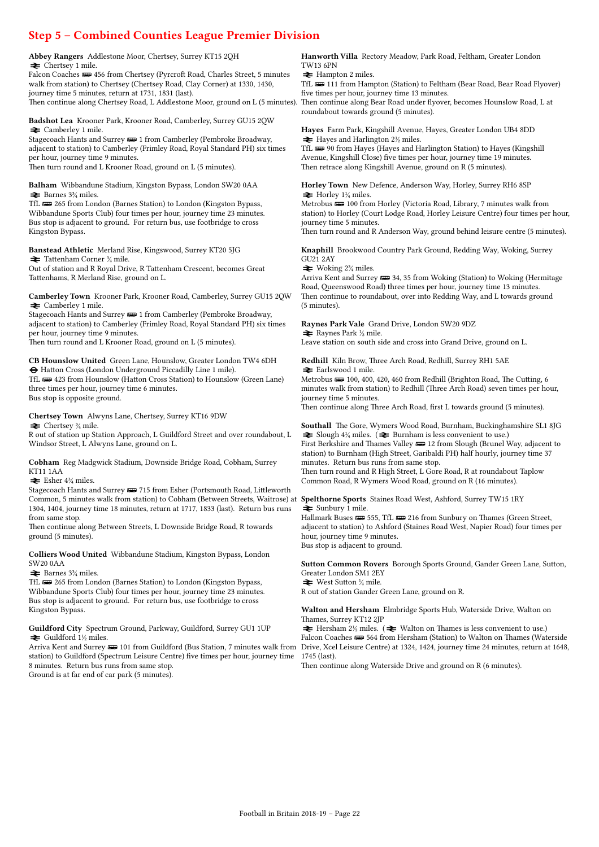## Step 5 – Combined Counties League Premier Division

Abbey Rangers Addlestone Moor, Chertsey, Surrey KT15 2QH  $\Rightarrow$  Chertsey 1 mile.

Falcon Coaches **was** 456 from Chertsey (Pyrcroft Road, Charles Street, 5 minutes walk from station) to Chertsey (Chertsey Road, Clay Corner) at 1330, 1430, journey time 5 minutes, return at 1731, 1831 (last). Then continue along Chertsey Road, L Addlestone Moor, ground on L (5 minutes).

Badshot Lea Krooner Park, Krooner Road, Camberley, Surrey GU15 2QW  $\blacktriangleright$  Camberley 1 mile.

Stagecoach Hants and Surrey  $\equiv 1$  from Camberley (Pembroke Broadway, adjacent to station) to Camberley (Frimley Road, Royal Standard PH) six times per hour, journey time 9 minutes.

Then turn round and L Krooner Road, ground on L (5 minutes).

Balham Wibbandune Stadium, Kingston Bypass, London SW20 0AA  $\blacktriangleright$  Barnes 3¼ miles.

TfL **W** 265 from London (Barnes Station) to London (Kingston Bypass, Wibbandune Sports Club) four times per hour, journey time 23 minutes. Bus stop is adjacent to ground. For return bus, use footbridge to cross Kingston Bypass.

#### Banstead Athletic Merland Rise, Kingswood, Surrey KT20 5JG

 $\blacktriangleright$  Tattenham Corner  $\frac{3}{4}$  mile. Out of station and R Royal Drive, R Tattenham Crescent, becomes Great Tattenhams, R Merland Rise, ground on L.

Camberley Town Krooner Park, Krooner Road, Camberley, Surrey GU15 2QW  $\triangle$  Camberley 1 mile.

Stagecoach Hants and Surrey  $\equiv 1$  from Camberley (Pembroke Broadway, adjacent to station) to Camberley (Frimley Road, Royal Standard PH) six times per hour, journey time 9 minutes.

Then turn round and L Krooner Road, ground on L (5 minutes).

CB Hounslow United Green Lane, Hounslow, Greater London TW4 6DH ® Hatton Cross (London Underground Piccadilly Line 1 mile).

TfL **w** 423 from Hounslow (Hatton Cross Station) to Hounslow (Green Lane) three times per hour, journey time 6 minutes. Bus stop is opposite ground.

#### Chertsey Town Alwyns Lane, Chertsey, Surrey KT16 9DW

 $\blacktriangleright$  Chertsey  $\frac{3}{4}$  mile.

R out of station up Station Approach, L Guildford Street and over roundabout, L Windsor Street, L Alwyns Lane, ground on L.

Cobham Reg Madgwick Stadium, Downside Bridge Road, Cobham, Surrey KT11 1AA

 $\equiv$  Esher 4% miles.

Stagecoach Hants and Surrey  $\implies$  715 from Esher (Portsmouth Road, Littleworth Common, 5 minutes walk from station) to Cobham (Between Streets, Waitrose) at 1304, 1404, journey time 18 minutes, return at 1717, 1833 (last). Return bus runs from same stop.

Then continue along Between Streets, L Downside Bridge Road, R towards ground (5 minutes).

Colliers Wood United Wibbandune Stadium, Kingston Bypass, London SW20 0AA

 $\blacktriangleright$  Barnes 3<sup>3</sup>/<sub>4</sub> miles.

TfL  $\equiv$  265 from London (Barnes Station) to London (Kingston Bypass, Wibbandune Sports Club) four times per hour, journey time 23 minutes. Bus stop is adjacent to ground. For return bus, use footbridge to cross Kingston Bypass.

Guildford City Spectrum Ground, Parkway, Guildford, Surrey GU1 1UP  $\blacktriangleright$  Guildford 1½ miles.

station) to Guildford (Spectrum Leisure Centre) five times per hour, journey time 8 minutes. Return bus runs from same stop. Ground is at far end of car park (5 minutes).

Hanworth Villa Rectory Meadow, Park Road, Feltham, Greater London TW13 6PN

 $\blacktriangleright$  Hampton 2 miles.

TfL **W** 111 from Hampton (Station) to Feltham (Bear Road, Bear Road Flyover) five times per hour, journey time 13 minutes.

Then continue along Bear Road under flyover, becomes Hounslow Road, L at roundabout towards ground (5 minutes).

Hayes Farm Park, Kingshill Avenue, Hayes, Greater London UB4 8DD  $\blacktriangleright$  Hayes and Harlington 2½ miles.

TfL **w** 90 from Hayes (Hayes and Harlington Station) to Hayes (Kingshill Avenue, Kingshill Close) five times per hour, journey time 19 minutes. Then retrace along Kingshill Avenue, ground on R (5 minutes).

Horley Town New Defence, Anderson Way, Horley, Surrey RH6 8SP  $\blacktriangleright$  Horley 1¼ miles.

Metrobus  $\blacksquare$  100 from Horley (Victoria Road, Library, 7 minutes walk from station) to Horley (Court Lodge Road, Horley Leisure Centre) four times per hour, journey time 5 minutes.

Then turn round and R Anderson Way, ground behind leisure centre (5 minutes).

Knaphill Brookwood Country Park Ground, Redding Way, Woking, Surrey GU21 2AY

 $\blacktriangleright$  Woking 2<sup>3</sup>/<sub>4</sub> miles.

Arriva Kent and Surrey  $\equiv$  34, 35 from Woking (Station) to Woking (Hermitage Road, Queenswood Road) three times per hour, journey time 13 minutes. Then continue to roundabout, over into Redding Way, and L towards ground (5 minutes).

Raynes Park Vale Grand Drive, London SW20 9DZ

 $\blacktriangleright$  Raynes Park ½ mile. Leave station on south side and cross into Grand Drive, ground on L.

Redhill Kiln Brow, Three Arch Road, Redhill, Surrey RH1 5AE  $\blacktriangleright$  Earlswood 1 mile.

Metrobus  $\equiv 100, 400, 420, 460$  from Redhill (Brighton Road, The Cutting, 6 minutes walk from station) to Redhill (Three Arch Road) seven times per hour, journey time 5 minutes.

Then continue along Three Arch Road, first L towards ground (5 minutes).

Southall The Gore, Wymers Wood Road, Burnham, Buckinghamshire SL1 8JG  $\blacktriangleright$  Slough 4¼ miles. ( $\blacktriangleright$  Burnham is less convenient to use.) First Berkshire and Thames Valley  $\equiv$  12 from Slough (Brunel Way, adjacent to station) to Burnham (High Street, Garibaldi PH) half hourly, journey time 37 minutes. Return bus runs from same stop.

Then turn round and R High Street, L Gore Road, R at roundabout Taplow Common Road, R Wymers Wood Road, ground on R (16 minutes).

Spelthorne Sports Staines Road West, Ashford, Surrey TW15 1RY  $\blacktriangleright$  Sunbury 1 mile.

Hallmark Buses  $\implies$  555, TfL  $\implies$  216 from Sunbury on Thames (Green Street, adjacent to station) to Ashford (Staines Road West, Napier Road) four times per hour, journey time 9 minutes. Bus stop is adjacent to ground.

Sutton Common Rovers Borough Sports Ground, Gander Green Lane, Sutton, Greater London SM1 2EY

 $\blacktriangleright$  West Sutton ¼ mile. R out of station Gander Green Lane, ground on R.

Walton and Hersham Elmbridge Sports Hub, Waterside Drive, Walton on Thames, Surrey KT12 2JP

Arriva Kent and Surrey ॎ 101 from Guildford (Bus Station, 7 minutes walk from Drive, Xcel Leisure Centre) at 1324, 1424, journey time 24 minutes, return at 1648,  $\blacktriangleright$  Hersham 2½ miles. ( $\blacktriangleright$  Walton on Thames is less convenient to use.) Falcon Coaches  $\implies$  564 from Hersham (Station) to Walton on Thames (Waterside 1745 (last).

Then continue along Waterside Drive and ground on R (6 minutes).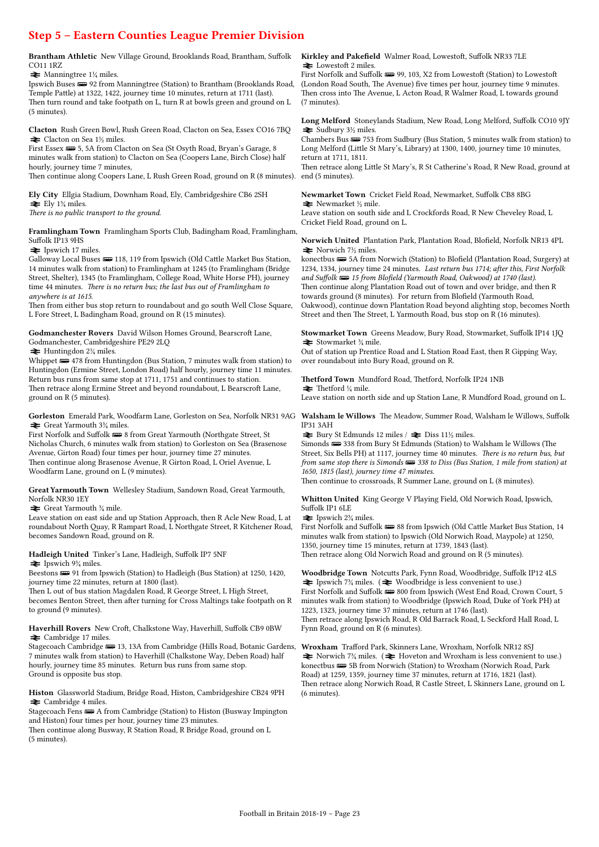### Step 5 – Eastern Counties League Premier Division

Brantham Athletic New Village Ground, Brooklands Road, Brantham, Suffolk CO11 1RZ

 $\blacktriangleright$  Manningtree 1<sup>1</sup>/<sub>4</sub> miles.

Ipswich Buses  $\implies$  92 from Manningtree (Station) to Brantham (Brooklands Road, Temple Pattle) at 1322, 1422, journey time 10 minutes, return at 1711 (last). Then turn round and take footpath on L, turn R at bowls green and ground on L (5 minutes).

Clacton Rush Green Bowl, Rush Green Road, Clacton on Sea, Essex CO16 7BQ  $\blacktriangleright$  Clacton on Sea 1½ miles.

First Essex  $\equiv 5$ , 5A from Clacton on Sea (St Osyth Road, Bryan's Garage, 8 minutes walk from station) to Clacton on Sea (Coopers Lane, Birch Close) half hourly, journey time 7 minutes.

Then continue along Coopers Lane, L Rush Green Road, ground on R (8 minutes).

Ely City Ellgia Stadium, Downham Road, Ely, Cambridgeshire CB6 2SH  $\equiv$  Ely 1<sup>3</sup>/<sub>4</sub> miles.

There is no public transport to the ground.

Framlingham Town Framlingham Sports Club, Badingham Road, Framlingham, Suffolk IP13 9HS

 $\blacktriangleright$  Ipswich 17 miles.

Galloway Local Buses  $\implies$  118, 119 from Ipswich (Old Cattle Market Bus Station, 14 minutes walk from station) to Framlingham at 1245 (to Framlingham (Bridge Street, Shelter), 1345 (to Framlingham, College Road, White Horse PH), journey time 44 minutes. There is no return bus; the last bus out of Framlingham to anywhere is at 1615.

Then from either bus stop return to roundabout and go south Well Close Square, L Fore Street, L Badingham Road, ground on R (15 minutes).

Godmanchester Rovers David Wilson Homes Ground, Bearscroft Lane, Godmanchester, Cambridgeshire PE29 2LQ

 $\blacktriangleright$  Huntingdon 2¼ miles.

Whippet  $\equiv$  478 from Huntingdon (Bus Station, 7 minutes walk from station) to Huntingdon (Ermine Street, London Road) half hourly, journey time 11 minutes. Return bus runs from same stop at 1711, 1751 and continues to station. Then retrace along Ermine Street and beyond roundabout, L Bearscroft Lane, ground on R (5 minutes).

 $\blacktriangleright$  Great Yarmouth 3<sup>3</sup>/<sub>4</sub> miles.

First Norfolk and Suffolk  $\Longrightarrow$  8 from Great Yarmouth (Northgate Street, St Nicholas Church, 6 minutes walk from station) to Gorleston on Sea (Brasenose Avenue, Girton Road) four times per hour, journey time 27 minutes. Then continue along Brasenose Avenue, R Girton Road, L Oriel Avenue, L Woodfarm Lane, ground on L (9 minutes).

Great Yarmouth Town Wellesley Stadium, Sandown Road, Great Yarmouth, Norfolk NR30 1EY

 $\blacktriangleright$  Great Yarmouth  $\frac{3}{4}$  mile.

Leave station on east side and up Station Approach, then R Acle New Road, L at roundabout North Quay, R Rampart Road, L Northgate Street, R Kitchener Road, becomes Sandown Road, ground on R.

#### Hadleigh United Tinker's Lane, Hadleigh, Suffolk IP7 5NF

 $\blacktriangleright$  Ipswich 9¼ miles.

Beestons  $\equiv$  91 from Ipswich (Station) to Hadleigh (Bus Station) at 1250, 1420, journey time 22 minutes, return at 1800 (last).

Then L out of bus station Magdalen Road, R George Street, L High Street, becomes Benton Street, then after turning for Cross Maltings take footpath on R to ground (9 minutes).

#### Haverhill Rovers New Croft, Chalkstone Way, Haverhill, Suffolk CB9 0BW  $\rightleftharpoons$  Cambridge 17 miles.

Stagecoach Cambridge  $\equiv$  13, 13A from Cambridge (Hills Road, Botanic Gardens, 7 minutes walk from station) to Haverhill (Chalkstone Way, Deben Road) half hourly, journey time 85 minutes. Return bus runs from same stop. Ground is opposite bus stop.

Histon Glassworld Stadium, Bridge Road, Histon, Cambridgeshire CB24 9PH  $\rightleftarrows$  Cambridge 4 miles.

Stagecoach Fens  $\equiv A$  from Cambridge (Station) to Histon (Busway Impington and Histon) four times per hour, journey time 23 minutes.

Then continue along Busway, R Station Road, R Bridge Road, ground on L (5 minutes).

#### Kirkley and Pakefield Walmer Road, Lowestoft, Suffolk NR33 7LE  $\blacktriangleright$  Lowestoft 2 miles.

First Norfolk and Suffolk (99, 103, X2 from Lowestoft (Station) to Lowestoft (London Road South, The Avenue) five times per hour, journey time 9 minutes. Then cross into The Avenue, L Acton Road, R Walmer Road, L towards ground (7 minutes).

Long Melford Stoneylands Stadium, New Road, Long Melford, Suffolk CO10 9JY  $\blacktriangleright$  Sudbury 3½ miles.

Chambers Bus  $\equiv$  753 from Sudbury (Bus Station, 5 minutes walk from station) to Long Melford (Little St Mary's, Library) at 1300, 1400, journey time 10 minutes, return at 1711, 1811.

Then retrace along Little St Mary's, R St Catherine's Road, R New Road, ground at end (5 minutes).

Newmarket Town Cricket Field Road, Newmarket, Suffolk CB8 8BG  $\blacktriangleright$  Newmarket ½ mile.

Leave station on south side and L Crockfords Road, R New Cheveley Road, L Cricket Field Road, ground on L.

Norwich United Plantation Park, Plantation Road, Blofield, Norfolk NR13 4PL  $\blacktriangleright$  Norwich 7½ miles.

konectbus  $\implies$  5A from Norwich (Station) to Blofield (Plantation Road, Surgery) at 1234, 1334, journey time 24 minutes. Last return bus 1714; after this, First Norfolk and Suffolk **B** 15 from Blofield (Yarmouth Road, Oakwood) at 1740 (last). Then continue along Plantation Road out of town and over bridge, and then R towards ground (8 minutes). For return from Blofield (Yarmouth Road, Oakwood), continue down Plantation Road beyond alighting stop, becomes North Street and then The Street, L Yarmouth Road, bus stop on R (16 minutes).

Stowmarket Town Greens Meadow, Bury Road, Stowmarket, Suffolk IP14 1JQ  $\triangleq$  Stowmarket % mile.

Out of station up Prentice Road and L Station Road East, then R Gipping Way, over roundabout into Bury Road, ground on R.

#### Thetford Town Mundford Road, Thetford, Norfolk IP24 1NB

 $\blacktriangleright$  Thetford ¼ mile.

Leave station on north side and up Station Lane, R Mundford Road, ground on L.

Gorleston Emerald Park, Woodfarm Lane, Gorleston on Sea, Norfolk NR31 9AG Walsham le Willows The Meadow, Summer Road, Walsham le Willows, Suffolk IP31 3AH

 $\blacktriangleright$  Bury St Edmunds 12 miles /  $\blacktriangleright$  Diss 11½ miles.

Simonds  $\equiv$  338 from Bury St Edmunds (Station) to Walsham le Willows (The Street, Six Bells PH) at 1117, journey time 40 minutes. There is no return bus, but from same stop there is Simonds  $\implies$  338 to Diss (Bus Station, 1 mile from station) at 1650, 1815 (last), journey time 47 minutes.

Then continue to crossroads, R Summer Lane, ground on L (8 minutes).

Whitton United King George V Playing Field, Old Norwich Road, Ipswich, Suffolk IP1 6LE

 $\blacktriangleright$  Ipswich 2¼ miles.

First Norfolk and Suffolk  $\equiv$  88 from Ipswich (Old Cattle Market Bus Station, 14 minutes walk from station) to Ipswich (Old Norwich Road, Maypole) at 1250, 1350, journey time 15 minutes, return at 1739, 1843 (last). Then retrace along Old Norwich Road and ground on R (5 minutes).

Woodbridge Town Notcutts Park, Fynn Road, Woodbridge, Suffolk IP12 4LS  $\blacktriangleright$  Ipswich 7<sup>3</sup>/<sub>4</sub> miles. ( $\blacktriangleright$  Woodbridge is less convenient to use.) First Norfolk and Suffolk  $\equiv$  800 from Ipswich (West End Road, Crown Court, 5 minutes walk from station) to Woodbridge (Ipswich Road, Duke of York PH) at 1223, 1323, journey time 37 minutes, return at 1746 (last). Then retrace along Ipswich Road, R Old Barrack Road, L Seckford Hall Road, L Fynn Road, ground on R (6 minutes).

Wroxham Trafford Park, Skinners Lane, Wroxham, Norfolk NR12 8SJ  $\blacktriangleright$  Norwich 7<sup>3</sup>/<sub>4</sub> miles. ( $\blacktriangleright$  Hoveton and Wroxham is less convenient to use.) konectbus  $\equiv$  5B from Norwich (Station) to Wroxham (Norwich Road, Park Road) at 1259, 1359, journey time 37 minutes, return at 1716, 1821 (last). Then retrace along Norwich Road, R Castle Street, L Skinners Lane, ground on L (6 minutes).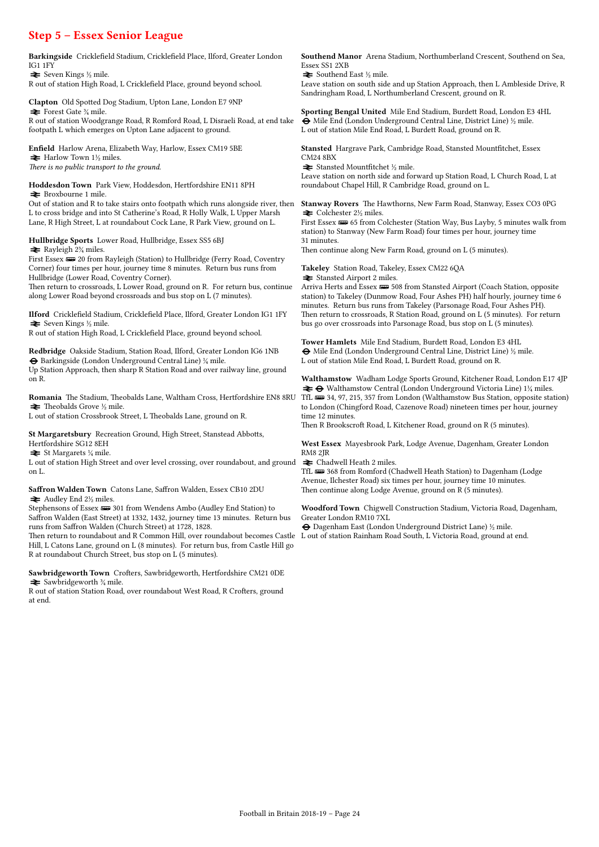Step 5 – Essex Senior League Barkingside Cricklefield Stadium, Cricklefield Place, Ilford, Greater London IG1 1FY  $\blacktriangleright$  Seven Kings ½ mile. R out of station High Road, L Cricklefield Place, ground beyond school. Clapton Old Spotted Dog Stadium, Upton Lane, London E7 9NP  $\blacktriangleright$  Forest Gate  $\frac{3}{4}$  mile. R out of station Woodgrange Road, R Romford Road, L Disraeli Road, at end take footpath L which emerges on Upton Lane adjacent to ground. Enfield Harlow Arena, Elizabeth Way, Harlow, Essex CM19 5BE  $\blacktriangleright$  Harlow Town 1½ miles. There is no public transport to the ground. Hoddesdon Town Park View, Hoddesdon, Hertfordshire EN11 8PH = Broxbourne 1 mile. Out of station and R to take stairs onto footpath which runs alongside river, then L to cross bridge and into St Catherine's Road, R Holly Walk, L Upper Marsh Lane, R High Street, L at roundabout Cock Lane, R Park View, ground on L. Hullbridge Sports Lower Road, Hullbridge, Essex SS5 6BJ  $\blacktriangleright$  Rayleigh 2<sup>3</sup>/<sub>4</sub> miles. First Essex  $\equiv$  20 from Rayleigh (Station) to Hullbridge (Ferry Road, Coventry Corner) four times per hour, journey time 8 minutes. Return bus runs from Hullbridge (Lower Road, Coventry Corner). Then return to crossroads, L Lower Road, ground on R. For return bus, continue along Lower Road beyond crossroads and bus stop on L (7 minutes). Ilford Cricklefield Stadium, Cricklefield Place, Ilford, Greater London IG1 1FY  $\blacktriangleright$  Seven Kings ½ mile. R out of station High Road, L Cricklefield Place, ground beyond school. Redbridge Oakside Stadium, Station Road, Ilford, Greater London IG6 1NB  $\Theta$  Barkingside (London Underground Central Line)  $\frac{1}{4}$  mile. Up Station Approach, then sharp R Station Road and over railway line, ground on R. Romania The Stadium, Theobalds Lane, Waltham Cross, Hertfordshire EN8 8RU  $\blacktriangleright$  Theobalds Grove ½ mile. L out of station Crossbrook Street, L Theobalds Lane, ground on R. St Margaretsbury Recreation Ground, High Street, Stanstead Abbotts, Hertfordshire SG12 8EH  $\blacktriangleright$  St Margarets  $\frac{1}{4}$  mile. Essex SS1 2XB  $\blacktriangleright$  Southend East  $\frac{1}{2}$  mile. CM24 8BX  $\blacktriangleright$  Stansted Mountfitchet  $\frac{1}{2}$  mile. roundabout Chapel Hill, R Cambridge Road, ground on L.  $\blacktriangleright$  Colchester 2½ miles. 31 minutes. Takeley Station Road, Takeley, Essex CM22 6QA  $\blacktriangleright$  Stansted Airport 2 miles. time 12 minutes. RM8 2JR

L out of station High Street and over level crossing, over roundabout, and ground on L.

Saffron Walden Town Catons Lane, Saffron Walden, Essex CB10 2DU  $\blacktriangleright$  Audley End 2½ miles.

Stephensons of Essex  $\equiv$  301 from Wendens Ambo (Audley End Station) to Saffron Walden (East Street) at 1332, 1432, journey time 13 minutes. Return bus runs from Saffron Walden (Church Street) at 1728, 1828.

Then return to roundabout and R Common Hill, over roundabout becomes Castle Hill, L Catons Lane, ground on L (8 minutes). For return bus, from Castle Hill go R at roundabout Church Street, bus stop on L (5 minutes).

Sawbridgeworth Town Crofters, Sawbridgeworth, Hertfordshire CM21 0DE  $\blacktriangleright$  Sawbridgeworth  $\frac{3}{4}$  mile.

R out of station Station Road, over roundabout West Road, R Crofters, ground at end.

Southend Manor Arena Stadium, Northumberland Crescent, Southend on Sea,

Leave station on south side and up Station Approach, then L Ambleside Drive, R Sandringham Road, L Northumberland Crescent, ground on R.

Sporting Bengal United Mile End Stadium, Burdett Road, London E3 4HL  $\Theta$  Mile End (London Underground Central Line, District Line)  $\frac{1}{2}$  mile. L out of station Mile End Road, L Burdett Road, ground on R.

Stansted Hargrave Park, Cambridge Road, Stansted Mountfitchet, Essex

Leave station on north side and forward up Station Road, L Church Road, L at

Stanway Rovers The Hawthorns, New Farm Road, Stanway, Essex CO3 0PG

First Essex  $\equiv 65$  from Colchester (Station Way, Bus Layby, 5 minutes walk from station) to Stanway (New Farm Road) four times per hour, journey time

Then continue along New Farm Road, ground on L (5 minutes).

Arriva Herts and Essex  $\equiv 508$  from Stansted Airport (Coach Station, opposite station) to Takeley (Dunmow Road, Four Ashes PH) half hourly, journey time 6 minutes. Return bus runs from Takeley (Parsonage Road, Four Ashes PH). Then return to crossroads, R Station Road, ground on L (5 minutes). For return bus go over crossroads into Parsonage Road, bus stop on L (5 minutes).

Tower Hamlets Mile End Stadium, Burdett Road, London E3 4HL  $\Theta$  Mile End (London Underground Central Line, District Line)  $\frac{1}{2}$  mile. L out of station Mile End Road, L Burdett Road, ground on R.

Walthamstow Wadham Lodge Sports Ground, Kitchener Road, London E17 4JP  $\rightleftharpoons$  **⊖** Walthamstow Central (London Underground Victoria Line) 1¼ miles. TfL  $\equiv$  34, 97, 215, 357 from London (Walthamstow Bus Station, opposite station) to London (Chingford Road, Cazenove Road) nineteen times per hour, journey

Then R Brookscroft Road, L Kitchener Road, ground on R (5 minutes).

West Essex Mayesbrook Park, Lodge Avenue, Dagenham, Greater London

 $\blacktriangleright$  Chadwell Heath 2 miles.

TfL **B** 368 from Romford (Chadwell Heath Station) to Dagenham (Lodge Avenue, Ilchester Road) six times per hour, journey time 10 minutes. Then continue along Lodge Avenue, ground on R (5 minutes).

Woodford Town Chigwell Construction Stadium, Victoria Road, Dagenham, Greater London RM10 7XL

® Dagenham East (London Underground District Lane) ½ mile.

L out of station Rainham Road South, L Victoria Road, ground at end.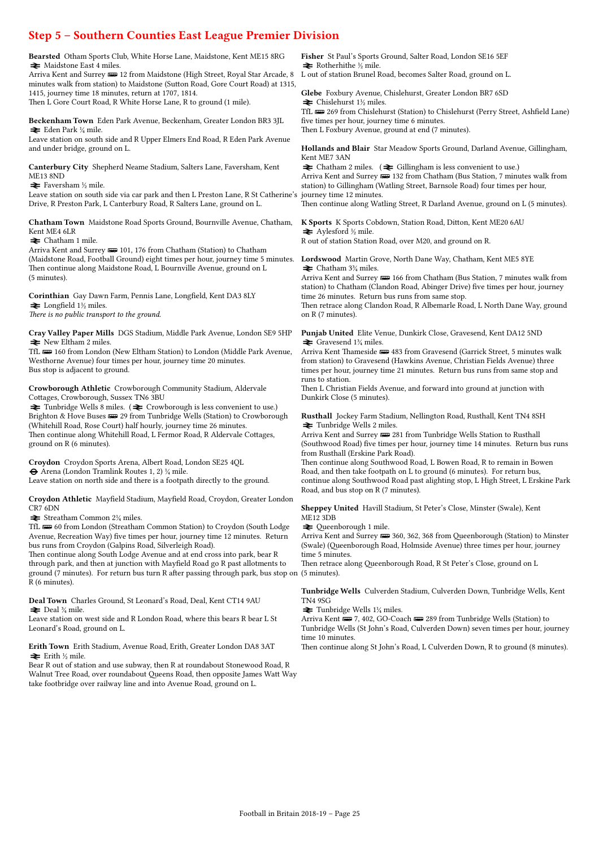### Step 5 – Southern Counties East League Premier Division

Bearsted Otham Sports Club, White Horse Lane, Maidstone, Kent ME15 8RG  $\blacktriangleright$  Maidstone East 4 miles.

Arriva Kent and Surrey  $\equiv 12$  from Maidstone (High Street, Royal Star Arcade, 8 minutes walk from station) to Maidstone (Sutton Road, Gore Court Road) at 1315, 1415, journey time 18 minutes, return at 1707, 1814. Then L Gore Court Road, R White Horse Lane, R to ground (1 mile).

Beckenham Town Eden Park Avenue, Beckenham, Greater London BR3 3JL  $\blacktriangleright$  Eden Park ¼ mile.

Leave station on south side and R Upper Elmers End Road, R Eden Park Avenue and under bridge, ground on L.

Canterbury City Shepherd Neame Stadium, Salters Lane, Faversham, Kent ME13 8ND

 $\blacktriangleright$  Faversham ½ mile.

Leave station on south side via car park and then L Preston Lane, R St Catherine's Drive, R Preston Park, L Canterbury Road, R Salters Lane, ground on L.

Chatham Town Maidstone Road Sports Ground, Bournville Avenue, Chatham, Kent ME4 6LR

 $\blacktriangleright$  Chatham 1 mile.

Arriva Kent and Surrey  $\equiv 101$ , 176 from Chatham (Station) to Chatham (Maidstone Road, Football Ground) eight times per hour, journey time 5 minutes. Then continue along Maidstone Road, L Bournville Avenue, ground on L (5 minutes).

Corinthian Gay Dawn Farm, Pennis Lane, Longfield, Kent DA3 8LY  $\blacktriangleright$  Longfield 1<sup>1</sup>/<sub>2</sub> miles.

There is no public transport to the ground.

Cray Valley Paper Mills DGS Stadium, Middle Park Avenue, London SE9 5HP  $\blacktriangleright$  New Eltham 2 miles.

TfL **a** 160 from London (New Eltham Station) to London (Middle Park Avenue, Westhorne Avenue) four times per hour, journey time 20 minutes. Bus stop is adjacent to ground.

Crowborough Athletic Crowborough Community Stadium, Aldervale Cottages, Crowborough, Sussex TN6 3BU

 $\cong$  Tunbridge Wells 8 miles. ( $\cong$  Crowborough is less convenient to use.) Brighton & Hove Buses  $\equiv$  29 from Tunbridge Wells (Station) to Crowborough (Whitehill Road, Rose Court) half hourly, journey time 26 minutes. Then continue along Whitehill Road, L Fermor Road, R Aldervale Cottages, ground on R (6 minutes).

Croydon Croydon Sports Arena, Albert Road, London SE25 4QL ® Arena (London Tramlink Routes 1, 2) ¼ mile.

Leave station on north side and there is a footpath directly to the ground.

Croydon Athletic Mayfield Stadium, Mayfield Road, Croydon, Greater London CR7 6DN

 $\blacktriangleright$  Streatham Common 2¼ miles.

TfL **B** 60 from London (Streatham Common Station) to Croydon (South Lodge Avenue, Recreation Way) five times per hour, journey time 12 minutes. Return bus runs from Croydon (Galpins Road, Silverleigh Road).

Then continue along South Lodge Avenue and at end cross into park, bear R through park, and then at junction with Mayfield Road go R past allotments to ground (7 minutes). For return bus turn R after passing through park, bus stop on (5 minutes). R (6 minutes).

Deal Town Charles Ground, St Leonard's Road, Deal, Kent CT14 9AU  $\blacktriangleright$  Deal  $\frac{3}{4}$  mile.

Leave station on west side and R London Road, where this bears R bear L St Leonard's Road, ground on L.

#### Erith Town Erith Stadium, Avenue Road, Erith, Greater London DA8 3AT  $\blacktriangleright$  Erith ½ mile.

Bear R out of station and use subway, then R at roundabout Stonewood Road, R Walnut Tree Road, over roundabout Queens Road, then opposite James Watt Way take footbridge over railway line and into Avenue Road, ground on L.

Fisher St Paul's Sports Ground, Salter Road, London SE16 5EF  $\blacktriangleright$  Rotherhithe ½ mile.

L out of station Brunel Road, becomes Salter Road, ground on L.

Glebe Foxbury Avenue, Chislehurst, Greater London BR7 6SD  $\triangleq$  Chislehurst 1½ miles.

TfL  $\equiv$  269 from Chislehurst (Station) to Chislehurst (Perry Street, Ashfield Lane) five times per hour, journey time 6 minutes.

Then L Foxbury Avenue, ground at end (7 minutes).

Hollands and Blair Star Meadow Sports Ground, Darland Avenue, Gillingham, Kent ME7 3AN

 $\blacktriangleright$  Chatham 2 miles. ( $\blacktriangleright$  Gillingham is less convenient to use.) Arriva Kent and Surrey  $\implies$  132 from Chatham (Bus Station, 7 minutes walk from station) to Gillingham (Watling Street, Barnsole Road) four times per hour, journey time 12 minutes.

Then continue along Watling Street, R Darland Avenue, ground on L (5 minutes).

K Sports K Sports Cobdown, Station Road, Ditton, Kent ME20 6AU  $\blacktriangleright$  Aylesford ½ mile. R out of station Station Road, over M20, and ground on R.

Lordswood Martin Grove, North Dane Way, Chatham, Kent ME5 8YE  $\blacktriangleright$  Chatham 3¼ miles.

Arriva Kent and Surrey  $\Longrightarrow$  166 from Chatham (Bus Station, 7 minutes walk from station) to Chatham (Clandon Road, Abinger Drive) five times per hour, journey time 26 minutes. Return bus runs from same stop.

Then retrace along Clandon Road, R Albemarle Road, L North Dane Way, ground on R (7 minutes).

Punjab United Elite Venue, Dunkirk Close, Gravesend, Kent DA12 5ND  $\blacktriangleright$  Gravesend 1¼ miles.

Arriva Kent Thameside  $\equiv$  483 from Gravesend (Garrick Street, 5 minutes walk from station) to Gravesend (Hawkins Avenue, Christian Fields Avenue) three times per hour, journey time 21 minutes. Return bus runs from same stop and runs to station.

Then L Christian Fields Avenue, and forward into ground at junction with Dunkirk Close (5 minutes).

Rusthall Jockey Farm Stadium, Nellington Road, Rusthall, Kent TN4 8SH  $\blacktriangleright$  Tunbridge Wells 2 miles.

Arriva Kent and Surrey  $\equiv$  281 from Tunbridge Wells Station to Rusthall (Southwood Road) five times per hour, journey time 14 minutes. Return bus runs from Rusthall (Erskine Park Road).

Then continue along Southwood Road, L Bowen Road, R to remain in Bowen Road, and then take footpath on L to ground (6 minutes). For return bus, continue along Southwood Road past alighting stop, L High Street, L Erskine Park Road, and bus stop on R (7 minutes).

Sheppey United Havill Stadium, St Peter's Close, Minster (Swale), Kent ME12 3DB

 $\blacktriangleright$  Queenborough 1 mile.

Arriva Kent and Surrey (1988) 360, 362, 368 from Queenborough (Station) to Minster (Swale) (Queenborough Road, Holmside Avenue) three times per hour, journey time 5 minutes.

Then retrace along Queenborough Road, R St Peter's Close, ground on L

Tunbridge Wells Culverden Stadium, Culverden Down, Tunbridge Wells, Kent TN4 9SG

 $\blacktriangleright$  Tunbridge Wells 1¼ miles.

Arriva Kent **w** 7, 402, GO-Coach **w** 289 from Tunbridge Wells (Station) to Tunbridge Wells (St John's Road, Culverden Down) seven times per hour, journey time 10 minutes.

Then continue along St John's Road, L Culverden Down, R to ground (8 minutes).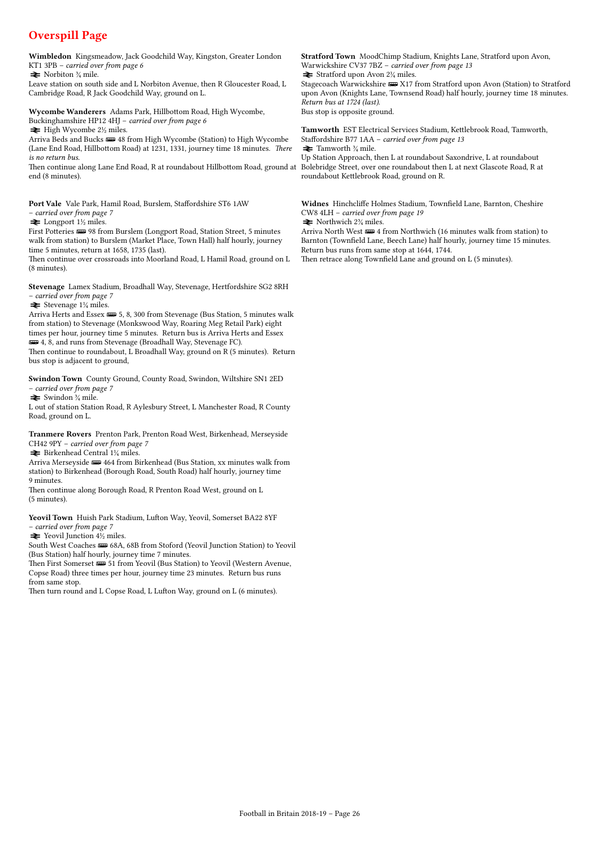## Overspill Page

Wimbledon Kingsmeadow, Jack Goodchild Way, Kingston, Greater London KT1 3PB – carried over from page 6

 $\blacktriangleright$  Norbiton  $\frac{3}{2}$  mile.

Leave station on south side and L Norbiton Avenue, then R Gloucester Road, L Cambridge Road, R Jack Goodchild Way, ground on L.

Wycombe Wanderers Adams Park, Hillbottom Road, High Wycombe, Buckinghamshire HP12 4HJ – carried over from page 6

 $\rightleftharpoons$  High Wycombe 2½ miles.

Arriva Beds and Bucks  $\frac{1}{\sqrt{2}}$  48 from High Wycombe (Station) to High Wycombe (Lane End Road, Hillbottom Road) at 1231, 1331, journey time 18 minutes. There is no return bus.

Then continue along Lane End Road, R at roundabout Hillbottom Road, ground at end (8 minutes).

Port Vale Vale Park, Hamil Road, Burslem, Staffordshire ST6 1AW – carried over from page 7

 $\blacktriangleright$  Longport 1½ miles.

First Potteries **328** 98 from Burslem (Longport Road, Station Street, 5 minutes walk from station) to Burslem (Market Place, Town Hall) half hourly, journey time 5 minutes, return at 1658, 1735 (last).

Then continue over crossroads into Moorland Road, L Hamil Road, ground on L (8 minutes).

Stevenage Lamex Stadium, Broadhall Way, Stevenage, Hertfordshire SG2 8RH – carried over from page 7

 $\blacktriangleright$  Stevenage 1¼ miles.

Arriva Herts and Essex  $\equiv 5, 8, 300$  from Stevenage (Bus Station, 5 minutes walk from station) to Stevenage (Monkswood Way, Roaring Meg Retail Park) eight times per hour, journey time 5 minutes. Return bus is Arriva Herts and Essex **ED** 4, 8, and runs from Stevenage (Broadhall Way, Stevenage FC). Then continue to roundabout, L Broadhall Way, ground on R (5 minutes). Return bus stop is adjacent to ground,

Swindon Town County Ground, County Road, Swindon, Wiltshire SN1 2ED – carried over from page 7

 $\blacktriangleright$  Swindon  $\frac{3}{4}$  mile.

L out of station Station Road, R Aylesbury Street, L Manchester Road, R County Road, ground on L.

Tranmere Rovers Prenton Park, Prenton Road West, Birkenhead, Merseyside CH42 9PY – carried over from page 7

 $\blacktriangleright$  Birkenhead Central 1¼ miles.

Arriva Merseyside  $\equiv$  464 from Birkenhead (Bus Station, xx minutes walk from station) to Birkenhead (Borough Road, South Road) half hourly, journey time 9 minutes.

Then continue along Borough Road, R Prenton Road West, ground on L (5 minutes).

Yeovil Town Huish Park Stadium, Lufton Way, Yeovil, Somerset BA22 8YF – carried over from page 7

 $\blacktriangleright$  Yeovil Junction  $4\frac{1}{2}$  miles.

South West Coaches **B** 68A, 68B from Stoford (Yeovil Junction Station) to Yeovil (Bus Station) half hourly, journey time 7 minutes.

Then First Somerset  $\equiv 51$  from Yeovil (Bus Station) to Yeovil (Western Avenue, Copse Road) three times per hour, journey time 23 minutes. Return bus runs from same stop.

Then turn round and L Copse Road, L Lufton Way, ground on L (6 minutes).

Stratford Town MoodChimp Stadium, Knights Lane, Stratford upon Avon, Warwickshire CV37 7BZ – carried over from page 13  $\blacktriangleright$  Stratford upon Avon 2¼ miles.

Stagecoach Warwickshire  $\equiv$  X17 from Stratford upon Avon (Station) to Stratford upon Avon (Knights Lane, Townsend Road) half hourly, journey time 18 minutes. Return bus at 1724 (last).

Bus stop is opposite ground.

Tamworth EST Electrical Services Stadium, Kettlebrook Road, Tamworth, Staffordshire B77 1AA – carried over from page 13  $\blacktriangleright$  Tamworth  $\frac{3}{4}$  mile.

Up Station Approach, then L at roundabout Saxondrive, L at roundabout Bolebridge Street, over one roundabout then L at next Glascote Road, R at roundabout Kettlebrook Road, ground on R.

Widnes Hinchcliffe Holmes Stadium, Townfield Lane, Barnton, Cheshire CW8 4LH – carried over from page 19  $\blacktriangleright$  Northwich 2¼ miles.

Arriva North West  $\equiv 4$  from Northwich (16 minutes walk from station) to Barnton (Townfield Lane, Beech Lane) half hourly, journey time 15 minutes. Return bus runs from same stop at 1644, 1744.

Then retrace along Townfield Lane and ground on L (5 minutes).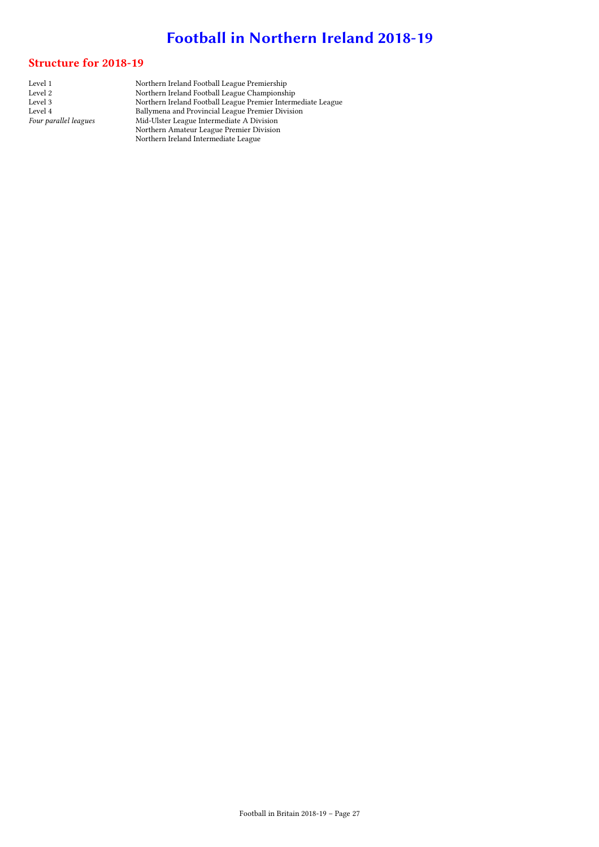# Football in Northern Ireland 2018-19

### Structure for 2018-19

Level 1 Northern Ireland Football League Premiership Level 2 Northern Ireland Football League Championship Level 3 Northern Ireland Football League Premier Intermediate League Level 4 Ballymena and Provincial League Premier Division Four parallel leagues Mid-Ulster League Intermediate A Division Northern Amateur League Premier Division Northern Ireland Intermediate League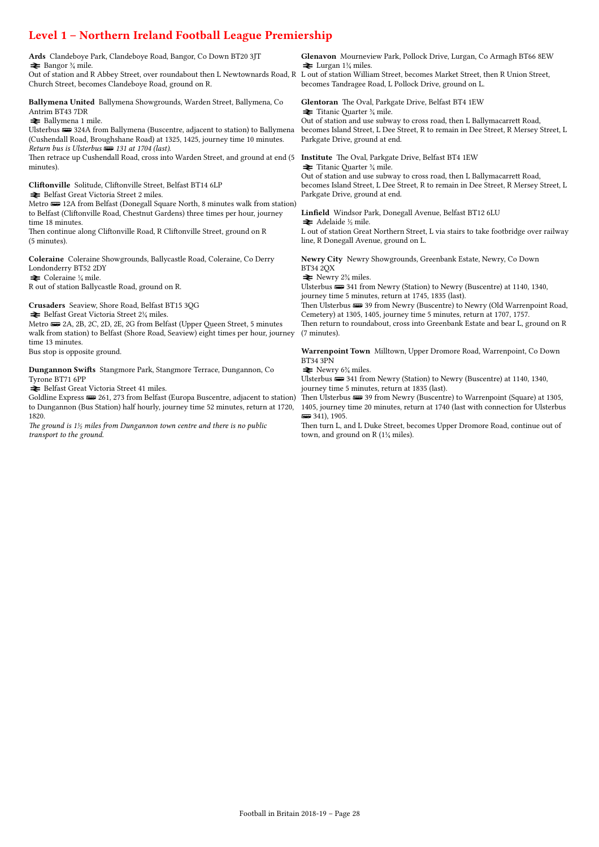# Level 1 – Northern Ireland Football League Premiership

| Ards Clandeboye Park, Clandeboye Road, Bangor, Co Down BT20 3JT<br>$\triangleq$ Bangor $\frac{3}{4}$ mile.<br>Out of station and R Abbey Street, over roundabout then L Newtownards Road, R L out of station William Street, becomes Market Street, then R Union Street,<br>Church Street, becomes Clandeboye Road, ground on R.                                                                                                            | Glenavon Mourneview Park, Pollock Drive, Lurgan, Co Armagh BT66 8EW<br>$\geq$ Lurgan 1 <sup>1</sup> / <sub>4</sub> miles.<br>becomes Tandragee Road, L Pollock Drive, ground on L.                                                                                                                                                                                                                                                                                                                   |
|---------------------------------------------------------------------------------------------------------------------------------------------------------------------------------------------------------------------------------------------------------------------------------------------------------------------------------------------------------------------------------------------------------------------------------------------|------------------------------------------------------------------------------------------------------------------------------------------------------------------------------------------------------------------------------------------------------------------------------------------------------------------------------------------------------------------------------------------------------------------------------------------------------------------------------------------------------|
| Ballymena United Ballymena Showgrounds, Warden Street, Ballymena, Co<br>Antrim BT43 7DR<br><b>≥</b> Ballymena 1 mile.<br>Ulsterbus <b>up</b> 324A from Ballymena (Buscentre, adjacent to station) to Ballymena<br>(Cushendall Road, Broughshane Road) at 1325, 1425, journey time 10 minutes.<br>Return bus is Ulsterbus <b>Form</b> 131 at 1704 (last).<br>Then retrace up Cushendall Road, cross into Warden Street, and ground at end (5 | Glentoran The Oval, Parkgate Drive, Belfast BT4 1EW<br>$\blacktriangleright$ Titanic Quarter $\frac{3}{4}$ mile.<br>Out of station and use subway to cross road, then L Ballymacarrett Road,<br>becomes Island Street, L Dee Street, R to remain in Dee Street, R Mersey Street, L<br>Parkgate Drive, ground at end.<br><b>Institute</b> The Oval, Parkgate Drive, Belfast BT4 1EW                                                                                                                   |
| minutes).<br>Cliftonville Solitude, Cliftonville Street, Belfast BT14 6LP<br>Belfast Great Victoria Street 2 miles.<br>Metro <b>ED</b> 12A from Belfast (Donegall Square North, 8 minutes walk from station)<br>to Belfast (Cliftonville Road, Chestnut Gardens) three times per hour, journey<br>time 18 minutes.<br>Then continue along Cliftonville Road, R Cliftonville Street, ground on R<br>$(5 \text{ minutes})$ .                  | $\blacktriangleright$ Titanic Quarter $\frac{3}{4}$ mile.<br>Out of station and use subway to cross road, then L Ballymacarrett Road,<br>becomes Island Street, L Dee Street, R to remain in Dee Street, R Mersey Street, L<br>Parkgate Drive, ground at end.<br>Linfield Windsor Park, Donegall Avenue, Belfast BT12 6LU<br>$\blacktriangleright$ Adelaide ½ mile.<br>L out of station Great Northern Street, L via stairs to take footbridge over railway<br>line, R Donegall Avenue, ground on L. |
| Coleraine Coleraine Showgrounds, Ballycastle Road, Coleraine, Co Derry<br>Londonderry BT52 2DY<br>$\blacktriangleright$ Coleraine $\frac{1}{4}$ mile.<br>R out of station Ballycastle Road, ground on R.                                                                                                                                                                                                                                    | Newry City Newry Showgrounds, Greenbank Estate, Newry, Co Down<br><b>BT34 2QX</b><br>$\blacktriangleright$ Newry 2 <sup>3</sup> / <sub>4</sub> miles.<br>Ulsterbus $\implies$ 341 from Newry (Station) to Newry (Buscentre) at 1140, 1340,<br>journey time 5 minutes, return at 1745, 1835 (last).                                                                                                                                                                                                   |
| Crusaders Seaview, Shore Road, Belfast BT15 3QG<br>$\blacktriangleright$ Belfast Great Victoria Street 2¼ miles.<br>Metro $\equiv$ 2A, 2B, 2C, 2D, 2E, 2G from Belfast (Upper Queen Street, 5 minutes<br>walk from station) to Belfast (Shore Road, Seaview) eight times per hour, journey<br>time 13 minutes.                                                                                                                              | Then Ulsterbus $\equiv$ 39 from Newry (Buscentre) to Newry (Old Warrenpoint Road,<br>Cemetery) at 1305, 1405, journey time 5 minutes, return at 1707, 1757.<br>Then return to roundabout, cross into Greenbank Estate and bear L, ground on R<br>$(7 \text{ minutes})$ .                                                                                                                                                                                                                             |
| Bus stop is opposite ground.                                                                                                                                                                                                                                                                                                                                                                                                                | Warrenpoint Town Milltown, Upper Dromore Road, Warrenpoint, Co Down<br><b>BT34 3PN</b>                                                                                                                                                                                                                                                                                                                                                                                                               |
| Dungannon Swifts Stangmore Park, Stangmore Terrace, Dungannon, Co<br>Tyrone BT71 6PP<br>Belfast Great Victoria Street 41 miles.<br>Goldline Express $\equiv$ 261, 273 from Belfast (Europa Buscentre, adjacent to station)                                                                                                                                                                                                                  | $\blacktriangleright$ Newry 6 <sup>3</sup> / <sub>4</sub> miles.<br>Ulsterbus $\implies$ 341 from Newry (Station) to Newry (Buscentre) at 1140, 1340,<br>journey time 5 minutes, return at 1835 (last).<br>Then Ulsterbus $\equiv$ 39 from Newry (Buscentre) to Warrenpoint (Square) at 1305,                                                                                                                                                                                                        |
| to Dungannon (Bus Station) half hourly, journey time 52 minutes, return at 1720,<br>1820.                                                                                                                                                                                                                                                                                                                                                   | 1405, journey time 20 minutes, return at 1740 (last with connection for Ulsterbus<br>$\equiv$ 341), 1905.                                                                                                                                                                                                                                                                                                                                                                                            |

The ground is  $1\frac{1}{2}$  miles from Dungannon town centre and there is no public transport to the ground.

 $\overline{)}$  341), 1905. Then turn L, and L Duke Street, becomes Upper Dromore Road, continue out of town, and ground on R (1¼ miles).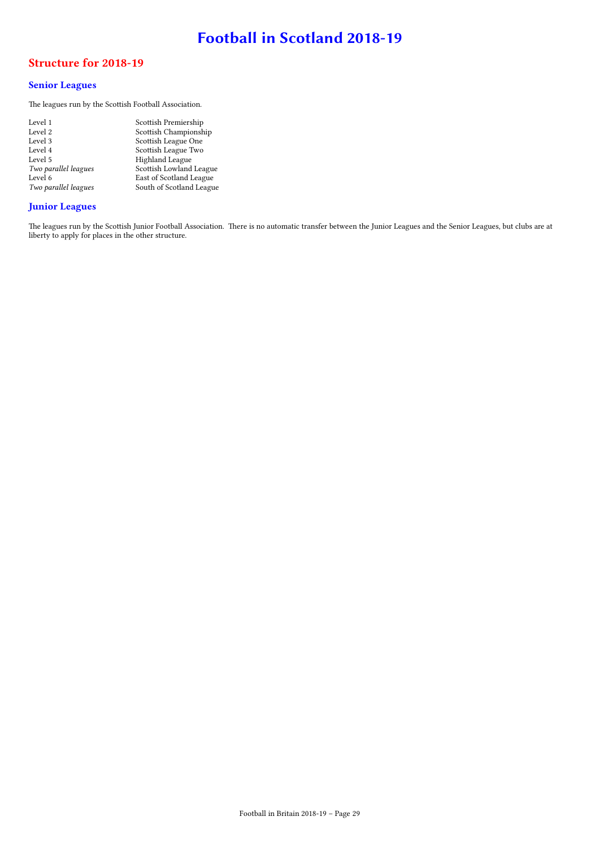# Football in Scotland 2018-19

### Structure for 2018-19

### Senior Leagues

The leagues run by the Scottish Football Association.

| Level 1              | Scottish Premiership     |
|----------------------|--------------------------|
| Level 2              | Scottish Championship    |
| Level 3              | Scottish League One      |
| Level 4              | Scottish League Two      |
| Level 5              | Highland League          |
| Two parallel leagues | Scottish Lowland League  |
| Level 6              | East of Scotland League  |
| Two parallel leagues | South of Scotland League |
|                      |                          |

### Junior Leagues

The leagues run by the Scottish Junior Football Association. There is no automatic transfer between the Junior Leagues and the Senior Leagues, but clubs are at liberty to apply for places in the other structure.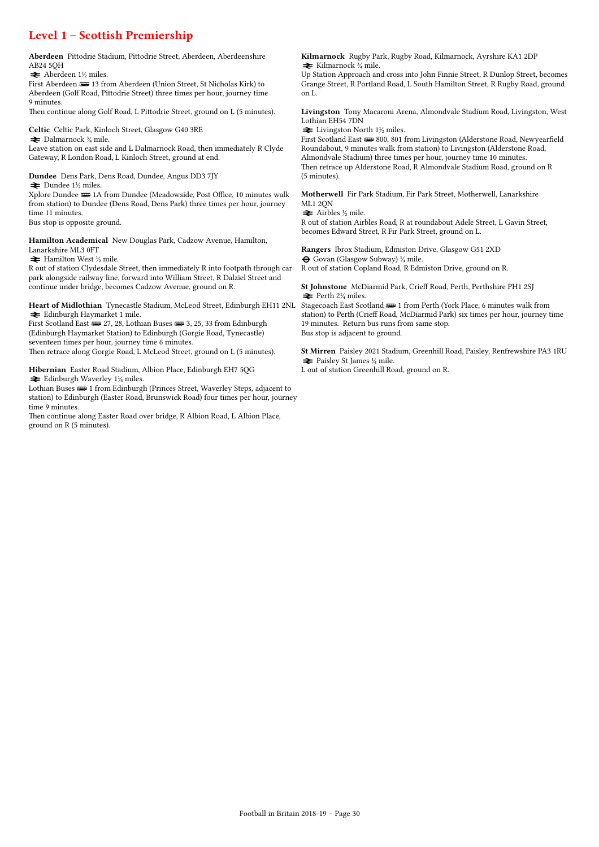## Level 1 – Scottish Premiership

Aberdeen Pittodrie Stadium, Pittodrie Street, Aberdeen, Aberdeenshire AB24 5QH

 $\blacktriangleright$  Aberdeen 1½ miles.

First Aberdeen  $\equiv$  13 from Aberdeen (Union Street, St Nicholas Kirk) to Aberdeen (Golf Road, Pittodrie Street) three times per hour, journey time 9 minutes.

Then continue along Golf Road, L Pittodrie Street, ground on L (5 minutes).

Celtic Celtic Park, Kinloch Street, Glasgow G40 3RE  $\blacktriangleright$  Dalmarnock  $\mathcal{U}$  mile.

Leave station on east side and L Dalmarnock Road, then immediately R Clyde Gateway, R London Road, L Kinloch Street, ground at end.

Dundee Dens Park, Dens Road, Dundee, Angus DD3 7JY  $\blacktriangleright$  Dundee 1½ miles.

Xplore Dundee  $\blacksquare$  1A from Dundee (Meadowside, Post Office, 10 minutes walk from station) to Dundee (Dens Road, Dens Park) three times per hour, journey time 11 minutes.

Bus stop is opposite ground.

Hamilton Academical New Douglas Park, Cadzow Avenue, Hamilton, Lanarkshire ML3 0FT

 $\blacktriangleright$  Hamilton West ½ mile.

R out of station Clydesdale Street, then immediately R into footpath through car park alongside railway line, forward into William Street, R Dalziel Street and continue under bridge, becomes Cadzow Avenue, ground on R.

Heart of Midlothian Tynecastle Stadium, McLeod Street, Edinburgh EH11 2NL  $\blacktriangleright$  Edinburgh Haymarket 1 mile.

First Scotland East  $\equiv$  27, 28, Lothian Buses  $\equiv$  3, 25, 33 from Edinburgh (Edinburgh Haymarket Station) to Edinburgh (Gorgie Road, Tynecastle) seventeen times per hour, journey time 6 minutes.

Then retrace along Gorgie Road, L McLeod Street, ground on L (5 minutes).

Hibernian Easter Road Stadium, Albion Place, Edinburgh EH7 5QG  $\blacktriangleright$  Edinburgh Waverley 1¼ miles.

Lothian Buses  $\blacksquare$  1 from Edinburgh (Princes Street, Waverley Steps, adjacent to station) to Edinburgh (Easter Road, Brunswick Road) four times per hour, journey time 9 minutes.

Then continue along Easter Road over bridge, R Albion Road, L Albion Place, ground on R (5 minutes).

Kilmarnock Rugby Park, Rugby Road, Kilmarnock, Ayrshire KA1 2DP  $\blacktriangleright$  Kilmarnock  $\frac{3}{4}$  mile.

Up Station Approach and cross into John Finnie Street, R Dunlop Street, becomes Grange Street, R Portland Road, L South Hamilton Street, R Rugby Road, ground on L.

Livingston Tony Macaroni Arena, Almondvale Stadium Road, Livingston, West Lothian EH54 7DN

 $\blacktriangleright$  Livingston North 1½ miles.

First Scotland East  $\equiv$  800, 801 from Livingston (Alderstone Road, Newyearfield Roundabout, 9 minutes walk from station) to Livingston (Alderstone Road, Almondvale Stadium) three times per hour, journey time 10 minutes. Then retrace up Alderstone Road, R Almondvale Stadium Road, ground on R (5 minutes).

Motherwell Fir Park Stadium, Fir Park Street, Motherwell, Lanarkshire ML1 2QN

 $\blacktriangleright$  Airbles ½ mile.

R out of station Airbles Road, R at roundabout Adele Street, L Gavin Street, becomes Edward Street, R Fir Park Street, ground on L.

Rangers Ibrox Stadium, Edmiston Drive, Glasgow G51 2XD ® Govan (Glasgow Subway) ¼ mile. R out of station Copland Road, R Edmiston Drive, ground on R.

St Johnstone McDiarmid Park, Crieff Road, Perth, Perthshire PH1 2SJ  $\equiv$  Perth 2¼ miles.

Stagecoach East Scotland  $\equiv 1$  from Perth (York Place, 6 minutes walk from station) to Perth (Crieff Road, McDiarmid Park) six times per hour, journey time 19 minutes. Return bus runs from same stop. Bus stop is adjacent to ground.

St Mirren Paisley 2021 Stadium, Greenhill Road, Paisley, Renfrewshire PA3 1RU  $\blacktriangleright$  Paisley St James  $\frac{1}{4}$  mile. L out of station Greenhill Road, ground on R.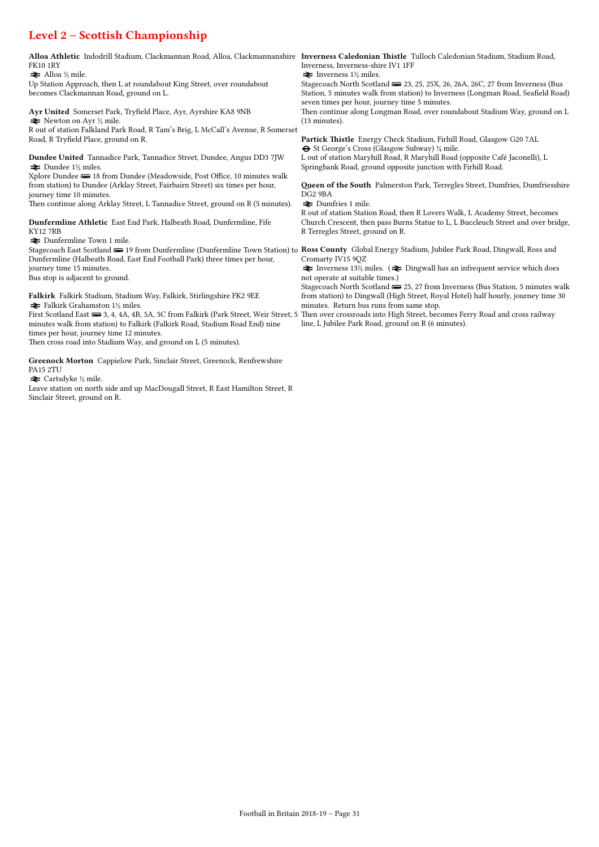# Level 2 – Scottish Championship

| Alloa Athletic Indodrill Stadium, Clackmannan Road, Alloa, Clackmannanshire Inverness Caledonian Thistle Tulloch Caledonian Stadium, Stadium Road,                                                                                        | Inverness, Inverness-shire IV1 1FF                                                                                                          |
|-------------------------------------------------------------------------------------------------------------------------------------------------------------------------------------------------------------------------------------------|---------------------------------------------------------------------------------------------------------------------------------------------|
| <b>FK10 1RY</b>                                                                                                                                                                                                                           | $\blacktriangleright$ Inverness 1½ miles.                                                                                                   |
| $\blacktriangleright$ Alloa ½ mile.                                                                                                                                                                                                       | Stagecoach North Scotland $\equiv$ 23, 25, 25X, 26, 26A, 26C, 27 from Inverness (Bus                                                        |
| Up Station Approach, then L at roundabout King Street, over roundabout                                                                                                                                                                    | Station, 5 minutes walk from station) to Inverness (Longman Road, Seafield Road)                                                            |
| becomes Clackmannan Road, ground on L.                                                                                                                                                                                                    | seven times per hour, journey time 5 minutes.                                                                                               |
| Ayr United Somerset Park, Tryfield Place, Ayr, Ayrshire KA8 9NB                                                                                                                                                                           | Then continue along Longman Road, over roundabout Stadium Way, ground on L                                                                  |
| $\blacktriangleright$ Newton on Ayr $\frac{1}{2}$ mile.                                                                                                                                                                                   | $(13 \text{ minutes}).$                                                                                                                     |
| R out of station Falkland Park Road, R Tam's Brig, L McCall's Avenue, R Somerset                                                                                                                                                          | Partick Thistle Energy Check Stadium, Firhill Road, Glasgow G20 7AL                                                                         |
| Road, R Tryfield Place, ground on R.                                                                                                                                                                                                      | $\Theta$ St George's Cross (Glasgow Subway) $\frac{3}{4}$ mile.                                                                             |
| <b>Dundee United</b> Tannadice Park, Tannadice Street, Dundee, Angus DD3 7JW                                                                                                                                                              | L out of station Maryhill Road, R Maryhill Road (opposite Café Jaconelli), L                                                                |
| $\blacktriangleright$ Dundee 1½ miles.                                                                                                                                                                                                    | Springbank Road, ground opposite junction with Firhill Road.                                                                                |
| Xplore Dundee $\equiv 18$ from Dundee (Meadowside, Post Office, 10 minutes walk<br>from station) to Dundee (Arklay Street, Fairbairn Street) six times per hour,<br>journey time 10 minutes.                                              | <b>Queen of the South Palmerston Park, Terregles Street, Dumfries, Dumfriesshire</b><br>DG <sub>2</sub> 9BA                                 |
| Then continue along Arklay Street, L Tannadice Street, ground on R (5 minutes).                                                                                                                                                           | $\rightleftharpoons$ Dumfries 1 mile.<br>R out of station Station Road, then R Lovers Walk, L Academy Street, becomes                       |
| Dunfermline Athletic East End Park, Halbeath Road, Dunfermline, Fife                                                                                                                                                                      | Church Crescent, then pass Burns Statue to L, L Buccleuch Street and over bridge,                                                           |
| <b>KY12 7RB</b>                                                                                                                                                                                                                           | R Terregles Street, ground on R.                                                                                                            |
| <b>≥</b> Dunfermline Town 1 mile.                                                                                                                                                                                                         |                                                                                                                                             |
| Stagecoach East Scotland $\equiv$ 19 from Dunfermline (Dunfermline Town Station) to Ross County Global Energy Stadium, Jubilee Park Road, Dingwall, Ross and<br>Dunfermline (Halbeath Road, East End Football Park) three times per hour, | Cromarty IV15 9QZ                                                                                                                           |
| journey time 15 minutes.                                                                                                                                                                                                                  | $\blacktriangleright$ Inverness 13 <sup>1</sup> / <sub>2</sub> miles. ( $\blacktriangleright$ Dingwall has an infrequent service which does |
| Bus stop is adjacent to ground.                                                                                                                                                                                                           | not operate at suitable times.)                                                                                                             |
|                                                                                                                                                                                                                                           | Stagecoach North Scotland $\equiv$ 25, 27 from Inverness (Bus Station, 5 minutes walk                                                       |
| Falkirk Falkirk Stadium, Stadium Way, Falkirk, Stirlingshire FK2 9EE                                                                                                                                                                      | from station) to Dingwall (High Street, Royal Hotel) half hourly, journey time 30                                                           |
| $\blacktriangleright$ Falkirk Grahamston 1½ miles.                                                                                                                                                                                        | minutes. Return bus runs from same stop.                                                                                                    |
| First Scotland East $\overline{u}$ 3, 4, 4A, 4B, 5A, 5C from Falkirk (Park Street, Weir Street, 5<br>minutes walk from station) to Falkirk (Falkirk Road, Stadium Road End) nine<br>times per hour, journey time 12 minutes.              | Then over crossroads into High Street, becomes Ferry Road and cross railway<br>line, L Jubilee Park Road, ground on R (6 minutes).          |
| Then cross road into Stadium Way, and ground on L (5 minutes).                                                                                                                                                                            |                                                                                                                                             |

Greenock Morton Cappielow Park, Sinclair Street, Greenock, Renfrewshire PA15 2TU

 $\rightleftarrows$  Cartsdyke ½ mile.

Leave station on north side and up MacDougall Street, R East Hamilton Street, R Sinclair Street, ground on R.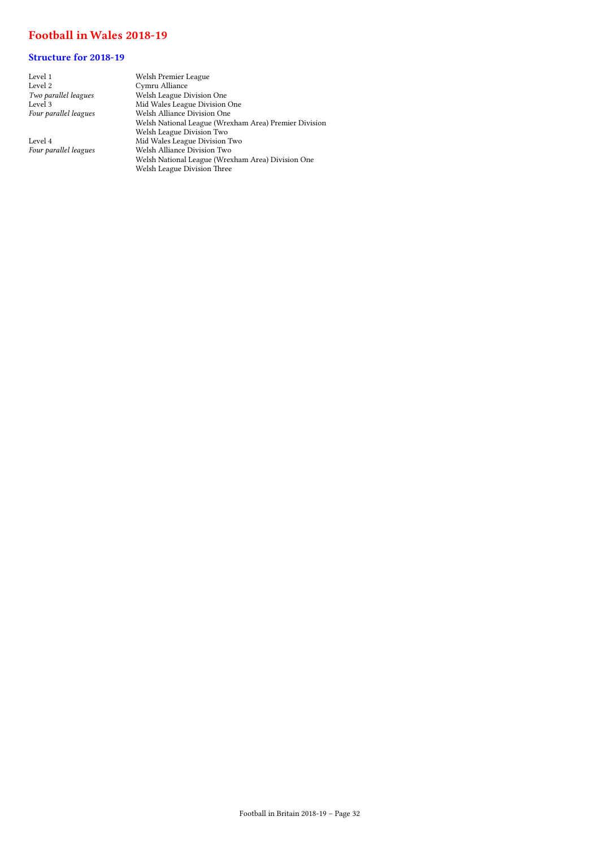### Football in Wales 2018-19

### Structure for 2018-19

| Level 1               | Welsh Premier League                                  |
|-----------------------|-------------------------------------------------------|
| Level 2               | Cymru Alliance                                        |
| Two parallel leagues  | Welsh League Division One                             |
| Level 3               | Mid Wales League Division One                         |
| Four parallel leagues | Welsh Alliance Division One                           |
|                       | Welsh National League (Wrexham Area) Premier Division |
|                       | Welsh League Division Two                             |
| Level 4               | Mid Wales League Division Two                         |
| Four parallel leagues | Welsh Alliance Division Two                           |
|                       | Welsh National League (Wrexham Area) Division One     |

Welsh League Division Three

Football in Britain 2018-19 – Page 32